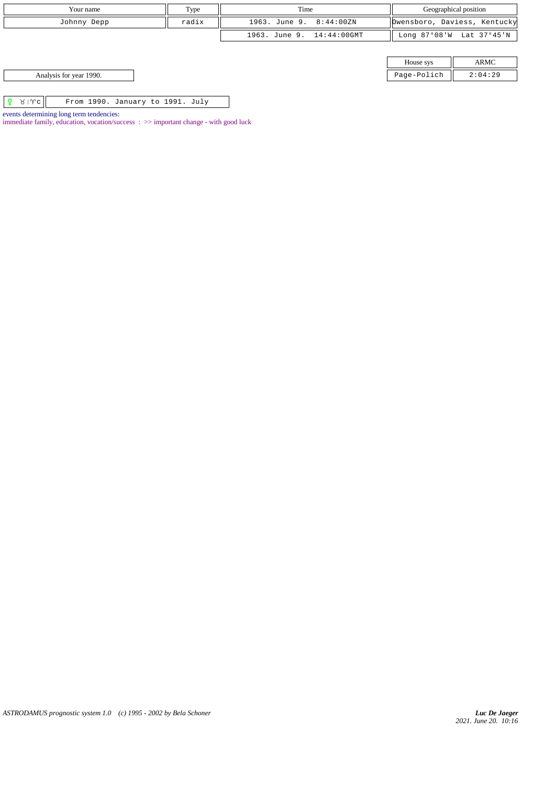| Your name                                           | Type |                           | Geographical position |                              |
|-----------------------------------------------------|------|---------------------------|-----------------------|------------------------------|
| radix<br>Johnny Depp                                |      | 1963. June 9. 8:44:00ZN   |                       | Dwensboro, Daviess, Kentucky |
|                                                     |      | 1963. June 9. 14:44:00GMT |                       | Long 87°08'W Lat 37°45'N     |
|                                                     |      |                           |                       |                              |
|                                                     |      |                           | House sys             | ARMC                         |
| Analysis for year 1990.                             |      |                           | Page-Polich           | 2:04:29                      |
|                                                     |      |                           |                       |                              |
| $81$ $\sqrt{c}$<br>From 1990. January to 1991. July |      |                           |                       |                              |
| events determining long term tendencies:            |      |                           |                       |                              |

*ASTRODAMUS prognostic system 1.0 (c) 1995 - 2002 by Bela Schoner*

immediate family, education, vocation/success : >> important change - with good luck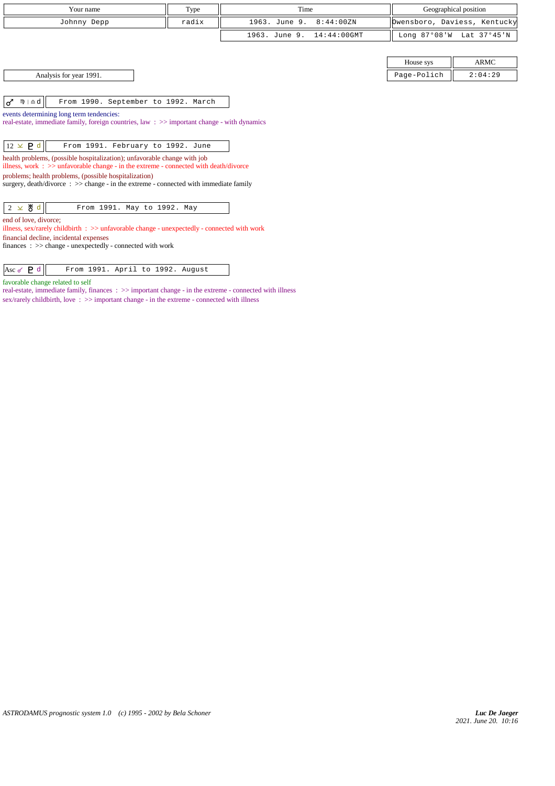| Your name                                                                                                                                                            | Type  | Time                            |             | Geographical position        |
|----------------------------------------------------------------------------------------------------------------------------------------------------------------------|-------|---------------------------------|-------------|------------------------------|
| Johnny Depp                                                                                                                                                          | radix | 1963. June 9.<br>8:44:00ZN      |             | Owensboro, Daviess, Kentucky |
|                                                                                                                                                                      |       | $14:44:00$ GMT<br>1963. June 9. |             | Long 87°08'W Lat 37°45'N     |
|                                                                                                                                                                      |       |                                 |             |                              |
|                                                                                                                                                                      |       |                                 | House sys   | <b>ARMC</b>                  |
| Analysis for year 1991.                                                                                                                                              |       |                                 | Page-Polich | 2:04:29                      |
|                                                                                                                                                                      |       |                                 |             |                              |
| $m \mid \Delta d$<br>From 1990. September to 1992. March<br>ರ                                                                                                        |       |                                 |             |                              |
| events determining long term tendencies:                                                                                                                             |       |                                 |             |                              |
| real-estate, immediate family, foreign countries, law: >> important change - with dynamics                                                                           |       |                                 |             |                              |
|                                                                                                                                                                      |       |                                 |             |                              |
| $12 \times P d$<br>From 1991. February to 1992. June                                                                                                                 |       |                                 |             |                              |
| health problems, (possible hospitalization); unfavorable change with job<br>illness, work : $\gg$ unfavorable change - in the extreme - connected with death/divorce |       |                                 |             |                              |
| problems; health problems, (possible hospitalization)                                                                                                                |       |                                 |             |                              |
| surgery, $death/divorce : >> change - in the extreme - connected with immediate family$                                                                              |       |                                 |             |                              |
|                                                                                                                                                                      |       |                                 |             |                              |
| 2 $\times$ 8 d<br>From 1991. May to 1992. May                                                                                                                        |       |                                 |             |                              |
| end of love, divorce;                                                                                                                                                |       |                                 |             |                              |
| illness, sex/rarely childbirth $\therefore$ $\Rightarrow$ unfavorable change - unexpectedly - connected with work                                                    |       |                                 |             |                              |
| financial decline, incidental expenses                                                                                                                               |       |                                 |             |                              |
| finances : $\gg$ change - unexpectedly - connected with work                                                                                                         |       |                                 |             |                              |
|                                                                                                                                                                      |       |                                 |             |                              |

favorable change related to self

real-estate, immediate family, finances :  $\gg$  important change - in the extreme - connected with illness sex/rarely child<br>birth, love  $\;\;$   $\;\;$   $>>$  important change - in the extreme - connected with illness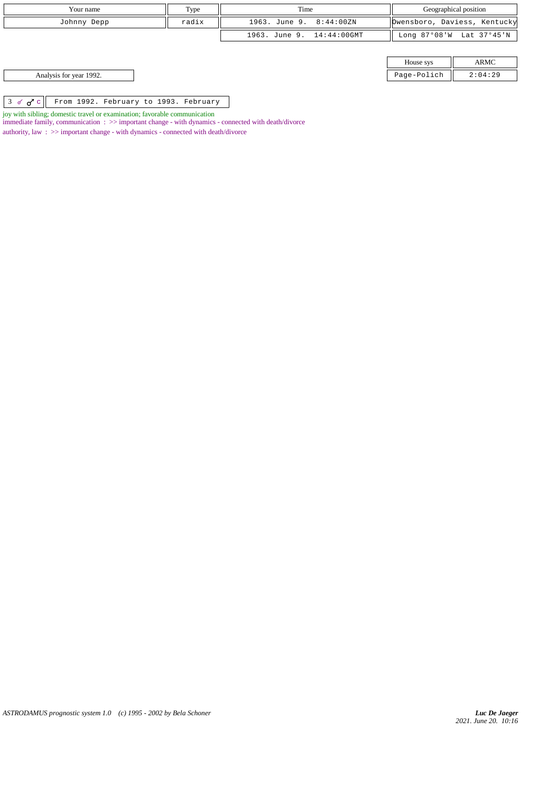|               | Your name                             | Type  | Time                      | Geographical position |                              |
|---------------|---------------------------------------|-------|---------------------------|-----------------------|------------------------------|
|               | Johnny Depp                           | radix | 1963. June 9. 8:44:00ZN   |                       | Dwensboro, Daviess, Kentucky |
|               |                                       |       | 1963. June 9. 14:44:00GMT |                       | Long 87°08'W Lat 37°45'N     |
|               |                                       |       |                           |                       |                              |
|               |                                       |       |                           | House sys             | ARMC                         |
|               | Analysis for year 1992.               |       |                           | Page-Polich           | 2:04:29                      |
|               |                                       |       |                           |                       |                              |
| $3 \times 7c$ | From 1992. February to 1993. February |       |                           |                       |                              |

joy with sibling; domestic travel or examination; favorable communication

immediate family, communication :  $\gg$  important change - with dynamics - connected with death/divorce

authority, law  $\, : \, >>$  important change - with dynamics - connected with death/divorce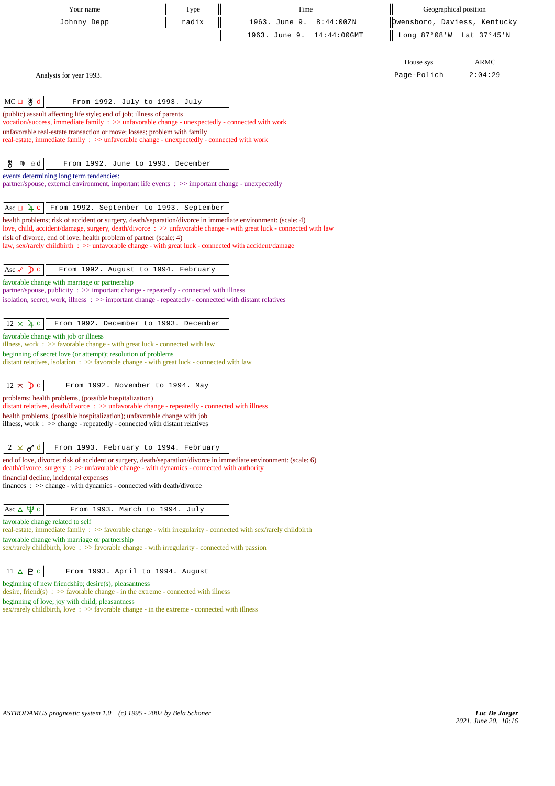| Your name                                                                                                                                                                                                                            | Type  | Time                            |             | Geographical position        |
|--------------------------------------------------------------------------------------------------------------------------------------------------------------------------------------------------------------------------------------|-------|---------------------------------|-------------|------------------------------|
| Johnny Depp                                                                                                                                                                                                                          | radix | 1963. June 9.<br>8:44:00ZN      |             | Owensboro, Daviess, Kentucky |
|                                                                                                                                                                                                                                      |       | 1963. June 9.<br>$14:44:00$ GMT |             | Long 87°08'W Lat 37°45'N     |
|                                                                                                                                                                                                                                      |       |                                 |             |                              |
|                                                                                                                                                                                                                                      |       |                                 | House sys   | <b>ARMC</b>                  |
| Analysis for year 1993.                                                                                                                                                                                                              |       |                                 | Page-Polich | 2:04:29                      |
|                                                                                                                                                                                                                                      |       |                                 |             |                              |
| MC□ 5d<br>From 1992. July to 1993. July                                                                                                                                                                                              |       |                                 |             |                              |
| (public) assault affecting life style; end of job; illness of parents<br>vocation/success, immediate family: $\gg$ unfavorable change - unexpectedly - connected with work                                                           |       |                                 |             |                              |
| unfavorable real-estate transaction or move; losses; problem with family                                                                                                                                                             |       |                                 |             |                              |
| real-estate, immediate family : >> unfavorable change - unexpectedly - connected with work                                                                                                                                           |       |                                 |             |                              |
| ზ<br>nny∣ ≘ d<br>From 1992. June to 1993. December                                                                                                                                                                                   |       |                                 |             |                              |
| events determining long term tendencies:                                                                                                                                                                                             |       |                                 |             |                              |
| partner/spouse, external environment, important life events : >> important change - unexpectedly                                                                                                                                     |       |                                 |             |                              |
|                                                                                                                                                                                                                                      |       |                                 |             |                              |
| Asc $\Box$ 4 c<br>From 1992. September to 1993. September                                                                                                                                                                            |       |                                 |             |                              |
| health problems; risk of accident or surgery, death/separation/divorce in immediate environment: (scale: 4)<br>love, child, accident/damage, surgery, death/divorce: $\gg$ unfavorable change - with great luck - connected with law |       |                                 |             |                              |
| risk of divorce, end of love; health problem of partner (scale: 4)                                                                                                                                                                   |       |                                 |             |                              |
| law, sex/rarely childbirth : >> unfavorable change - with great luck - connected with accident/damage                                                                                                                                |       |                                 |             |                              |
| Asc $\sqrt{2}$ C<br>From 1992. August to 1994. February                                                                                                                                                                              |       |                                 |             |                              |
| favorable change with marriage or partnership                                                                                                                                                                                        |       |                                 |             |                              |
| partner/spouse, publicity : >> important change - repeatedly - connected with illness                                                                                                                                                |       |                                 |             |                              |
| isolation, secret, work, illness : >> important change - repeatedly - connected with distant relatives                                                                                                                               |       |                                 |             |                              |
| $12 \times 1$ c<br>From 1992. December to 1993. December                                                                                                                                                                             |       |                                 |             |                              |
| favorable change with job or illness                                                                                                                                                                                                 |       |                                 |             |                              |
| illness, work $\Rightarrow$ Savorable change - with great luck - connected with law<br>beginning of secret love (or attempt); resolution of problems                                                                                 |       |                                 |             |                              |
| distant relatives, isolation $\Rightarrow$ 5 favorable change - with great luck - connected with law                                                                                                                                 |       |                                 |             |                              |
|                                                                                                                                                                                                                                      |       |                                 |             |                              |
| $12 \times$ D c<br>From 1992. November to 1994. May                                                                                                                                                                                  |       |                                 |             |                              |
| problems; health problems, (possible hospitalization)<br>distant relatives, $death/divorce : >> unfavorable change - repeatedly - connected with illness$                                                                            |       |                                 |             |                              |
| health problems, (possible hospitalization); unfavorable change with job                                                                                                                                                             |       |                                 |             |                              |
| illness, work $\Rightarrow$ > $\Rightarrow$ change - repeatedly - connected with distant relatives                                                                                                                                   |       |                                 |             |                              |
| $2 \times d^d$<br>From 1993. February to 1994. February                                                                                                                                                                              |       |                                 |             |                              |
| end of love, divorce; risk of accident or surgery, death/separation/divorce in immediate environment: (scale: 6)                                                                                                                     |       |                                 |             |                              |
| death/divorce, surgery : >> unfavorable change - with dynamics - connected with authority                                                                                                                                            |       |                                 |             |                              |
| financial decline, incidental expenses<br>$finances : \gg change - with dynamics - connected with death/divorce$                                                                                                                     |       |                                 |             |                              |
|                                                                                                                                                                                                                                      |       |                                 |             |                              |
| Asc $\Delta \Psi c$<br>From 1993. March to 1994. July                                                                                                                                                                                |       |                                 |             |                              |
| favorable change related to self                                                                                                                                                                                                     |       |                                 |             |                              |
| real-estate, immediate family : >> favorable change - with irregularity - connected with sex/rarely childbirth<br>favorable change with marriage or partnership                                                                      |       |                                 |             |                              |
| sex/rarely childbirth, love $\Rightarrow$ favorable change - with irregularity - connected with passion                                                                                                                              |       |                                 |             |                              |
|                                                                                                                                                                                                                                      |       |                                 |             |                              |
| $11 \triangle P c$<br>From 1993. April to 1994. August                                                                                                                                                                               |       |                                 |             |                              |
| beginning of new friendship; desire(s), pleasantness<br>desire, friend(s) : $\gg$ favorable change - in the extreme - connected with illness                                                                                         |       |                                 |             |                              |
| beginning of love; joy with child; pleasantness<br>sex/rarely childbirth, love: >> favorable change - in the extreme - connected with illness                                                                                        |       |                                 |             |                              |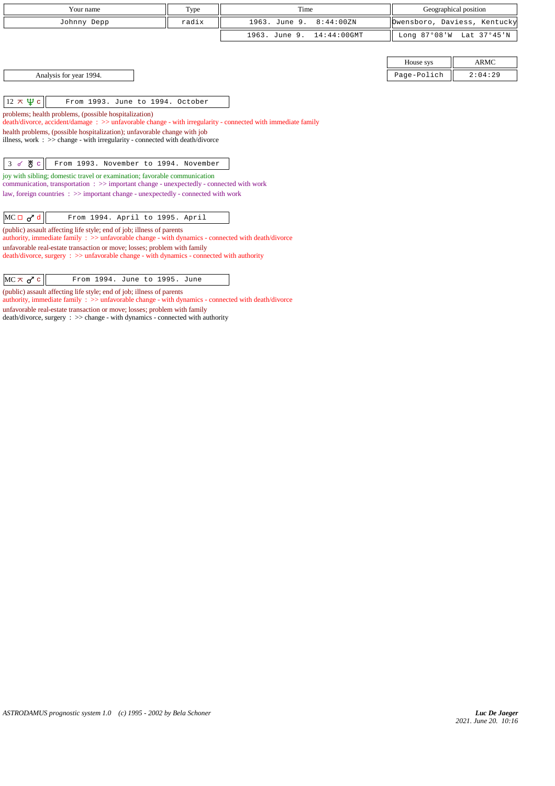| Your name                                                                                                                                                                                                                                                                                                                                                                                                                                                                                                                                                                                                                                                                                                                                                                                                                                                                                                                                                                                                                                                                                                                                                             | Type  | Time                            |              | Geographical position        |
|-----------------------------------------------------------------------------------------------------------------------------------------------------------------------------------------------------------------------------------------------------------------------------------------------------------------------------------------------------------------------------------------------------------------------------------------------------------------------------------------------------------------------------------------------------------------------------------------------------------------------------------------------------------------------------------------------------------------------------------------------------------------------------------------------------------------------------------------------------------------------------------------------------------------------------------------------------------------------------------------------------------------------------------------------------------------------------------------------------------------------------------------------------------------------|-------|---------------------------------|--------------|------------------------------|
| Johnny Depp                                                                                                                                                                                                                                                                                                                                                                                                                                                                                                                                                                                                                                                                                                                                                                                                                                                                                                                                                                                                                                                                                                                                                           | radix | 1963. June 9.<br>8:44:00ZN      |              | Dwensboro, Daviess, Kentucky |
|                                                                                                                                                                                                                                                                                                                                                                                                                                                                                                                                                                                                                                                                                                                                                                                                                                                                                                                                                                                                                                                                                                                                                                       |       | 1963. June 9.<br>$14:44:00$ GMT | Long 87°08'W | Lat 37°45'N                  |
|                                                                                                                                                                                                                                                                                                                                                                                                                                                                                                                                                                                                                                                                                                                                                                                                                                                                                                                                                                                                                                                                                                                                                                       |       |                                 |              |                              |
|                                                                                                                                                                                                                                                                                                                                                                                                                                                                                                                                                                                                                                                                                                                                                                                                                                                                                                                                                                                                                                                                                                                                                                       |       |                                 | House sys    | <b>ARMC</b>                  |
| Analysis for year 1994.                                                                                                                                                                                                                                                                                                                                                                                                                                                                                                                                                                                                                                                                                                                                                                                                                                                                                                                                                                                                                                                                                                                                               |       |                                 | Page-Polich  | 2:04:29                      |
| $12 \times \Psi$ c<br>From 1993. June to 1994. October<br>problems; health problems, (possible hospitalization)<br>$death/divorce, accident/damage : >> unfavorable change - with irregularity - connected with immediate family$<br>health problems, (possible hospitalization); unfavorable change with job<br>illness, work : $\gg$ change - with irregularity - connected with death/divorce<br>$3$ of $8$ c<br>From 1993. November to 1994. November<br>joy with sibling; domestic travel or examination; favorable communication<br>communication, transportation $\Rightarrow$ important change - unexpectedly - connected with work<br>law, foreign countries $\Rightarrow$ important change - unexpectedly - connected with work<br>$MC \Box \sigma^d$ d<br>From 1994. April to 1995. April<br>(public) assault affecting life style; end of job; illness of parents<br>authority, immediate family $\Rightarrow$ unfavorable change - with dynamics - connected with death/divorce<br>unfavorable real-estate transaction or move; losses; problem with family<br>death/divorce, surgery : >> unfavorable change - with dynamics - connected with authority |       |                                 |              |                              |

(public) assault affecting life style; end of job; illness of parents

authority, immediate family : >> unfavorable change - with dynamics - connected with death/divorce

unfavorable real-estate transaction or move; losses; problem with family death/divorce, surgery : >> change - with dynamics - connected with authority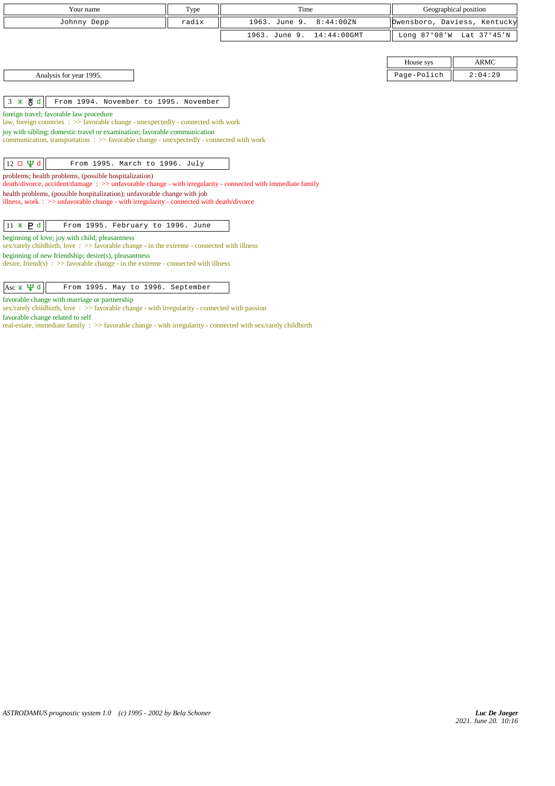| Your name                                                                                                                                                            | Type  | Time                            |             | Geographical position        |  |
|----------------------------------------------------------------------------------------------------------------------------------------------------------------------|-------|---------------------------------|-------------|------------------------------|--|
| Johnny Depp                                                                                                                                                          | radix | 1963. June 9.<br>8:44:00ZN      |             | Owensboro, Daviess, Kentucky |  |
|                                                                                                                                                                      |       |                                 |             |                              |  |
|                                                                                                                                                                      |       | 1963. June 9.<br>$14:44:00$ GMT |             | Long 87°08'W Lat 37°45'N     |  |
|                                                                                                                                                                      |       |                                 |             |                              |  |
|                                                                                                                                                                      |       |                                 | House sys   | <b>ARMC</b>                  |  |
| Analysis for year 1995.                                                                                                                                              |       |                                 | Page-Polich | 2:04:29                      |  |
|                                                                                                                                                                      |       |                                 |             |                              |  |
| $3 * 8d$<br>From 1994. November to 1995. November                                                                                                                    |       |                                 |             |                              |  |
| foreign travel; favorable law procedure                                                                                                                              |       |                                 |             |                              |  |
| law, foreign countries $\Rightarrow$ 5 > 5 avorable change - unexpectedly - connected with work                                                                      |       |                                 |             |                              |  |
| joy with sibling; domestic travel or examination; favorable communication                                                                                            |       |                                 |             |                              |  |
| communication, transportation $\Rightarrow$ Savorable change - unexpectedly - connected with work                                                                    |       |                                 |             |                              |  |
|                                                                                                                                                                      |       |                                 |             |                              |  |
| $12 \Box \Psi d$<br>From 1995. March to 1996. July                                                                                                                   |       |                                 |             |                              |  |
| problems; health problems, (possible hospitalization)<br>death/divorce, accident/damage: >> unfavorable change - with irregularity - connected with immediate family |       |                                 |             |                              |  |
| health problems, (possible hospitalization); unfavorable change with job                                                                                             |       |                                 |             |                              |  |
| illness, work : $\gg$ unfavorable change - with irregularity - connected with death/divorce                                                                          |       |                                 |             |                              |  |
|                                                                                                                                                                      |       |                                 |             |                              |  |
| $11 \times P d$<br>From 1995. February to 1996. June                                                                                                                 |       |                                 |             |                              |  |
| beginning of love; joy with child; pleasantness                                                                                                                      |       |                                 |             |                              |  |
| sex/rarely childbirth, love: $\gg$ favorable change - in the extreme - connected with illness                                                                        |       |                                 |             |                              |  |
| beginning of new friendship; desire(s), pleasantness<br>desire, friend(s) : $\gg$ favorable change - in the extreme - connected with illness                         |       |                                 |             |                              |  |
|                                                                                                                                                                      |       |                                 |             |                              |  |
| $\text{Asc} \times \Psi d$<br>From 1995. May to 1996. September                                                                                                      |       |                                 |             |                              |  |
| favorable change with marriage or partnership                                                                                                                        |       |                                 |             |                              |  |

sex/rarely childbirth, love :  $\gg$  favorable change - with irregularity - connected with passion

favorable change related to self

real-estate, immediate family : >> favorable change - with irregularity - connected with sex/rarely childbirth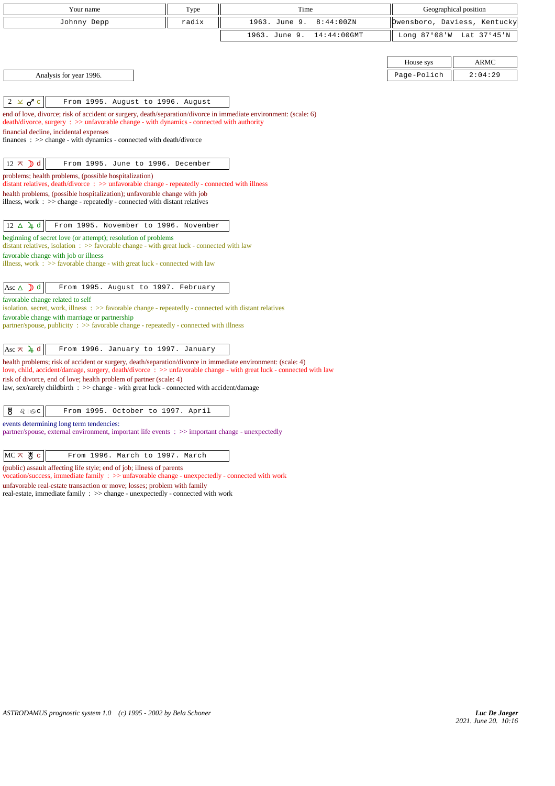| Your name                                                                                                                                                                                                                                                                                                                                                   | Type                                                          | Time                         |             | Geographical position        |  |  |
|-------------------------------------------------------------------------------------------------------------------------------------------------------------------------------------------------------------------------------------------------------------------------------------------------------------------------------------------------------------|---------------------------------------------------------------|------------------------------|-------------|------------------------------|--|--|
| Johnny Depp                                                                                                                                                                                                                                                                                                                                                 | radix                                                         | 1963. June 9.<br>8:44:00ZN   |             | Owensboro, Daviess, Kentucky |  |  |
|                                                                                                                                                                                                                                                                                                                                                             |                                                               | 1963. June 9.<br>14:44:00GMT |             | Long 87°08'W Lat 37°45'N     |  |  |
|                                                                                                                                                                                                                                                                                                                                                             |                                                               |                              |             |                              |  |  |
|                                                                                                                                                                                                                                                                                                                                                             |                                                               |                              | House sys   | <b>ARMC</b>                  |  |  |
| Analysis for year 1996.                                                                                                                                                                                                                                                                                                                                     |                                                               |                              | Page-Polich | 2:04:29                      |  |  |
|                                                                                                                                                                                                                                                                                                                                                             |                                                               |                              |             |                              |  |  |
| $2 \times d$ c<br>From 1995. August to 1996. August                                                                                                                                                                                                                                                                                                         |                                                               |                              |             |                              |  |  |
| end of love, divorce; risk of accident or surgery, death/separation/divorce in immediate environment: (scale: 6)<br>death/divorce, surgery : >> unfavorable change - with dynamics - connected with authority                                                                                                                                               |                                                               |                              |             |                              |  |  |
| financial decline, incidental expenses                                                                                                                                                                                                                                                                                                                      |                                                               |                              |             |                              |  |  |
| $finances : \gg change - with dynamics - connected with death/divorce$                                                                                                                                                                                                                                                                                      |                                                               |                              |             |                              |  |  |
|                                                                                                                                                                                                                                                                                                                                                             |                                                               |                              |             |                              |  |  |
| $12 \times$ d<br>From 1995. June to 1996. December                                                                                                                                                                                                                                                                                                          |                                                               |                              |             |                              |  |  |
| problems; health problems, (possible hospitalization)<br>distant relatives, death/divorce : >> unfavorable change - repeatedly - connected with illness                                                                                                                                                                                                     |                                                               |                              |             |                              |  |  |
| health problems, (possible hospitalization); unfavorable change with job                                                                                                                                                                                                                                                                                    |                                                               |                              |             |                              |  |  |
| illness, work $\Rightarrow$ > $\Rightarrow$ change - repeatedly - connected with distant relatives                                                                                                                                                                                                                                                          |                                                               |                              |             |                              |  |  |
| From 1995. November to 1996. November<br>$12 \Delta \mu d$                                                                                                                                                                                                                                                                                                  |                                                               |                              |             |                              |  |  |
| distant relatives, isolation $\Rightarrow$ Solution $\Rightarrow$ Solution $\Rightarrow$ Solution $\Rightarrow$ Solution $\Rightarrow$ Solution $\Rightarrow$ Solution $\Rightarrow$ Solution $\Rightarrow$ Solution $\Rightarrow$ Solution $\Rightarrow$ Solution $\Rightarrow$ Solution $\Rightarrow$ Solution $\Rightarrow$ Solution $\Rightarrow$ Solut | beginning of secret love (or attempt); resolution of problems |                              |             |                              |  |  |
| favorable change with job or illness                                                                                                                                                                                                                                                                                                                        |                                                               |                              |             |                              |  |  |
| illness, work $\Rightarrow$ s favorable change - with great luck - connected with law                                                                                                                                                                                                                                                                       |                                                               |                              |             |                              |  |  |
| From 1995. August to 1997. February<br>Asc $\triangle$ <b>D</b> d                                                                                                                                                                                                                                                                                           |                                                               |                              |             |                              |  |  |
| favorable change related to self                                                                                                                                                                                                                                                                                                                            |                                                               |                              |             |                              |  |  |
| isolation, secret, work, illness $\Rightarrow$ favorable change - repeatedly - connected with distant relatives<br>favorable change with marriage or partnership                                                                                                                                                                                            |                                                               |                              |             |                              |  |  |
| $partner$ /spouse, publicity : $\gg$ favorable change - repeatedly - connected with illness                                                                                                                                                                                                                                                                 |                                                               |                              |             |                              |  |  |
|                                                                                                                                                                                                                                                                                                                                                             |                                                               |                              |             |                              |  |  |
| From 1996. January to 1997. January<br>Asc $\pi$ 4 d                                                                                                                                                                                                                                                                                                        |                                                               |                              |             |                              |  |  |
| health problems; risk of accident or surgery, death/separation/divorce in immediate environment: (scale: 4)<br>love, child, accident/damage, surgery, death/divorce: $\gg$ unfavorable change - with great luck - connected with law                                                                                                                        |                                                               |                              |             |                              |  |  |
| risk of divorce, end of love; health problem of partner (scale: 4)                                                                                                                                                                                                                                                                                          |                                                               |                              |             |                              |  |  |
| law, sex/rarely childbirth : >> change - with great luck - connected with accident/damage                                                                                                                                                                                                                                                                   |                                                               |                              |             |                              |  |  |
| ₩<br>$Q \mid \mathfrak{D} C$<br>From 1995. October to 1997. April                                                                                                                                                                                                                                                                                           |                                                               |                              |             |                              |  |  |
| events determining long term tendencies:                                                                                                                                                                                                                                                                                                                    |                                                               |                              |             |                              |  |  |
| partner/spouse, external environment, important life events : >> important change - unexpectedly                                                                                                                                                                                                                                                            |                                                               |                              |             |                              |  |  |
|                                                                                                                                                                                                                                                                                                                                                             |                                                               |                              |             |                              |  |  |
| $MC \times$ 8 $c$<br>From 1996. March to 1997. March                                                                                                                                                                                                                                                                                                        |                                                               |                              |             |                              |  |  |

(public) assault affecting life style; end of job; illness of parents

vocation/success, immediate family : >> unfavorable change - unexpectedly - connected with work unfavorable real-estate transaction or move; losses; problem with family real-estate, immediate family :  $\gg$  change - unexpectedly - connected with work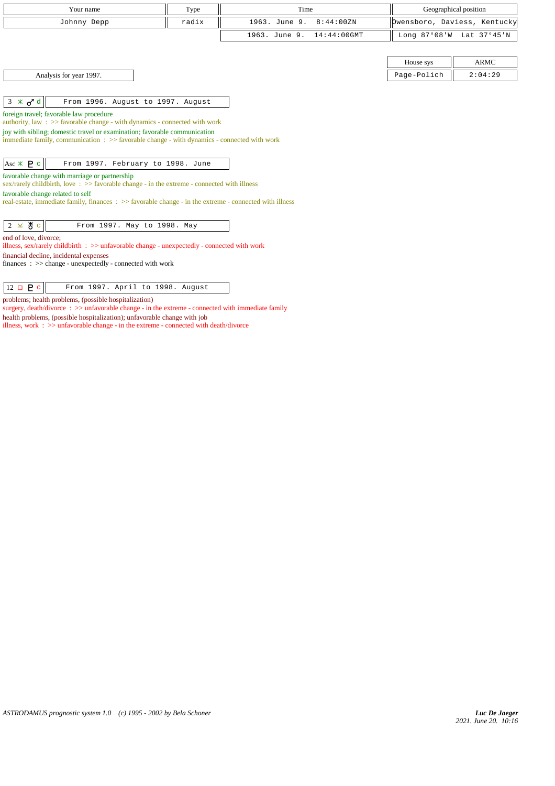| Your name                                                                                                                                                                           | Type  | Time                            |             | Geographical position        |
|-------------------------------------------------------------------------------------------------------------------------------------------------------------------------------------|-------|---------------------------------|-------------|------------------------------|
| Johnny Depp                                                                                                                                                                         | radix | 1963. June 9.<br>8:44:00ZN      |             | Owensboro, Daviess, Kentucky |
|                                                                                                                                                                                     |       | $14:44:00$ GMT<br>1963. June 9. |             | Long 87°08'W Lat 37°45'N     |
|                                                                                                                                                                                     |       |                                 |             |                              |
|                                                                                                                                                                                     |       |                                 | House sys   | <b>ARMC</b>                  |
| Analysis for year 1997.                                                                                                                                                             |       |                                 | Page-Polich | 2:04:29                      |
|                                                                                                                                                                                     |       |                                 |             |                              |
| $3 * d$<br>From 1996. August to 1997. August                                                                                                                                        |       |                                 |             |                              |
| foreign travel; favorable law procedure<br>authority, law: $\gg$ favorable change - with dynamics - connected with work                                                             |       |                                 |             |                              |
| joy with sibling; domestic travel or examination; favorable communication<br>immediate family, communication $\Rightarrow$ > favorable change - with dynamics - connected with work |       |                                 |             |                              |
|                                                                                                                                                                                     |       |                                 |             |                              |
| Asc $*$ <b>P</b> c<br>From 1997. February to 1998. June                                                                                                                             |       |                                 |             |                              |
| favorable change with marriage or partnership<br>sex/rarely childbirth, love $\Rightarrow$ Savorable change - in the extreme - connected with illness                               |       |                                 |             |                              |
| favorable change related to self                                                                                                                                                    |       |                                 |             |                              |
| real-estate, immediate family, finances : >> favorable change - in the extreme - connected with illness                                                                             |       |                                 |             |                              |
|                                                                                                                                                                                     |       |                                 |             |                              |
| $2 \times 8$ c<br>From 1997. May to 1998. May                                                                                                                                       |       |                                 |             |                              |
| end of love, divorce:<br>illness, sex/rarely childbirth $\Rightarrow$ unfavorable change - unexpectedly - connected with work                                                       |       |                                 |             |                              |
| financial decline, incidental expenses                                                                                                                                              |       |                                 |             |                              |
| finances : $\gg$ change - unexpectedly - connected with work                                                                                                                        |       |                                 |             |                              |
|                                                                                                                                                                                     |       |                                 |             |                              |
| $12 \Box P c$<br>From 1997. April to 1998. August                                                                                                                                   |       |                                 |             |                              |

problems; health problems, (possible hospitalization)

surgery, death/divorce :  $\gg$  unfavorable change - in the extreme - connected with immediate family health problems, (possible hospitalization); unfavorable change with job

illness, work : >> unfavorable change - in the extreme - connected with death/divorce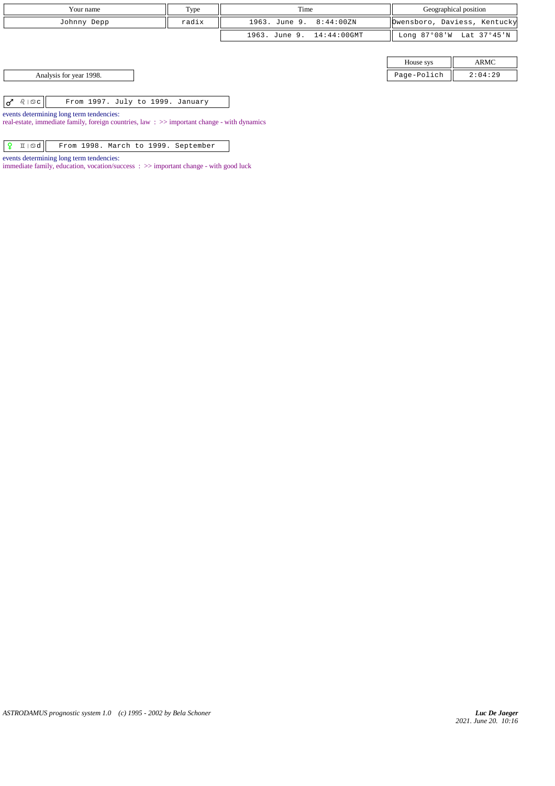| Your name   | Type  | Time                      | Geographical position        |
|-------------|-------|---------------------------|------------------------------|
| Johnny Depp | radix | 1963. June 9. 8:44:00ZN   | Dwensboro, Daviess, Kentucky |
|             |       | 1963. June 9. 14:44:00GMT | Long 87°08'W Lat 37°45'N     |

| House sys  |                          |  |
|------------|--------------------------|--|
| age-Polich | $\overline{\phantom{a}}$ |  |

Analysis for year 1998. Page-Polich 2:04:29 Page-Polich 2:04:29 Page-Polich 2:04:29 Page-Polich 2:04:29 Page-Polich 2:04:29 Page-Polich 2:04:29 Page-Polich 2:04:29 Page-Polich 2:04:29 Page-Polich 2:04:29 Page - Polich 2:04

| $\overline{X}$ $\Omega$ is clients. |  |  | From 1997. July to 1999. January |
|-------------------------------------|--|--|----------------------------------|
|                                     |  |  |                                  |

events determining long term tendencies:

real-estate, immediate family, foreign countries, law :  $\gg$  important change - with dynamics

|  |  |  |  |  |  |  | $\boxed{9}$ I $\boxed{\circ$ d $\boxed{\circ}$ From 1998. March to 1999. September |
|--|--|--|--|--|--|--|------------------------------------------------------------------------------------|
|--|--|--|--|--|--|--|------------------------------------------------------------------------------------|

events determining long term tendencies:

immediate family, education, vocation/success : >> important change - with good luck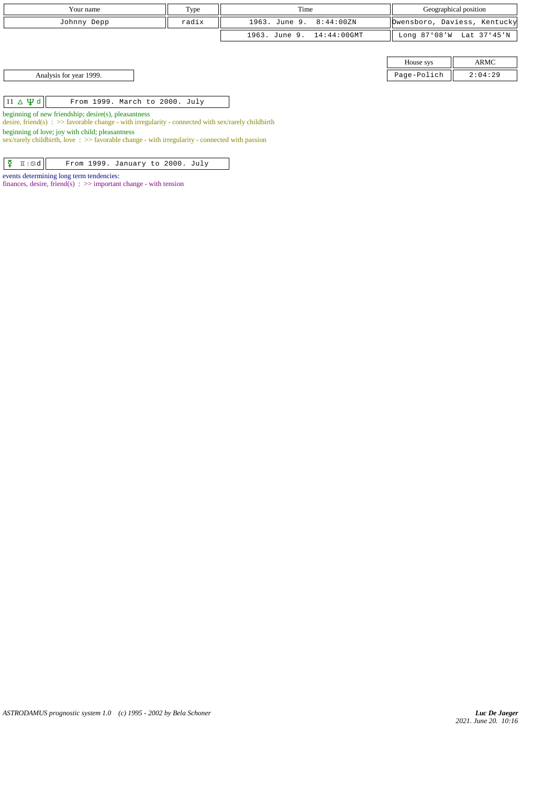| Your name                                                                                                                                                                                                                                                                                                            | Type  | Time                       |             | Geographical position        |
|----------------------------------------------------------------------------------------------------------------------------------------------------------------------------------------------------------------------------------------------------------------------------------------------------------------------|-------|----------------------------|-------------|------------------------------|
| Johnny Depp                                                                                                                                                                                                                                                                                                          | radix | 8:44:00ZN<br>1963. June 9. |             | Dwensboro, Daviess, Kentucky |
|                                                                                                                                                                                                                                                                                                                      |       | 1963. June 9. 14:44:00GMT  |             | Long 87°08'W Lat 37°45'N     |
|                                                                                                                                                                                                                                                                                                                      |       |                            |             |                              |
|                                                                                                                                                                                                                                                                                                                      |       |                            | House sys   | ARMC                         |
| Analysis for year 1999.                                                                                                                                                                                                                                                                                              |       |                            | Page-Polich | 2:04:29                      |
|                                                                                                                                                                                                                                                                                                                      |       |                            |             |                              |
| $11 \triangle \Psi d$<br>From 1999. March to 2000. July                                                                                                                                                                                                                                                              |       |                            |             |                              |
| beginning of new friendship; desire(s), pleasantness<br>desire, friend(s) : $\gg$ favorable change - with irregularity - connected with sex/rarely childbirth<br>beginning of love; joy with child; pleasantness<br>sex/rarely childbirth, love: $\gg$ favorable change - with irregularity - connected with passion |       |                            |             |                              |

 $\boxed{\mathbf{\Sigma} \times \mathbb{Z}}$   $\boxed{\mathbf{\Sigma} \times \mathbf{C}}$  From 1999. January to 2000. July

finances, desire, friend(s) :  $\gg$  important change - with tension

events determining long term tendencies: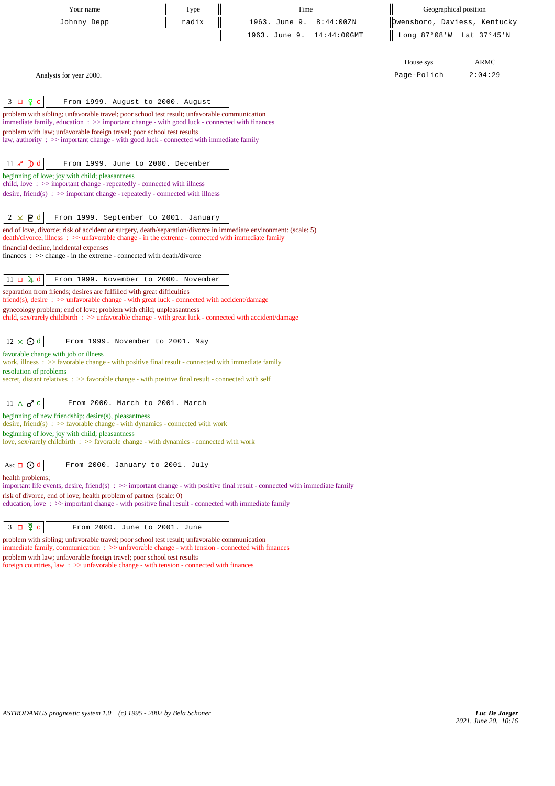| Your name                                                                                                                                                                                    | Type  | Time                            |             | Geographical position        |
|----------------------------------------------------------------------------------------------------------------------------------------------------------------------------------------------|-------|---------------------------------|-------------|------------------------------|
| Johnny Depp                                                                                                                                                                                  | radix | 1963. June 9.<br>8:44:00ZN      |             | Owensboro, Daviess, Kentucky |
|                                                                                                                                                                                              |       | 1963. June 9.<br>$14:44:00$ GMT |             | Long 87°08'W Lat 37°45'N     |
|                                                                                                                                                                                              |       |                                 |             |                              |
|                                                                                                                                                                                              |       |                                 | House sys   | <b>ARMC</b>                  |
| Analysis for year 2000.                                                                                                                                                                      |       |                                 | Page-Polich | 2:04:29                      |
|                                                                                                                                                                                              |       |                                 |             |                              |
| $\mathbf{P}$<br>$3\Box$<br>$\mathbf c$<br>From 1999. August to 2000. August                                                                                                                  |       |                                 |             |                              |
| problem with sibling; unfavorable travel; poor school test result; unfavorable communication<br>immediate family, education : >> important change - with good luck - connected with finances |       |                                 |             |                              |
| problem with law; unfavorable foreign travel; poor school test results                                                                                                                       |       |                                 |             |                              |
| law, authority : $\gg$ important change - with good luck - connected with immediate family                                                                                                   |       |                                 |             |                              |
| $11 \times D d$<br>From 1999. June to 2000. December                                                                                                                                         |       |                                 |             |                              |
| beginning of love; joy with child; pleasantness                                                                                                                                              |       |                                 |             |                              |
| child, love $\Rightarrow$ important change - repeatedly - connected with illness                                                                                                             |       |                                 |             |                              |
| desire, friend(s) : $\gg$ important change - repeatedly - connected with illness                                                                                                             |       |                                 |             |                              |
| $2 \times P d$<br>From 1999. September to 2001. January                                                                                                                                      |       |                                 |             |                              |
| end of love, divorce; risk of accident or surgery, death/separation/divorce in immediate environment: (scale: 5)                                                                             |       |                                 |             |                              |
| death/divorce, illness: >> unfavorable change - in the extreme - connected with immediate family<br>financial decline, incidental expenses                                                   |       |                                 |             |                              |
| finances : $\gg$ change - in the extreme - connected with death/divorce                                                                                                                      |       |                                 |             |                              |
| $11 \square \square 4$ d<br>From 1999. November to 2000. November                                                                                                                            |       |                                 |             |                              |
| separation from friends; desires are fulfilled with great difficulties                                                                                                                       |       |                                 |             |                              |
| friend(s), desire : >> unfavorable change - with great luck - connected with accident/damage                                                                                                 |       |                                 |             |                              |
| gynecology problem; end of love; problem with child; unpleasantness<br>child, sex/rarely childbirth : >> unfavorable change - with great luck - connected with accident/damage               |       |                                 |             |                              |
|                                                                                                                                                                                              |       |                                 |             |                              |
| $12 \times ① d$<br>From 1999. November to 2001. May                                                                                                                                          |       |                                 |             |                              |
| favorable change with job or illness<br>work, illness $\Rightarrow$ 5 favorable change - with positive final result - connected with immediate family                                        |       |                                 |             |                              |
| resolution of problems                                                                                                                                                                       |       |                                 |             |                              |
| secret, distant relatives $\therefore$ > favorable change - with positive final result - connected with self                                                                                 |       |                                 |             |                              |
| $11 \triangle \sigma^{\prime}$ c<br>From 2000. March to 2001. March                                                                                                                          |       |                                 |             |                              |
| beginning of new friendship; desire(s), pleasantness                                                                                                                                         |       |                                 |             |                              |
| desire, friend(s) : $\gg$ favorable change - with dynamics - connected with work                                                                                                             |       |                                 |             |                              |
| beginning of love; joy with child; pleasantness<br>love, sex/rarely childbirth : >> favorable change - with dynamics - connected with work                                                   |       |                                 |             |                              |
|                                                                                                                                                                                              |       |                                 |             |                              |
| Asc $\Box$ $\odot$ d<br>From 2000. January to 2001. July                                                                                                                                     |       |                                 |             |                              |
| health problems;<br>important life events, desire, friend(s) $\Rightarrow$ > important change - with positive final result - connected with immediate family                                 |       |                                 |             |                              |
| risk of divorce, end of love; health problem of partner (scale: 0)                                                                                                                           |       |                                 |             |                              |
| education, love: >> important change - with positive final result - connected with immediate family                                                                                          |       |                                 |             |                              |
| $3 \square$ $\overline{2}$<br>From 2000. June to 2001. June<br>$\mathbf C$                                                                                                                   |       |                                 |             |                              |
|                                                                                                                                                                                              |       |                                 |             |                              |

problem with sibling; unfavorable travel; poor school test result; unfavorable communication immediate family, communication :  $\gg$  unfavorable change - with tension - connected with finances

problem with law; unfavorable foreign travel; poor school test results

foreign countries, law :  $\gg$  unfavorable change - with tension - connected with finances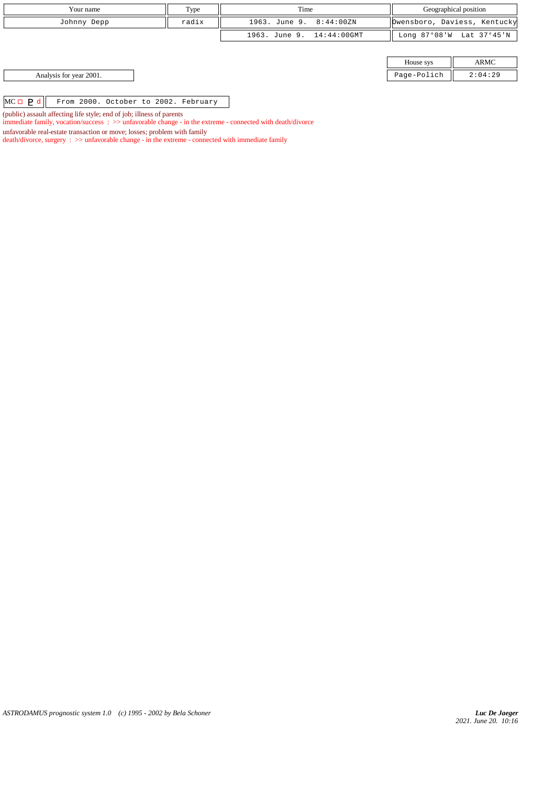| Your name                                                             | Type  | Time                      |             | Geographical position        |
|-----------------------------------------------------------------------|-------|---------------------------|-------------|------------------------------|
| Johnny Depp                                                           | radix | 1963. June 9. 8:44:00ZN   |             | Dwensboro, Daviess, Kentucky |
|                                                                       |       | 1963. June 9. 14:44:00GMT |             | Long 87°08'W Lat 37°45'N     |
|                                                                       |       |                           |             |                              |
|                                                                       |       |                           | House sys   | ARMC                         |
| Analysis for year 2001.                                               |       |                           | Page-Polich | 2:04:29                      |
|                                                                       |       |                           |             |                              |
| $MC \Box$ $P d$<br>From 2000. October to 2002. February               |       |                           |             |                              |
| (public) assault affecting life style; end of job; illness of parents |       |                           |             |                              |

immediate family, vocation/success : >> unfavorable change - in the extreme - connected with death/divorce

death/divorce, surgery : >> unfavorable change - in the extreme - connected with immediate family

unfavorable real-estate transaction or move; losses; problem with family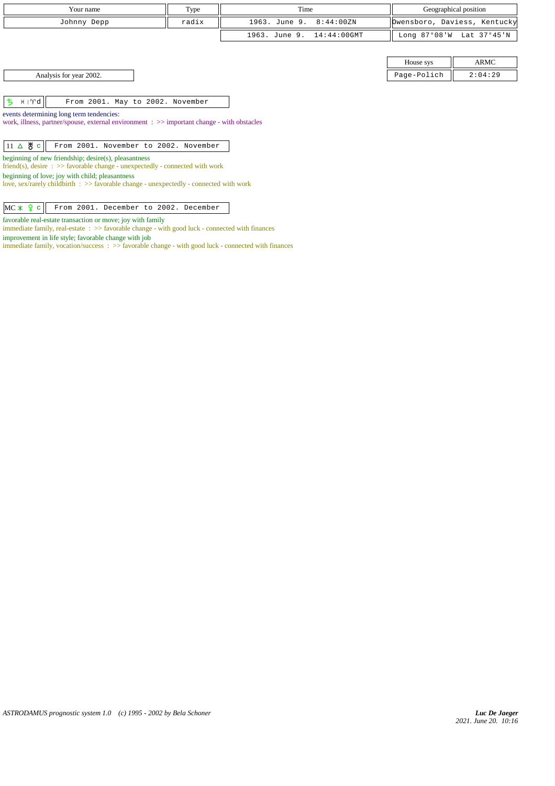| Your name                                                                                                                                     | Type  | Time          |                |                | Geographical position        |
|-----------------------------------------------------------------------------------------------------------------------------------------------|-------|---------------|----------------|----------------|------------------------------|
| Johnny Depp                                                                                                                                   | radix | 1963. June 9. | 8:44:00ZN      |                | Dwensboro, Daviess, Kentucky |
|                                                                                                                                               |       | 1963. June 9. | $14:44:00$ GMT | Long $87°08'W$ | Lat 37°45'N                  |
|                                                                                                                                               |       |               |                |                |                              |
|                                                                                                                                               |       |               |                | House sys      | ARMC                         |
| Analysis for year 2002.                                                                                                                       |       |               |                | Page-Polich    | 2:04:29                      |
|                                                                                                                                               |       |               |                |                |                              |
| ち<br>⊣ γd∥<br>From 2001. May to 2002. November                                                                                                |       |               |                |                |                              |
| events determining long term tendencies:                                                                                                      |       |               |                |                |                              |
| work, illness, partner/spouse, external environment : >> important change - with obstacles                                                    |       |               |                |                |                              |
|                                                                                                                                               |       |               |                |                |                              |
| $11 \triangle \mathcal{B}$ c<br>From 2001. November to 2002. November                                                                         |       |               |                |                |                              |
| beginning of new friendship; desire(s), pleasantness<br>friend(s), desire $\Rightarrow$ Savorable change - unexpectedly - connected with work |       |               |                |                |                              |
| beginning of love; joy with child; pleasantness<br>love, sex/rarely childbirth : $\gg$ favorable change - unexpectedly - connected with work  |       |               |                |                |                              |

 $MC \times$   $Q \text{ c}$  From 2001. December to 2002. December

favorable real-estate transaction or move; joy with family

 $\;$  immediate family, real-estate  $\;$  :  $>>$  favorable change - with good luck - connected with finances improvement in life style; favorable change with job

immediate family, vocation/success : >> favorable change - with good luck - connected with finances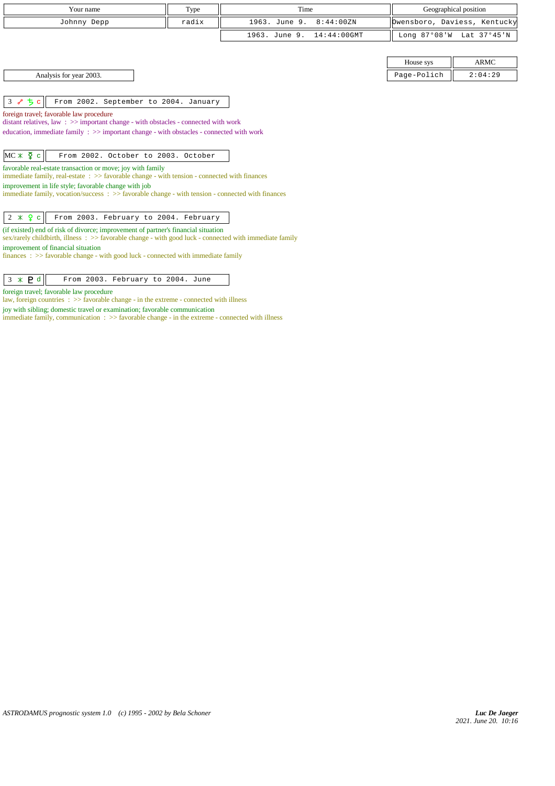| Your name                                                                                                                                                                                             | Type  | Time                            |             | Geographical position        |
|-------------------------------------------------------------------------------------------------------------------------------------------------------------------------------------------------------|-------|---------------------------------|-------------|------------------------------|
| Johnny Depp                                                                                                                                                                                           | radix | 1963. June 9.<br>8:44:00ZN      |             | Owensboro, Daviess, Kentucky |
|                                                                                                                                                                                                       |       | 1963. June 9.<br>$14:44:00$ GMT |             | Long 87°08'W Lat 37°45'N     |
|                                                                                                                                                                                                       |       |                                 |             |                              |
|                                                                                                                                                                                                       |       |                                 | House sys   | <b>ARMC</b>                  |
| Analysis for year 2003.                                                                                                                                                                               |       |                                 | Page-Polich | 2:04:29                      |
|                                                                                                                                                                                                       |       |                                 |             |                              |
| $3$ $e$ $5c$<br>From 2002. September to 2004. January                                                                                                                                                 |       |                                 |             |                              |
| foreign travel; favorable law procedure                                                                                                                                                               |       |                                 |             |                              |
| distant relatives, law : $\gg$ important change - with obstacles - connected with work                                                                                                                |       |                                 |             |                              |
| education, immediate family $\Rightarrow$ important change - with obstacles - connected with work                                                                                                     |       |                                 |             |                              |
|                                                                                                                                                                                                       |       |                                 |             |                              |
| $MC * \Sigma c$<br>From 2002. October to 2003. October                                                                                                                                                |       |                                 |             |                              |
| favorable real-estate transaction or move; joy with family                                                                                                                                            |       |                                 |             |                              |
| immediate family, real-estate $\Rightarrow$ > favorable change - with tension - connected with finances                                                                                               |       |                                 |             |                              |
| improvement in life style; favorable change with job<br>immediate family, vocation/success: $\gg$ favorable change - with tension - connected with finances                                           |       |                                 |             |                              |
|                                                                                                                                                                                                       |       |                                 |             |                              |
| $2 * 9c$<br>From 2003. February to 2004. February                                                                                                                                                     |       |                                 |             |                              |
|                                                                                                                                                                                                       |       |                                 |             |                              |
| (if existed) end of risk of divorce; improvement of partner's financial situation<br>sex/rarely childbirth, illness $\Rightarrow$ favorable change - with good luck - connected with immediate family |       |                                 |             |                              |
| improvement of financial situation                                                                                                                                                                    |       |                                 |             |                              |
| finances : $\gg$ favorable change - with good luck - connected with immediate family                                                                                                                  |       |                                 |             |                              |
|                                                                                                                                                                                                       |       |                                 |             |                              |
| $3 * P d$<br>From 2003. February to 2004. June                                                                                                                                                        |       |                                 |             |                              |

foreign travel; favorable law procedure

law, foreign countries  $\Rightarrow$  favorable change - in the extreme - connected with illness

joy with sibling; domestic travel or examination; favorable communication

immediate family, communication : >> favorable change - in the extreme - connected with illness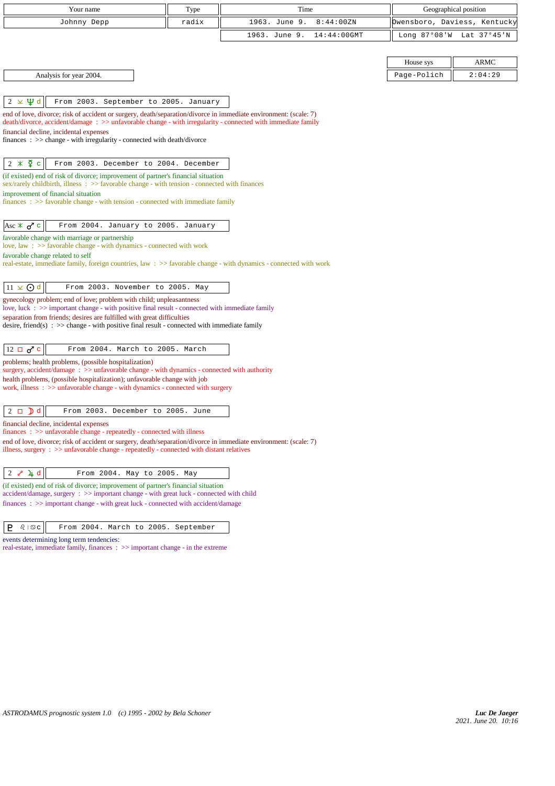| Your name                                                                                                                                                                          | Type  | Time                            |                | Geographical position        |
|------------------------------------------------------------------------------------------------------------------------------------------------------------------------------------|-------|---------------------------------|----------------|------------------------------|
| Johnny Depp                                                                                                                                                                        | radix | 1963. June 9.<br>8:44:00ZN      |                | Owensboro, Daviess, Kentucky |
|                                                                                                                                                                                    |       | 1963. June 9.<br>$14:44:00$ GMT | Long $87°08'W$ | Lat 37°45'N                  |
|                                                                                                                                                                                    |       |                                 |                |                              |
|                                                                                                                                                                                    |       |                                 | House sys      | ARMC                         |
| Analysis for year 2004.                                                                                                                                                            |       |                                 | Page-Polich    | 2:04:29                      |
|                                                                                                                                                                                    |       |                                 |                |                              |
| $2 \times \Psi d$<br>From 2003. September to 2005. January                                                                                                                         |       |                                 |                |                              |
| end of love, divorce; risk of accident or surgery, death/separation/divorce in immediate environment: (scale: 7)                                                                   |       |                                 |                |                              |
| death/divorce, accident/damage: >> unfavorable change - with irregularity - connected with immediate family<br>financial decline, incidental expenses                              |       |                                 |                |                              |
| $finances : \gg change - with irregularity - connected with death/divorce$                                                                                                         |       |                                 |                |                              |
|                                                                                                                                                                                    |       |                                 |                |                              |
| $2 * \xi$<br>From 2003. December to 2004. December                                                                                                                                 |       |                                 |                |                              |
| (if existed) end of risk of divorce; improvement of partner's financial situation<br>sex/rarely childbirth, illness : >> favorable change - with tension - connected with finances |       |                                 |                |                              |
| improvement of financial situation                                                                                                                                                 |       |                                 |                |                              |
| $finances: >> favorable change - with tension - connected with immediate family$                                                                                                   |       |                                 |                |                              |
|                                                                                                                                                                                    |       |                                 |                |                              |
| From 2004. January to 2005. January<br>Asc $\ast$ $\sigma$ <sup>c</sup>                                                                                                            |       |                                 |                |                              |
| favorable change with marriage or partnership<br>love, law : $\gg$ favorable change - with dynamics - connected with work                                                          |       |                                 |                |                              |
| favorable change related to self                                                                                                                                                   |       |                                 |                |                              |
| real-estate, immediate family, foreign countries, law: >> favorable change - with dynamics - connected with work                                                                   |       |                                 |                |                              |
| $11 \times 0d$<br>From 2003. November to 2005. May                                                                                                                                 |       |                                 |                |                              |
| gynecology problem; end of love; problem with child; unpleasantness                                                                                                                |       |                                 |                |                              |
| love, luck : >> important change - with positive final result - connected with immediate family                                                                                    |       |                                 |                |                              |
| separation from friends; desires are fulfilled with great difficulties<br>desire, friend(s) : $\gg$ change - with positive final result - connected with immediate family          |       |                                 |                |                              |
|                                                                                                                                                                                    |       |                                 |                |                              |
| $12 \Box \sigma^c$<br>From 2004. March to 2005. March                                                                                                                              |       |                                 |                |                              |
| problems; health problems, (possible hospitalization)                                                                                                                              |       |                                 |                |                              |
| surgery, accident/damage: >> unfavorable change - with dynamics - connected with authority<br>health problems, (possible hospitalization); unfavorable change with job             |       |                                 |                |                              |
| work, illness: >> unfavorable change - with dynamics - connected with surgery                                                                                                      |       |                                 |                |                              |
|                                                                                                                                                                                    |       |                                 |                |                              |
| $\mathbf{D}$ d<br>$2\Box$<br>From 2003. December to 2005. June                                                                                                                     |       |                                 |                |                              |
| financial decline, incidental expenses<br>$finances : \gg$ unfavorable change - repeatedly - connected with illness                                                                |       |                                 |                |                              |
| end of love, divorce; risk of accident or surgery, death/separation/divorce in immediate environment: (scale: 7)                                                                   |       |                                 |                |                              |
| illness, surgery $\Rightarrow$ unfavorable change - repeatedly - connected with distant relatives                                                                                  |       |                                 |                |                              |
| 4 d<br>$2\sigma$<br>From 2004. May to 2005. May                                                                                                                                    |       |                                 |                |                              |
| (if existed) end of risk of divorce; improvement of partner's financial situation                                                                                                  |       |                                 |                |                              |
| accident/damage, surgery : >> important change - with great luck - connected with child                                                                                            |       |                                 |                |                              |
| finances: >> important change - with great luck - connected with accident/damage                                                                                                   |       |                                 |                |                              |
|                                                                                                                                                                                    |       |                                 |                |                              |

 $\boxed{\mathsf{P} \quad \text{$\Omega$} \mid \text{$\mathfrak{S}\mathfrak{c}$}}$  From 2004. March to 2005. September

events determining long term tendencies:

real-estate, immediate family, finances : >> important change - in the extreme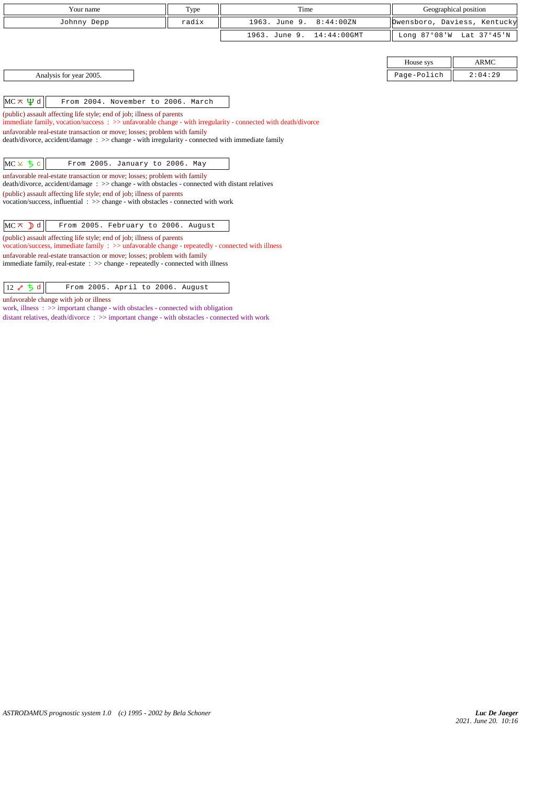| Your name                                                                                                                                                                                                                                                                                                                                                                                                                                                                                                                                                                                                                                                                                                                                                                                                                                                                                    | Type  | Time                            |                | Geographical position        |
|----------------------------------------------------------------------------------------------------------------------------------------------------------------------------------------------------------------------------------------------------------------------------------------------------------------------------------------------------------------------------------------------------------------------------------------------------------------------------------------------------------------------------------------------------------------------------------------------------------------------------------------------------------------------------------------------------------------------------------------------------------------------------------------------------------------------------------------------------------------------------------------------|-------|---------------------------------|----------------|------------------------------|
| Johnny Depp                                                                                                                                                                                                                                                                                                                                                                                                                                                                                                                                                                                                                                                                                                                                                                                                                                                                                  | radix | 1963. June 9.<br>8:44:00ZN      |                | Dwensboro, Daviess, Kentucky |
|                                                                                                                                                                                                                                                                                                                                                                                                                                                                                                                                                                                                                                                                                                                                                                                                                                                                                              |       | 1963. June 9.<br>$14:44:00$ GMT | Long $87°08'W$ | Lat 37°45'N                  |
|                                                                                                                                                                                                                                                                                                                                                                                                                                                                                                                                                                                                                                                                                                                                                                                                                                                                                              |       |                                 |                |                              |
|                                                                                                                                                                                                                                                                                                                                                                                                                                                                                                                                                                                                                                                                                                                                                                                                                                                                                              |       |                                 | House sys      | <b>ARMC</b>                  |
| Analysis for year 2005.                                                                                                                                                                                                                                                                                                                                                                                                                                                                                                                                                                                                                                                                                                                                                                                                                                                                      |       |                                 | Page-Polich    | 2:04:29                      |
| $MC \times \Psi d$<br>From 2004. November to 2006. March<br>(public) assault affecting life style; end of job; illness of parents<br>immediate family, vocation/success : >> unfavorable change - with irregularity - connected with death/divorce<br>unfavorable real-estate transaction or move; losses; problem with family<br>$death/divorce, accident/damage : >> change - with irregularity - connected with immediate family$<br>$MC \times 5c$<br>From 2005. January to 2006. May<br>unfavorable real-estate transaction or move; losses; problem with family<br>death/divorce, accident/damage: >> change - with obstacles - connected with distant relatives<br>(public) assault affecting life style; end of job; illness of parents<br>vocation/success, influential: >> change - with obstacles - connected with work<br>$MC \times D d$<br>From 2005. February to 2006. August |       |                                 |                |                              |

 $\boxed{12 \; \sqrt{\;} \; \frac{1}{\sqrt{2}} \; \frac{1}{\sqrt{2}} \; \frac{1}{\sqrt{2}} \; \frac{1}{\sqrt{2}} \; \frac{1}{\sqrt{2}} \; \frac{1}{\sqrt{2}} \; \frac{1}{\sqrt{2}} \; \frac{1}{\sqrt{2}} \; \frac{1}{\sqrt{2}} \; \frac{1}{\sqrt{2}} \; \frac{1}{\sqrt{2}} \; \frac{1}{\sqrt{2}} \; \frac{1}{\sqrt{2}} \; \frac{1}{\sqrt{2}} \; \frac{1}{\sqrt{2}} \; \frac{1}{\sqrt{2}} \; \frac{1}{\sqrt{2}} \; \frac$ 

unfavorable change with job or illness

work, illness :  $\gg$  important change - with obstacles - connected with obligation distant relatives, death/divorce : >> important change - with obstacles - connected with work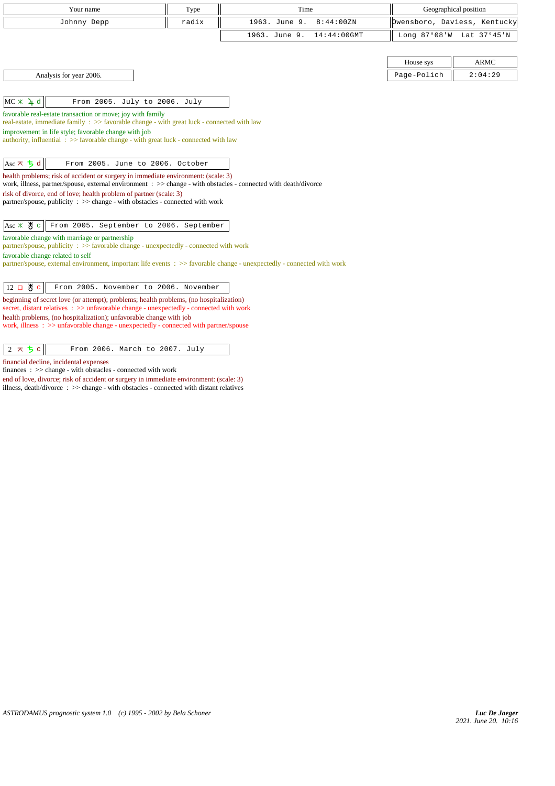| Your name                                                                                                                                                                                           | Type  | Time                            |             | Geographical position        |
|-----------------------------------------------------------------------------------------------------------------------------------------------------------------------------------------------------|-------|---------------------------------|-------------|------------------------------|
| Johnny Depp                                                                                                                                                                                         | radix | 1963. June 9.<br>8:44:00ZN      |             | Owensboro, Daviess, Kentucky |
|                                                                                                                                                                                                     |       | 1963. June 9.<br>$14:44:00$ GMT |             | Long 87°08'W Lat 37°45'N     |
|                                                                                                                                                                                                     |       |                                 |             |                              |
|                                                                                                                                                                                                     |       |                                 | House sys   | <b>ARMC</b>                  |
| Analysis for year 2006.                                                                                                                                                                             |       |                                 | Page-Polich | 2:04:29                      |
|                                                                                                                                                                                                     |       |                                 |             |                              |
| MC X 4 d<br>From 2005. July to 2006. July                                                                                                                                                           |       |                                 |             |                              |
| favorable real-estate transaction or move; joy with family<br>real-estate, immediate family : >> favorable change - with great luck - connected with law                                            |       |                                 |             |                              |
| improvement in life style; favorable change with job                                                                                                                                                |       |                                 |             |                              |
| authority, influential $\Rightarrow$ Savorable change - with great luck - connected with law                                                                                                        |       |                                 |             |                              |
|                                                                                                                                                                                                     |       |                                 |             |                              |
| Asc $\pi$ $\frac{1}{2}$ d<br>From 2005. June to 2006. October                                                                                                                                       |       |                                 |             |                              |
| health problems; risk of accident or surgery in immediate environment: (scale: 3)<br>work, illness, partner/spouse, external environment: >> change - with obstacles - connected with death/divorce |       |                                 |             |                              |
| risk of divorce, end of love; health problem of partner (scale: 3)                                                                                                                                  |       |                                 |             |                              |
| partner/spouse, publicity : >> change - with obstacles - connected with work                                                                                                                        |       |                                 |             |                              |
| $Asc \times \overset{\text{M}}{\circ} c$<br>From 2005. September to 2006. September                                                                                                                 |       |                                 |             |                              |
| favorable change with marriage or partnership                                                                                                                                                       |       |                                 |             |                              |
| partner/spouse, publicity : >> favorable change - unexpectedly - connected with work<br>favorable change related to self                                                                            |       |                                 |             |                              |
| partner/spouse, external environment, important life events : >> favorable change - unexpectedly - connected with work                                                                              |       |                                 |             |                              |
|                                                                                                                                                                                                     |       |                                 |             |                              |
| $12$ 口 5 $c$<br>From 2005. November to 2006. November                                                                                                                                               |       |                                 |             |                              |
| beginning of secret love (or attempt); problems; health problems, (no hospitalization)<br>secret, distant relatives : >> unfavorable change - unexpectedly - connected with work                    |       |                                 |             |                              |
| health problems, (no hospitalization); unfavorable change with job<br>work, illness: >> unfavorable change - unexpectedly - connected with partner/spouse                                           |       |                                 |             |                              |
|                                                                                                                                                                                                     |       |                                 |             |                              |
| $2 \times 5c$<br>From 2006. March to 2007. July                                                                                                                                                     |       |                                 |             |                              |

financial decline, incidental expenses

finances : >> change - with obstacles - connected with work

end of love, divorce; risk of accident or surgery in immediate environment: (scale: 3) illness, death/divorce : >> change - with obstacles - connected with distant relatives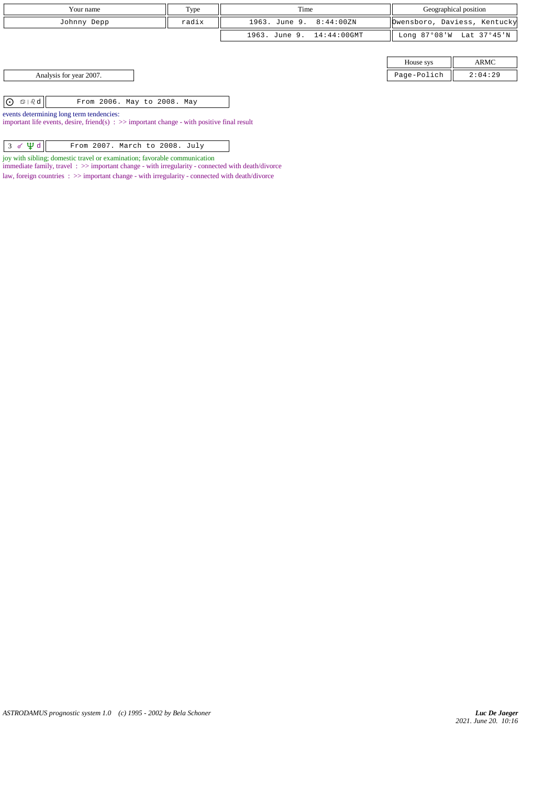| Your name                                                                                                                                          | Type  | Time                      |             | Geographical position        |
|----------------------------------------------------------------------------------------------------------------------------------------------------|-------|---------------------------|-------------|------------------------------|
| Johnny Depp                                                                                                                                        | radix | 1963. June 9. 8:44:00ZN   |             | Dwensboro, Daviess, Kentucky |
|                                                                                                                                                    |       | 1963. June 9. 14:44:00GMT |             | Long 87°08'W Lat 37°45'N     |
|                                                                                                                                                    |       |                           |             |                              |
|                                                                                                                                                    |       |                           | House sys   | ARMC                         |
| Analysis for year 2007.                                                                                                                            |       |                           | Page-Polich | 2:04:29                      |
|                                                                                                                                                    |       |                           |             |                              |
| ା⊙<br>$\circledcirc$   $\delta$ d $\vert$<br>From 2006. May to 2008. May                                                                           |       |                           |             |                              |
| events determining long term tendencies:<br>important life events, desire, friend(s) $\Rightarrow$ > important change - with positive final result |       |                           |             |                              |

| $3 \times \Psi d$<br>From 2007. March to 2008. July |
|-----------------------------------------------------|
|-----------------------------------------------------|

joy with sibling; domestic travel or examination; favorable communication immediate family, travel : >> important change - with irregularity - connected with death/divorce law, foreign countries :  $>>$  important change - with irregularity - connected with death/divorce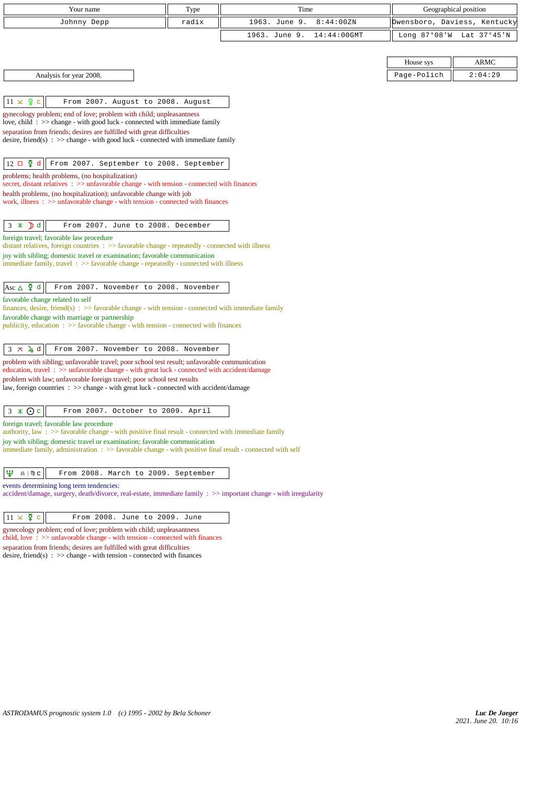| Your name                                                                                                                                                                                                                                                                                                                                                                                                                                   | Type  | Time                            |                 | Geographical position        |
|---------------------------------------------------------------------------------------------------------------------------------------------------------------------------------------------------------------------------------------------------------------------------------------------------------------------------------------------------------------------------------------------------------------------------------------------|-------|---------------------------------|-----------------|------------------------------|
| Johnny Depp                                                                                                                                                                                                                                                                                                                                                                                                                                 | radix | 1963. June 9.<br>8:44:00ZN      |                 | Owensboro, Daviess, Kentucky |
|                                                                                                                                                                                                                                                                                                                                                                                                                                             |       | 1963. June 9.<br>$14:44:00$ GMT | Long $87°08'$ W | Lat 37°45'N                  |
|                                                                                                                                                                                                                                                                                                                                                                                                                                             |       |                                 |                 |                              |
|                                                                                                                                                                                                                                                                                                                                                                                                                                             |       |                                 | House sys       | <b>ARMC</b>                  |
| Analysis for year 2008.                                                                                                                                                                                                                                                                                                                                                                                                                     |       |                                 | Page-Polich     | 2:04:29                      |
|                                                                                                                                                                                                                                                                                                                                                                                                                                             |       |                                 |                 |                              |
| $11 \times 9$ c<br>From 2007. August to 2008. August                                                                                                                                                                                                                                                                                                                                                                                        |       |                                 |                 |                              |
| gynecology problem; end of love; problem with child; unpleasantness                                                                                                                                                                                                                                                                                                                                                                         |       |                                 |                 |                              |
| love, child: $\gg$ change - with good luck - connected with immediate family<br>separation from friends; desires are fulfilled with great difficulties                                                                                                                                                                                                                                                                                      |       |                                 |                 |                              |
| desire, friend(s) : $\gg$ change - with good luck - connected with immediate family                                                                                                                                                                                                                                                                                                                                                         |       |                                 |                 |                              |
|                                                                                                                                                                                                                                                                                                                                                                                                                                             |       |                                 |                 |                              |
| $12 \Box \Phi d$<br>From 2007. September to 2008. September                                                                                                                                                                                                                                                                                                                                                                                 |       |                                 |                 |                              |
| problems; health problems, (no hospitalization)<br>secret, distant relatives $\Rightarrow$ unfavorable change - with tension - connected with finances                                                                                                                                                                                                                                                                                      |       |                                 |                 |                              |
| health problems, (no hospitalization); unfavorable change with job<br>work, illness $\Rightarrow$ > unfavorable change - with tension - connected with finances                                                                                                                                                                                                                                                                             |       |                                 |                 |                              |
|                                                                                                                                                                                                                                                                                                                                                                                                                                             |       |                                 |                 |                              |
| $\mathbf{D}$ d<br>From 2007. June to 2008. December<br>3<br>$\ast$                                                                                                                                                                                                                                                                                                                                                                          |       |                                 |                 |                              |
| foreign travel; favorable law procedure                                                                                                                                                                                                                                                                                                                                                                                                     |       |                                 |                 |                              |
| distant relatives, foreign countries : >> favorable change - repeatedly - connected with illness<br>joy with sibling; domestic travel or examination; favorable communication                                                                                                                                                                                                                                                               |       |                                 |                 |                              |
| immediate family, travel $\Rightarrow$ favorable change - repeatedly - connected with illness                                                                                                                                                                                                                                                                                                                                               |       |                                 |                 |                              |
|                                                                                                                                                                                                                                                                                                                                                                                                                                             |       |                                 |                 |                              |
| Asc $\Delta$ $\Phi$ d<br>From 2007. November to 2008. November                                                                                                                                                                                                                                                                                                                                                                              |       |                                 |                 |                              |
| favorable change related to self<br>finances, desire, friend(s) : $\gg$ favorable change - with tension - connected with immediate family                                                                                                                                                                                                                                                                                                   |       |                                 |                 |                              |
| favorable change with marriage or partnership<br>publicity, education $\Rightarrow$ Savorable change - with tension - connected with finances                                                                                                                                                                                                                                                                                               |       |                                 |                 |                              |
|                                                                                                                                                                                                                                                                                                                                                                                                                                             |       |                                 |                 |                              |
| $3 \times 1$ d<br>From 2007. November to 2008. November                                                                                                                                                                                                                                                                                                                                                                                     |       |                                 |                 |                              |
| problem with sibling; unfavorable travel; poor school test result; unfavorable communication<br>education, travel: >> unfavorable change - with great luck - connected with accident/damage                                                                                                                                                                                                                                                 |       |                                 |                 |                              |
| problem with law; unfavorable foreign travel; poor school test results                                                                                                                                                                                                                                                                                                                                                                      |       |                                 |                 |                              |
| law, foreign countries : >> change - with great luck - connected with accident/damage                                                                                                                                                                                                                                                                                                                                                       |       |                                 |                 |                              |
| $3 \times Qc$<br>From 2007. October to 2009. April                                                                                                                                                                                                                                                                                                                                                                                          |       |                                 |                 |                              |
| foreign travel; favorable law procedure                                                                                                                                                                                                                                                                                                                                                                                                     |       |                                 |                 |                              |
| authority, law : $\gg$ favorable change - with positive final result - connected with immediate family                                                                                                                                                                                                                                                                                                                                      |       |                                 |                 |                              |
| joy with sibling; domestic travel or examination; favorable communication<br>immediate family, administration : >> favorable change - with positive final result - connected with self                                                                                                                                                                                                                                                      |       |                                 |                 |                              |
|                                                                                                                                                                                                                                                                                                                                                                                                                                             |       |                                 |                 |                              |
| Ψ<br>$\overline{v}$   $\overline{w}$ C<br>From 2008. March to 2009. September                                                                                                                                                                                                                                                                                                                                                               |       |                                 |                 |                              |
| events determining long term tendencies:<br>accident/damage, surgery, death/divorce, real-estate, immediate family : >> important change - with irregularity                                                                                                                                                                                                                                                                                |       |                                 |                 |                              |
|                                                                                                                                                                                                                                                                                                                                                                                                                                             |       |                                 |                 |                              |
| $11 \times \xi$ c<br>From 2008. June to 2009. June                                                                                                                                                                                                                                                                                                                                                                                          |       |                                 |                 |                              |
| gynecology problem; end of love; problem with child; unpleasantness<br>child, love $\Rightarrow$ solution $\Rightarrow$ solution $\Rightarrow$ solution $\Rightarrow$ solution $\Rightarrow$ solution $\Rightarrow$ solution $\Rightarrow$ solution $\Rightarrow$ solution $\Rightarrow$ solution $\Rightarrow$ solution $\Rightarrow$ solution $\Rightarrow$ solution $\Rightarrow$ solution $\Rightarrow$ solution $\Rightarrow$ solution |       |                                 |                 |                              |
| separation from friends; desires are fulfilled with great difficulties                                                                                                                                                                                                                                                                                                                                                                      |       |                                 |                 |                              |
| desire, friend(s) : $\gg$ change - with tension - connected with finances                                                                                                                                                                                                                                                                                                                                                                   |       |                                 |                 |                              |
|                                                                                                                                                                                                                                                                                                                                                                                                                                             |       |                                 |                 |                              |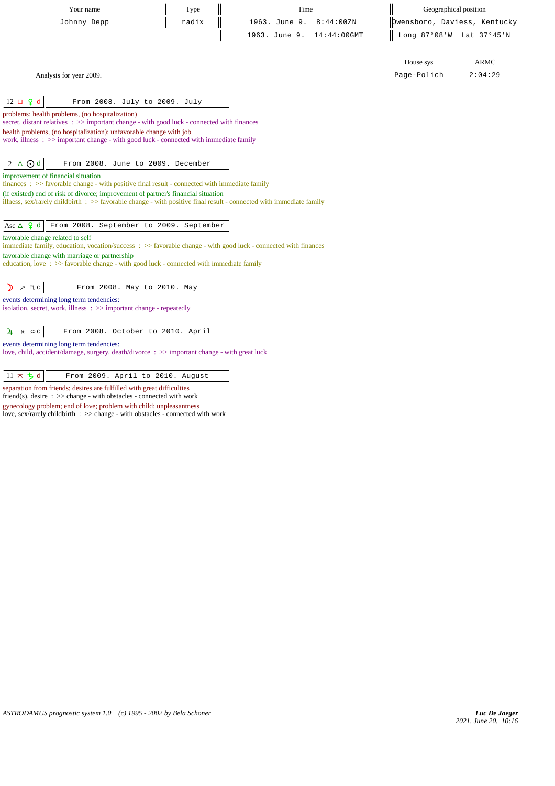| Your name                                                                                                                                                      | Type  | Time                            |             | Geographical position        |
|----------------------------------------------------------------------------------------------------------------------------------------------------------------|-------|---------------------------------|-------------|------------------------------|
| Johnny Depp                                                                                                                                                    | radix | 1963. June 9.<br>8:44:00ZN      |             | Owensboro, Daviess, Kentucky |
|                                                                                                                                                                |       | 1963. June 9.<br>$14:44:00$ GMT |             | Long 87°08'W Lat 37°45'N     |
|                                                                                                                                                                |       |                                 |             |                              |
|                                                                                                                                                                |       |                                 | House sys   | <b>ARMC</b>                  |
| Analysis for year 2009.                                                                                                                                        |       |                                 | Page-Polich | 2:04:29                      |
|                                                                                                                                                                |       |                                 |             |                              |
| $12 \Box$ $9d$<br>From 2008. July to 2009. July                                                                                                                |       |                                 |             |                              |
| problems; health problems, (no hospitalization)<br>secret, distant relatives : >> important change - with good luck - connected with finances                  |       |                                 |             |                              |
| health problems, (no hospitalization); unfavorable change with job                                                                                             |       |                                 |             |                              |
| work, illness $\Rightarrow$ >> important change - with good luck - connected with immediate family                                                             |       |                                 |             |                              |
|                                                                                                                                                                |       |                                 |             |                              |
| $2 \triangle$ $\odot$ d<br>From 2008. June to 2009. December                                                                                                   |       |                                 |             |                              |
| improvement of financial situation<br>$finances : >> favorable change - with positive final result - connected with immediate family$                          |       |                                 |             |                              |
| (if existed) end of risk of divorce; improvement of partner's financial situation                                                                              |       |                                 |             |                              |
| illness, sex/rarely childbirth $\Rightarrow$ S avorable change - with positive final result - connected with immediate family                                  |       |                                 |             |                              |
| Asc $\triangle$ 9 d<br>From 2008. September to 2009. September                                                                                                 |       |                                 |             |                              |
| favorable change related to self                                                                                                                               |       |                                 |             |                              |
| immediate family, education, vocation/success: >> favorable change - with good luck - connected with finances<br>favorable change with marriage or partnership |       |                                 |             |                              |
| education, love $\Rightarrow$ >> favorable change - with good luck - connected with immediate family                                                           |       |                                 |             |                              |
|                                                                                                                                                                |       |                                 |             |                              |
| From 2008. May to 2010. May<br>D<br>$x \mid \mathbb{M}$ C                                                                                                      |       |                                 |             |                              |
| events determining long term tendencies:<br>isolation, secret, work, illness: >> important change - repeatedly                                                 |       |                                 |             |                              |
|                                                                                                                                                                |       |                                 |             |                              |
| From 2008. October to 2010. April<br>$\mathbf{u}$<br>$H \mid \mathfrak{m} \subset$                                                                             |       |                                 |             |                              |
| events determining long term tendencies:                                                                                                                       |       |                                 |             |                              |
| love, child, accident/damage, surgery, death/divorce: >> important change - with great luck                                                                    |       |                                 |             |                              |
| $11 \times 5d$<br>From 2009. April to 2010. August                                                                                                             |       |                                 |             |                              |
|                                                                                                                                                                |       |                                 |             |                              |

separation from friends; desires are fulfilled with great difficulties

friend(s), desire : >> change - with obstacles - connected with work

gynecology problem; end of love; problem with child; unpleasantness love, sex/rarely childbirth : >> change - with obstacles - connected with work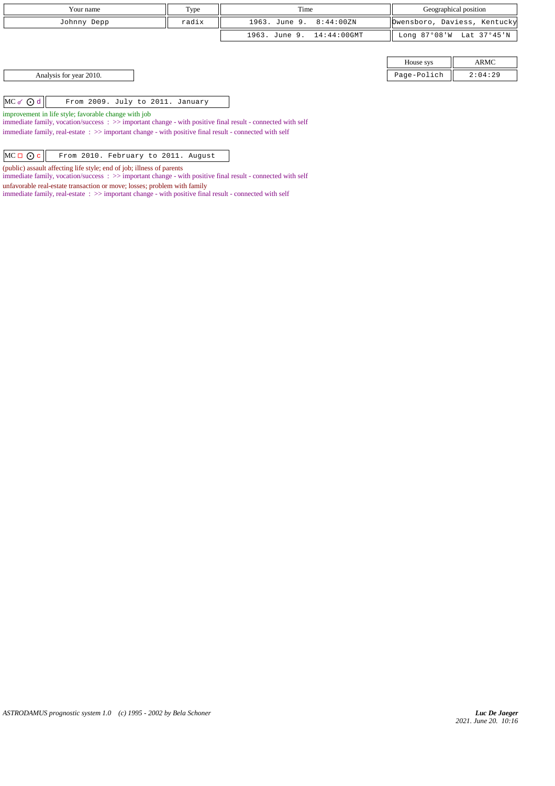| Your name                                             | Type  | Time                      | Geographical position |                              |
|-------------------------------------------------------|-------|---------------------------|-----------------------|------------------------------|
| Johnny Depp                                           | radix |                           |                       | Dwensboro, Daviess, Kentucky |
|                                                       |       | 1963. June 9. 14:44:00GMT |                       | Long 87°08'W Lat 37°45'N     |
|                                                       |       |                           |                       |                              |
|                                                       |       |                           | House sys             | ARMC                         |
| Analysis for year 2010.                               |       |                           | Page-Polich           | 2:04:29                      |
|                                                       |       |                           |                       |                              |
| $MC \sigma$ $Q d$<br>From 2009. July to 2011. January |       |                           |                       |                              |

improvement in life style; favorable change with job

immediate family, vocation/success : >> important change - with positive final result - connected with self immediate family, real-estate : >> important change - with positive final result - connected with self

 $\left|\text{MC} \sqcup \bigodot \text{c}\right|$  From 2010. February to 2011. August

(public) assault affecting life style; end of job; illness of parents

immediate family, vocation/success : >> important change - with positive final result - connected with self

unfavorable real-estate transaction or move; losses; problem with family

immediate family, real-estate : >> important change - with positive final result - connected with self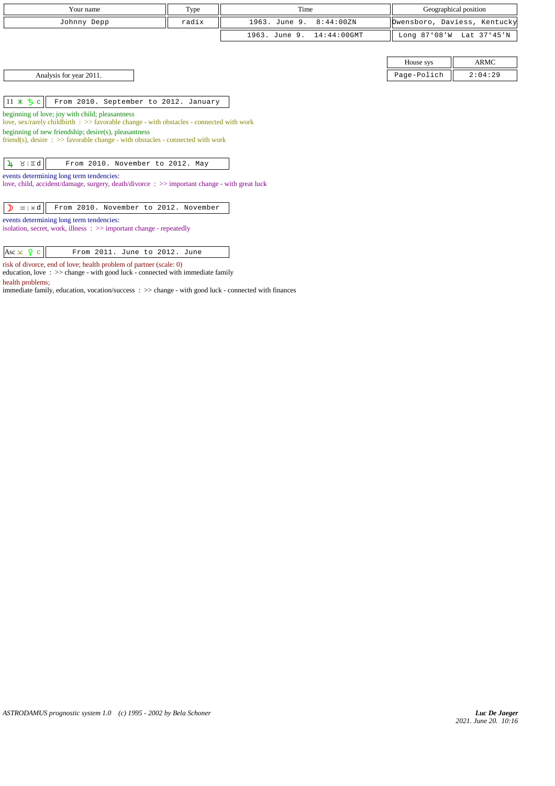| Your name                                                                                                           | Type  | Time                            |             | Geographical position        |
|---------------------------------------------------------------------------------------------------------------------|-------|---------------------------------|-------------|------------------------------|
| Johnny Depp                                                                                                         | radix | 1963. June 9.<br>8:44:00ZN      |             | Owensboro, Daviess, Kentucky |
|                                                                                                                     |       | 1963. June 9.<br>$14:44:00$ GMT |             | Long 87°08'W Lat 37°45'N     |
|                                                                                                                     |       |                                 |             |                              |
|                                                                                                                     |       |                                 | House sys   | <b>ARMC</b>                  |
| Analysis for year 2011.                                                                                             |       |                                 | Page-Polich | 2:04:29                      |
|                                                                                                                     |       |                                 |             |                              |
| $11 * 5c$<br>From 2010. September to 2012. January                                                                  |       |                                 |             |                              |
| beginning of love; joy with child; pleasantness                                                                     |       |                                 |             |                              |
| love, sex/rarely childbirth : >> favorable change - with obstacles - connected with work                            |       |                                 |             |                              |
| beginning of new friendship; desire(s), pleasantness                                                                |       |                                 |             |                              |
| friend(s), desire $\Rightarrow$ S favorable change - with obstacles - connected with work                           |       |                                 |             |                              |
| $4 \times 10$<br>From 2010. November to 2012. May                                                                   |       |                                 |             |                              |
| events determining long term tendencies:                                                                            |       |                                 |             |                              |
| love, child, accident/damage, surgery, death/divorce $\div$ $\rightarrow$ $\div$ important change - with great luck |       |                                 |             |                              |
|                                                                                                                     |       |                                 |             |                              |
| $m + H d$<br>From 2010. November to 2012. November<br>$\mathcal{D}$                                                 |       |                                 |             |                              |
| events determining long term tendencies:                                                                            |       |                                 |             |                              |
| isolation, secret, work, illness: >> important change - repeatedly                                                  |       |                                 |             |                              |
|                                                                                                                     |       |                                 |             |                              |
| Asc $\times$ 9 c<br>From 2011. June to 2012. June                                                                   |       |                                 |             |                              |
| risk of divorce, end of love; health problem of partner (scale: 0)                                                  |       |                                 |             |                              |

education, love : >> change - with good luck - connected with immediate family health problems;

immediate family, education, vocation/success : >> change - with good luck - connected with finances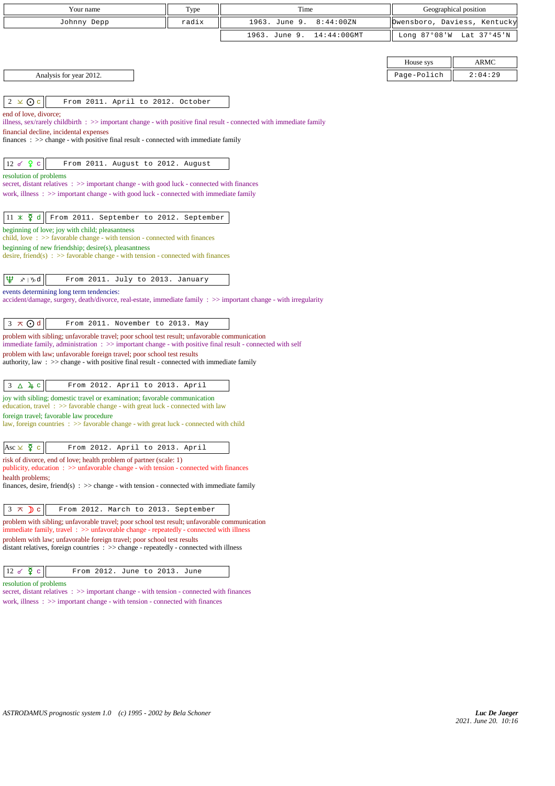| Your name                                                                                                                                                                                                 | Type  | Time                            |             | Geographical position        |
|-----------------------------------------------------------------------------------------------------------------------------------------------------------------------------------------------------------|-------|---------------------------------|-------------|------------------------------|
| Johnny Depp                                                                                                                                                                                               | radix | 1963. June 9.<br>8:44:00ZN      |             | Owensboro, Daviess, Kentucky |
|                                                                                                                                                                                                           |       | 1963. June 9.<br>$14:44:00$ GMT |             | Long 87°08'W Lat 37°45'N     |
|                                                                                                                                                                                                           |       |                                 |             |                              |
|                                                                                                                                                                                                           |       |                                 | House sys   | ARMC                         |
| Analysis for year 2012.                                                                                                                                                                                   |       |                                 | Page-Polich | 2:04:29                      |
|                                                                                                                                                                                                           |       |                                 |             |                              |
| $2 \times 0$ c<br>From 2011. April to 2012. October                                                                                                                                                       |       |                                 |             |                              |
| end of love, divorce;                                                                                                                                                                                     |       |                                 |             |                              |
| illness, sex/rarely childbirth : >> important change - with positive final result - connected with immediate family<br>financial decline, incidental expenses                                             |       |                                 |             |                              |
| finances : $\gg$ change - with positive final result - connected with immediate family                                                                                                                    |       |                                 |             |                              |
|                                                                                                                                                                                                           |       |                                 |             |                              |
| $12 \times 9$ c<br>From 2011. August to 2012. August                                                                                                                                                      |       |                                 |             |                              |
| resolution of problems                                                                                                                                                                                    |       |                                 |             |                              |
| secret, distant relatives : >> important change - with good luck - connected with finances<br>work, illness $\Rightarrow$ > important change - with good luck - connected with immediate family           |       |                                 |             |                              |
|                                                                                                                                                                                                           |       |                                 |             |                              |
| $11 \times \xi$ d<br>From 2011. September to 2012. September                                                                                                                                              |       |                                 |             |                              |
| beginning of love; joy with child; pleasantness                                                                                                                                                           |       |                                 |             |                              |
| child, love $\Rightarrow$ Savorable change - with tension - connected with finances                                                                                                                       |       |                                 |             |                              |
| beginning of new friendship; desire(s), pleasantness<br>desire, friend(s) : $\gg$ favorable change - with tension - connected with finances                                                               |       |                                 |             |                              |
|                                                                                                                                                                                                           |       |                                 |             |                              |
| $\mathfrak{P}$<br>$x \upharpoonright y$ d<br>From 2011. July to 2013. January                                                                                                                             |       |                                 |             |                              |
| events determining long term tendencies:                                                                                                                                                                  |       |                                 |             |                              |
| accident/damage, surgery, death/divorce, real-estate, immediate family : >> important change - with irregularity                                                                                          |       |                                 |             |                              |
|                                                                                                                                                                                                           |       |                                 |             |                              |
| $3 \times Qd$<br>From 2011. November to 2013. May                                                                                                                                                         |       |                                 |             |                              |
| problem with sibling; unfavorable travel; poor school test result; unfavorable communication<br>immediate family, administration : >> important change - with positive final result - connected with self |       |                                 |             |                              |
| problem with law; unfavorable foreign travel; poor school test results                                                                                                                                    |       |                                 |             |                              |
| authority, law: $\gg$ change - with positive final result - connected with immediate family                                                                                                               |       |                                 |             |                              |
| $3\Delta$ 4 c<br>From 2012. April to 2013. April                                                                                                                                                          |       |                                 |             |                              |
| joy with sibling; domestic travel or examination; favorable communication                                                                                                                                 |       |                                 |             |                              |
| education, travel: >> favorable change - with great luck - connected with law                                                                                                                             |       |                                 |             |                              |
| foreign travel; favorable law procedure<br>law, foreign countries : >> favorable change - with great luck - connected with child                                                                          |       |                                 |             |                              |
|                                                                                                                                                                                                           |       |                                 |             |                              |
| Asc $\times$ $\zeta$ c<br>From 2012. April to 2013. April                                                                                                                                                 |       |                                 |             |                              |
| risk of divorce, end of love; health problem of partner (scale: 1)                                                                                                                                        |       |                                 |             |                              |
| publicity, education : >> unfavorable change - with tension - connected with finances                                                                                                                     |       |                                 |             |                              |
| health problems;<br>finances, desire, friend(s) : $\gg$ change - with tension - connected with immediate family                                                                                           |       |                                 |             |                              |
|                                                                                                                                                                                                           |       |                                 |             |                              |
| $3 \times$<br>$\sum$ c<br>From 2012. March to 2013. September                                                                                                                                             |       |                                 |             |                              |
| problem with sibling; unfavorable travel; poor school test result; unfavorable communication<br>immediate family, travel $\Rightarrow$ unfavorable change - repeatedly - connected with illness           |       |                                 |             |                              |
| problem with law; unfavorable foreign travel; poor school test results                                                                                                                                    |       |                                 |             |                              |
| distant relatives, foreign countries $\therefore$ > change - repeatedly - connected with illness                                                                                                          |       |                                 |             |                              |
|                                                                                                                                                                                                           |       |                                 |             |                              |
| $12 \times \Phi$<br>$\mathbf C$<br>From 2012. June to 2013. June                                                                                                                                          |       |                                 |             |                              |
| resolution of problems<br>secret, distant relatives $\Rightarrow$ important change - with tension - connected with finances                                                                               |       |                                 |             |                              |
| work, illness $\Rightarrow$ important change - with tension - connected with finances                                                                                                                     |       |                                 |             |                              |
|                                                                                                                                                                                                           |       |                                 |             |                              |
|                                                                                                                                                                                                           |       |                                 |             |                              |
|                                                                                                                                                                                                           |       |                                 |             |                              |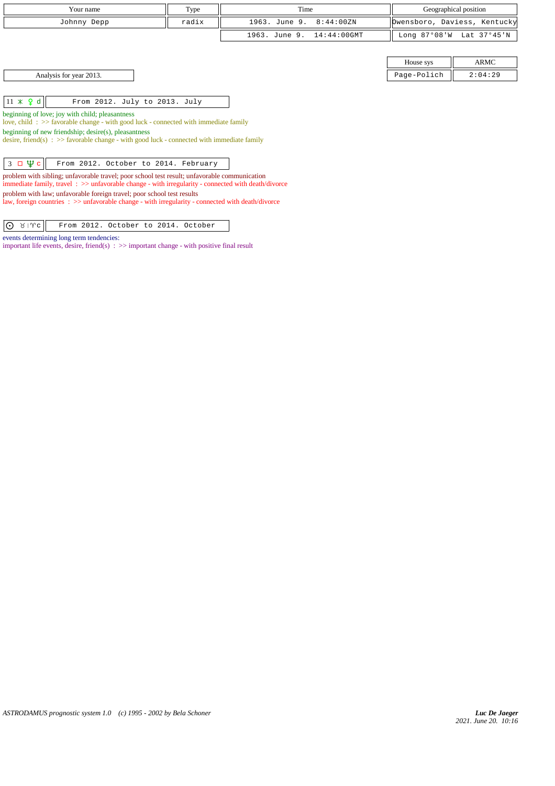| Your name                                                                                                                                                                                                    | Type  | Time                         |              | Geographical position        |
|--------------------------------------------------------------------------------------------------------------------------------------------------------------------------------------------------------------|-------|------------------------------|--------------|------------------------------|
| Johnny Depp                                                                                                                                                                                                  | radix | 8:44:00ZN<br>1963. June 9.   |              | Owensboro, Daviess, Kentucky |
|                                                                                                                                                                                                              |       | 1963. June 9.<br>14:44:00GMT | Long 87°08'W | Lat 37°45'N                  |
|                                                                                                                                                                                                              |       |                              |              |                              |
|                                                                                                                                                                                                              |       |                              | House sys    | ARMC                         |
| Analysis for year 2013.                                                                                                                                                                                      |       |                              | Page-Polich  | 2:04:29                      |
|                                                                                                                                                                                                              |       |                              |              |                              |
| $11 \times 9$ d<br>From 2012. July to 2013. July                                                                                                                                                             |       |                              |              |                              |
| beginning of love; joy with child; pleasantness<br>love, child: >> favorable change - with good luck - connected with immediate family                                                                       |       |                              |              |                              |
| beginning of new friendship; desire(s), pleasantness<br>desire, friend(s) : $\gg$ favorable change - with good luck - connected with immediate family                                                        |       |                              |              |                              |
| $3 \Box \Psi c$<br>From 2012. October to 2014. February                                                                                                                                                      |       |                              |              |                              |
| problem with sibling; unfavorable travel; poor school test result; unfavorable communication<br>immediate family, travel $\Rightarrow$ unfavorable change - with irregularity - connected with death/divorce |       |                              |              |                              |
| problem with law; unfavorable foreign travel; poor school test results<br>law, foreign countries $\Rightarrow$ >> unfavorable change - with irregularity - connected with death/divorce                      |       |                              |              |                              |

**O**  $\forall$  |  $\forall$  From 2012. October to 2014. October

important life events, desire, friend(s)  $\Rightarrow$   $\Rightarrow$  important change - with positive final result

events determining long term tendencies: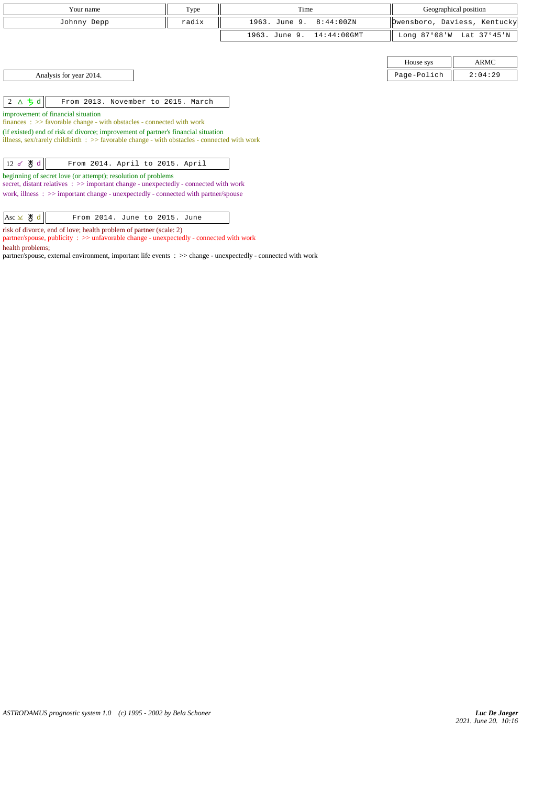| Your name                                                                                                                                                 | Type  | Time          |                | Geographical position |                              |
|-----------------------------------------------------------------------------------------------------------------------------------------------------------|-------|---------------|----------------|-----------------------|------------------------------|
| Johnny Depp                                                                                                                                               | radix | 1963. June 9. | 8:44:00ZN      |                       | bwensboro, Daviess, Kentucky |
|                                                                                                                                                           |       | 1963. June 9. | $14:44:00$ GMT |                       | Long 87°08'W Lat 37°45'N     |
|                                                                                                                                                           |       |               |                |                       |                              |
|                                                                                                                                                           |       |               |                | House sys             | ARMC                         |
| Analysis for year 2014.                                                                                                                                   |       |               |                | Page-Polich           | 2:04:29                      |
|                                                                                                                                                           |       |               |                |                       |                              |
| $2\Delta$ 5 d<br>From 2013. November to 2015. March                                                                                                       |       |               |                |                       |                              |
| improvement of financial situation                                                                                                                        |       |               |                |                       |                              |
| finances: >> favorable change - with obstacles - connected with work<br>(if existed) end of risk of divorce; improvement of partner's financial situation |       |               |                |                       |                              |
| illness, sex/rarely childbirth $\Rightarrow$ favorable change - with obstacles - connected with work                                                      |       |               |                |                       |                              |
|                                                                                                                                                           |       |               |                |                       |                              |
| $12d$ 5 d<br>From 2014. April to 2015. April                                                                                                              |       |               |                |                       |                              |
| beginning of secret love (or attempt); resolution of problems<br>secret, distant relatives : >> important change - unexpectedly - connected with work     |       |               |                |                       |                              |
| work, illness $\Rightarrow$ important change - unexpectedly - connected with partner/spouse                                                               |       |               |                |                       |                              |

risk of divorce, end of love; health problem of partner (scale: 2)

partner/spouse, publicity : >> unfavorable change - unexpectedly - connected with work health problems;

partner/spouse, external environment, important life events : >> change - unexpectedly - connected with work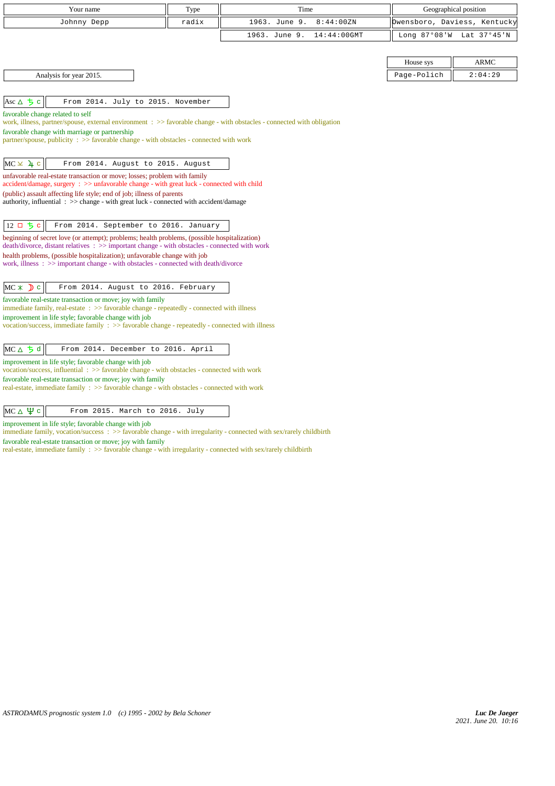| Your name                                                                                                                                                                                       | Type  | Time                            |                              | Geographical position    |
|-------------------------------------------------------------------------------------------------------------------------------------------------------------------------------------------------|-------|---------------------------------|------------------------------|--------------------------|
| Johnny Depp                                                                                                                                                                                     | radix | 1963. June 9.<br>8:44:00ZN      | Owensboro, Daviess, Kentucky |                          |
|                                                                                                                                                                                                 |       | 1963. June 9.<br>$14:44:00$ GMT |                              | Long 87°08'W Lat 37°45'N |
|                                                                                                                                                                                                 |       |                                 |                              |                          |
|                                                                                                                                                                                                 |       |                                 | House sys                    | <b>ARMC</b>              |
| Analysis for year 2015.                                                                                                                                                                         |       |                                 | Page-Polich                  | 2:04:29                  |
|                                                                                                                                                                                                 |       |                                 |                              |                          |
| Asc $\triangle$ 5 c<br>From 2014. July to 2015. November                                                                                                                                        |       |                                 |                              |                          |
| favorable change related to self<br>work, illness, partner/spouse, external environment : >> favorable change - with obstacles - connected with obligation                                      |       |                                 |                              |                          |
| favorable change with marriage or partnership                                                                                                                                                   |       |                                 |                              |                          |
| partner/spouse, publicity: >> favorable change - with obstacles - connected with work                                                                                                           |       |                                 |                              |                          |
| $MC \times 4c$<br>From 2014. August to 2015. August                                                                                                                                             |       |                                 |                              |                          |
| unfavorable real-estate transaction or move; losses; problem with family                                                                                                                        |       |                                 |                              |                          |
| accident/damage, surgery : >> unfavorable change - with great luck - connected with child                                                                                                       |       |                                 |                              |                          |
| (public) assault affecting life style; end of job; illness of parents<br>authority, influential : >> change - with great luck - connected with accident/damage                                  |       |                                 |                              |                          |
|                                                                                                                                                                                                 |       |                                 |                              |                          |
| $12$ ロ ち c<br>From 2014. September to 2016. January                                                                                                                                             |       |                                 |                              |                          |
| beginning of secret love (or attempt); problems; health problems, (possible hospitalization)<br>$death/divorce, distant relatives : >> important change - with obstacles - connected with work$ |       |                                 |                              |                          |
| health problems, (possible hospitalization); unfavorable change with job<br>work, illness: >> important change - with obstacles - connected with death/divorce                                  |       |                                 |                              |                          |
|                                                                                                                                                                                                 |       |                                 |                              |                          |
| $MC * D c$<br>From 2014. August to 2016. February                                                                                                                                               |       |                                 |                              |                          |
| favorable real-estate transaction or move; joy with family                                                                                                                                      |       |                                 |                              |                          |
| immediate family, real-estate $\Rightarrow$ > favorable change - repeatedly - connected with illness<br>improvement in life style; favorable change with job                                    |       |                                 |                              |                          |
| vocation/success, immediate family $\Rightarrow$ favorable change - repeatedly - connected with illness                                                                                         |       |                                 |                              |                          |
|                                                                                                                                                                                                 |       |                                 |                              |                          |
| $MC \triangle 5d$<br>From 2014. December to 2016. April                                                                                                                                         |       |                                 |                              |                          |
| improvement in life style; favorable change with job<br>vocation/success, influential: $\gg$ favorable change - with obstacles - connected with work                                            |       |                                 |                              |                          |
| favorable real-estate transaction or move; joy with family                                                                                                                                      |       |                                 |                              |                          |
| real-estate, immediate family : >> favorable change - with obstacles - connected with work                                                                                                      |       |                                 |                              |                          |
|                                                                                                                                                                                                 |       |                                 |                              |                          |

 $MC \triangle \frac{\psi}{c}$  From 2015. March to 2016. July

improvement in life style; favorable change with job

immediate family, vocation/success : >> favorable change - with irregularity - connected with sex/rarely childbirth

favorable real-estate transaction or move; joy with family

real-estate, immediate family : >> favorable change - with irregularity - connected with sex/rarely childbirth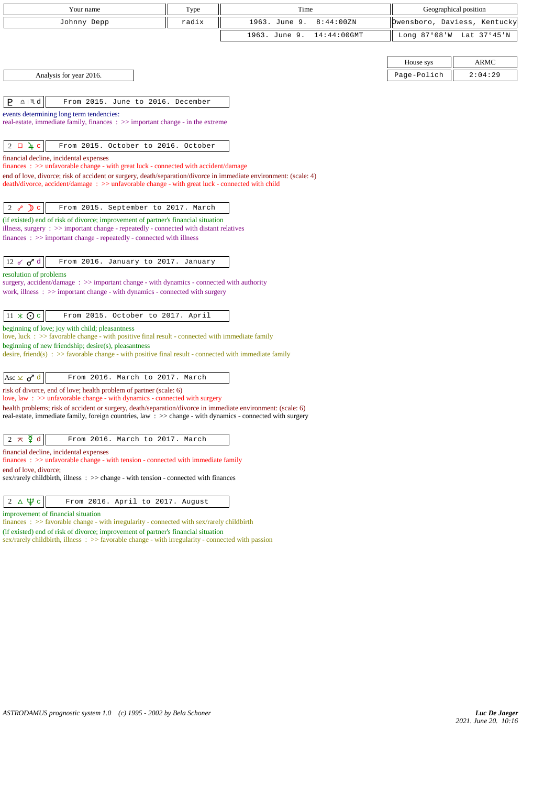| Your name                                                                                                                                                                                                                          | Type  | Time                            |                              | Geographical position    |
|------------------------------------------------------------------------------------------------------------------------------------------------------------------------------------------------------------------------------------|-------|---------------------------------|------------------------------|--------------------------|
| Johnny Depp                                                                                                                                                                                                                        | radix | 1963. June 9.<br>8:44:00 ZN     | Owensboro, Daviess, Kentucky |                          |
|                                                                                                                                                                                                                                    |       | 1963. June 9.<br>$14:44:00$ GMT |                              | Long 87°08'W Lat 37°45'N |
|                                                                                                                                                                                                                                    |       |                                 |                              |                          |
|                                                                                                                                                                                                                                    |       |                                 | House sys                    | ARMC                     |
| Analysis for year 2016.                                                                                                                                                                                                            |       |                                 | Page-Polich                  | 2:04:29                  |
|                                                                                                                                                                                                                                    |       |                                 |                              |                          |
| P.<br>$\underline{\Omega}$   $M$ d<br>From 2015. June to 2016. December                                                                                                                                                            |       |                                 |                              |                          |
| events determining long term tendencies:<br>real-estate, immediate family, finances $\Rightarrow$ important change - in the extreme                                                                                                |       |                                 |                              |                          |
| $2 \Box 4 c$<br>From 2015. October to 2016. October                                                                                                                                                                                |       |                                 |                              |                          |
| financial decline, incidental expenses                                                                                                                                                                                             |       |                                 |                              |                          |
| finances: >> unfavorable change - with great luck - connected with accident/damage<br>end of love, divorce; risk of accident or surgery, death/separation/divorce in immediate environment: (scale: 4)                             |       |                                 |                              |                          |
| death/divorce, accident/damage: >> unfavorable change - with great luck - connected with child                                                                                                                                     |       |                                 |                              |                          |
|                                                                                                                                                                                                                                    |       |                                 |                              |                          |
| 2 $\delta$ D c<br>From 2015. September to 2017. March<br>(if existed) end of risk of divorce; improvement of partner's financial situation                                                                                         |       |                                 |                              |                          |
| illness, surgery : >> important change - repeatedly - connected with distant relatives                                                                                                                                             |       |                                 |                              |                          |
| $finances : \gg important change - repeatedly - connected with illness$                                                                                                                                                            |       |                                 |                              |                          |
| 12 $\sigma$ $\sigma$ <sup>d</sup><br>From 2016. January to 2017. January                                                                                                                                                           |       |                                 |                              |                          |
| resolution of problems                                                                                                                                                                                                             |       |                                 |                              |                          |
| surgery, accident/damage: >> important change - with dynamics - connected with authority                                                                                                                                           |       |                                 |                              |                          |
| work, illness $\Rightarrow$ important change - with dynamics - connected with surgery                                                                                                                                              |       |                                 |                              |                          |
| $11 \times Qc$<br>From 2015. October to 2017. April                                                                                                                                                                                |       |                                 |                              |                          |
| beginning of love; joy with child; pleasantness                                                                                                                                                                                    |       |                                 |                              |                          |
| love, luck $\div$ $\Rightarrow$ favorable change - with positive final result - connected with immediate family<br>beginning of new friendship; desire(s), pleasantness                                                            |       |                                 |                              |                          |
| desire, friend(s) : $\gg$ favorable change - with positive final result - connected with immediate family                                                                                                                          |       |                                 |                              |                          |
|                                                                                                                                                                                                                                    |       |                                 |                              |                          |
| Asc $\times$ $\sigma$ <sup>7</sup> d<br>From 2016. March to 2017. March                                                                                                                                                            |       |                                 |                              |                          |
| risk of divorce, end of love; health problem of partner (scale: 6)<br>love, law : $\gg$ unfavorable change - with dynamics - connected with surgery                                                                                |       |                                 |                              |                          |
| health problems; risk of accident or surgery, death/separation/divorce in immediate environment: (scale: 6)<br>real-estate, immediate family, foreign countries, law $\Rightarrow$ change - with dynamics - connected with surgery |       |                                 |                              |                          |
|                                                                                                                                                                                                                                    |       |                                 |                              |                          |
| $2 \times \xi$ d<br>From 2016. March to 2017. March                                                                                                                                                                                |       |                                 |                              |                          |
| financial decline, incidental expenses<br>$finances: >> unfavorable change - with tension - connected with immediate family$                                                                                                       |       |                                 |                              |                          |
| end of love, divorce:<br>sex/rarely childbirth, illness : >> change - with tension - connected with finances                                                                                                                       |       |                                 |                              |                          |
|                                                                                                                                                                                                                                    |       |                                 |                              |                          |
| $2\Delta\Psi$ c<br>From 2016. April to 2017. August                                                                                                                                                                                |       |                                 |                              |                          |
| improvement of financial situation<br>finances : $\gg$ favorable change - with irregularity - connected with sex/rarely childbirth                                                                                                 |       |                                 |                              |                          |
| (if existed) end of risk of divorce; improvement of partner's financial situation                                                                                                                                                  |       |                                 |                              |                          |

sex/rarely childbirth, illness :  $\gg$  favorable change - with irregularity - connected with passion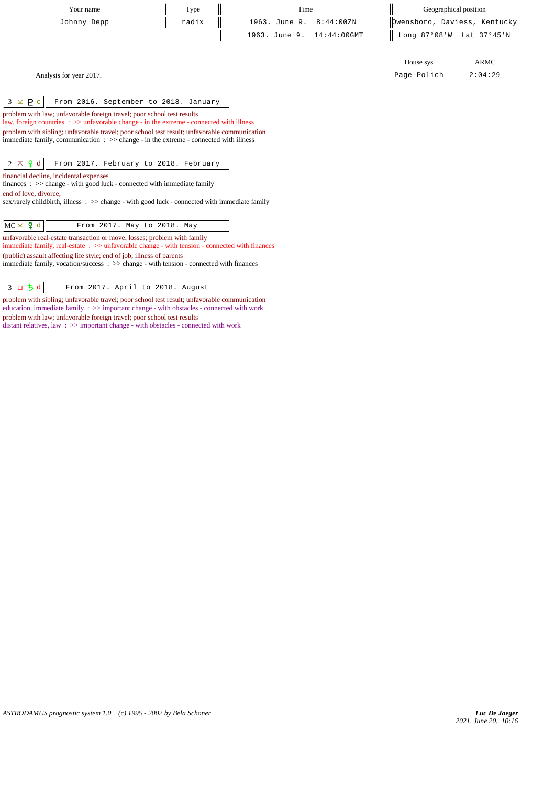| Your name                                                                                                                                                                                                                                                                                                                                                                                                   | Type  | Time                            |              | Geographical position        |
|-------------------------------------------------------------------------------------------------------------------------------------------------------------------------------------------------------------------------------------------------------------------------------------------------------------------------------------------------------------------------------------------------------------|-------|---------------------------------|--------------|------------------------------|
| Johnny Depp                                                                                                                                                                                                                                                                                                                                                                                                 | radix | 1963. June 9.<br>8:44:00ZN      |              | Owensboro, Daviess, Kentucky |
|                                                                                                                                                                                                                                                                                                                                                                                                             |       | $14:44:00$ GMT<br>1963. June 9. | Long 87°08'W | Lat 37°45'N                  |
|                                                                                                                                                                                                                                                                                                                                                                                                             |       |                                 |              |                              |
|                                                                                                                                                                                                                                                                                                                                                                                                             |       |                                 | House sys    | <b>ARMC</b>                  |
| Analysis for year 2017.                                                                                                                                                                                                                                                                                                                                                                                     |       |                                 | Page-Polich  | 2:04:29                      |
|                                                                                                                                                                                                                                                                                                                                                                                                             |       |                                 |              |                              |
| $3 \times P c$<br>From 2016. September to 2018. January                                                                                                                                                                                                                                                                                                                                                     |       |                                 |              |                              |
| problem with law; unfavorable foreign travel; poor school test results<br>law, foreign countries $\Rightarrow$ > $\Rightarrow$ unfavorable change - in the extreme - connected with illness<br>problem with sibling; unfavorable travel; poor school test result; unfavorable communication<br>immediate family, communication $\Rightarrow$ $\Rightarrow$ change - in the extreme - connected with illness |       |                                 |              |                              |
| $2 \times 9d$<br>From 2017. February to 2018. February                                                                                                                                                                                                                                                                                                                                                      |       |                                 |              |                              |
| financial decline, incidental expenses<br>$finances : \gg change - with good luck - connected with immediate family$<br>end of love, divorce;<br>$sex/rarely childbirth$ , illness: $\gg$ change - with good luck - connected with immediate family                                                                                                                                                         |       |                                 |              |                              |
| $MC \times \Sigma$ d<br>From 2017. May to 2018. May                                                                                                                                                                                                                                                                                                                                                         |       |                                 |              |                              |
| unfavorable real-estate transaction or move; losses; problem with family<br>immediate family, real-estate $\Rightarrow$ > unfavorable change - with tension - connected with finances                                                                                                                                                                                                                       |       |                                 |              |                              |
| (public) assault affecting life style; end of job; illness of parents<br>immediate family, vocation/success : >> change - with tension - connected with finances                                                                                                                                                                                                                                            |       |                                 |              |                              |

 $\begin{array}{|c|c|c|c|c|}\n3 & \text{D} & \text{5} & \text{d} & \text{From 2017. April to 2018. August}\n\end{array}$ 

problem with sibling; unfavorable travel; poor school test result; unfavorable communication education, immediate family : >> important change - with obstacles - connected with work problem with law; unfavorable foreign travel; poor school test results

distant relatives, law : >> important change - with obstacles - connected with work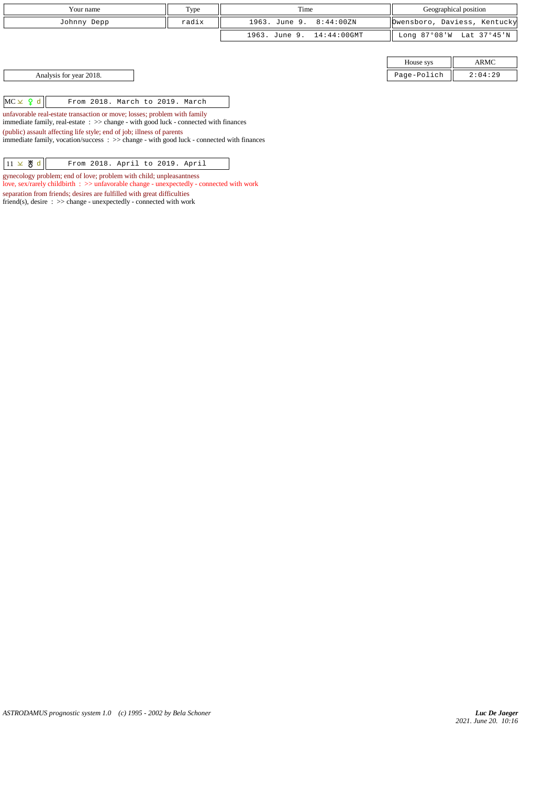| Your name                                          | Type  | Time                      |             | Geographical position        |
|----------------------------------------------------|-------|---------------------------|-------------|------------------------------|
| Johnny Depp                                        | radix | 1963. June 9. 8:44:00ZN   |             | Dwensboro, Daviess, Kentucky |
|                                                    |       | 1963. June 9. 14:44:00GMT |             | Long 87°08'W Lat 37°45'N     |
|                                                    |       |                           |             |                              |
|                                                    |       |                           | House sys   | ARMC                         |
| Analysis for year 2018.                            |       |                           | Page-Polich | 2:04:29                      |
|                                                    |       |                           |             |                              |
| $MC \times 9 d$<br>From 2018. March to 2019. March |       |                           |             |                              |

unfavorable real-estate transaction or move; losses; problem with family

immediate family, real-estate : >> change - with good luck - connected with finances

(public) assault affecting life style; end of job; illness of parents immediate family, vocation/success : >> change - with good luck - connected with finances

| $11 \times 8 d$ |  | From 2018. April to 2019. April |  |  |  |
|-----------------|--|---------------------------------|--|--|--|
|-----------------|--|---------------------------------|--|--|--|

gynecology problem; end of love; problem with child; unpleasantness

love, sex/rarely childbirth : >> unfavorable change - unexpectedly - connected with work separation from friends; desires are fulfilled with great difficulties

friend(s), desire : >> change - unexpectedly - connected with work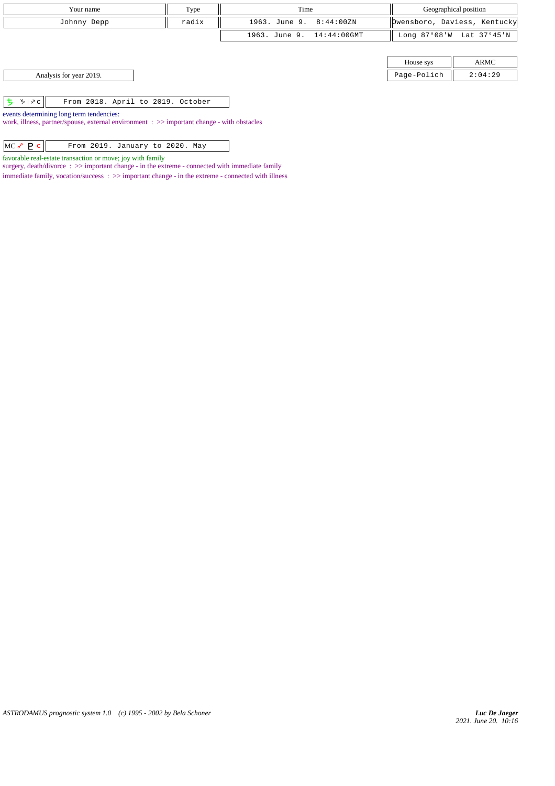| Type<br>Your name                                                                                                                      |  | Time                      | Geographical position |                              |  |
|----------------------------------------------------------------------------------------------------------------------------------------|--|---------------------------|-----------------------|------------------------------|--|
| radix<br>Johnny Depp                                                                                                                   |  | 1963. June 9. 8:44:00ZN   |                       | Owensboro, Daviess, Kentucky |  |
|                                                                                                                                        |  | 1963. June 9. 14:44:00GMT |                       | Long 87°08'W Lat 37°45'N     |  |
|                                                                                                                                        |  |                           |                       |                              |  |
|                                                                                                                                        |  |                           | House sys             | <b>ARMC</b>                  |  |
| Analysis for year 2019.                                                                                                                |  |                           | Page-Polich           | 2:04:29                      |  |
|                                                                                                                                        |  |                           |                       |                              |  |
| ち か v c  <br>From 2018. April to 2019. October                                                                                         |  |                           |                       |                              |  |
| events determining long term tendencies:<br>work, illness, partner/spouse, external environment : >> important change - with obstacles |  |                           |                       |                              |  |

| $MC \sim P c$ |  | From 2019. January to 2020. May |  |  |
|---------------|--|---------------------------------|--|--|
|               |  |                                 |  |  |

favorable real-estate transaction or move; joy with family

surgery, death/divorce : >> important change - in the extreme - connected with immediate family  $\;$  immediate family, vocation/success  $\; : \; >>$  important change - in the extreme - connected with illness

*ASTRODAMUS prognostic system 1.0 (c) 1995 - 2002 by Bela Schoner*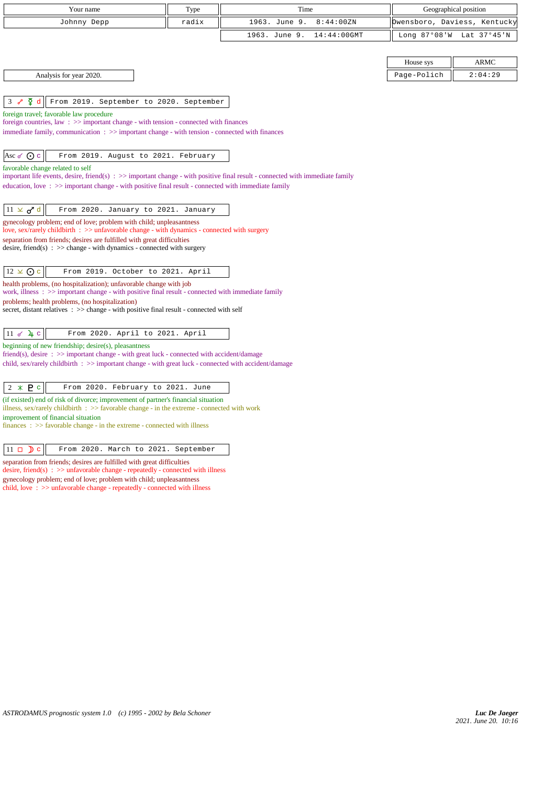| Your name                                                                                                                                                                                                                                        | Type  | Time                         | Geographical position        |                          |  |  |
|--------------------------------------------------------------------------------------------------------------------------------------------------------------------------------------------------------------------------------------------------|-------|------------------------------|------------------------------|--------------------------|--|--|
| Johnny Depp                                                                                                                                                                                                                                      | radix | 1963. June 9.<br>8:44:00ZN   | Owensboro, Daviess, Kentucky |                          |  |  |
|                                                                                                                                                                                                                                                  |       | 14:44:00GMT<br>1963. June 9. |                              | Long 87°08'W Lat 37°45'N |  |  |
|                                                                                                                                                                                                                                                  |       |                              |                              |                          |  |  |
|                                                                                                                                                                                                                                                  |       |                              | House sys                    | <b>ARMC</b>              |  |  |
| Analysis for year 2020.                                                                                                                                                                                                                          |       |                              | Page-Polich                  | 2:04:29                  |  |  |
|                                                                                                                                                                                                                                                  |       |                              |                              |                          |  |  |
| ¥<br>From 2019. September to 2020. September<br>3<br>d<br>حمى                                                                                                                                                                                    |       |                              |                              |                          |  |  |
| foreign travel; favorable law procedure                                                                                                                                                                                                          |       |                              |                              |                          |  |  |
| foreign countries, law $\Rightarrow$ >> important change - with tension - connected with finances<br>immediate family, communication $\Rightarrow$ important change - with tension - connected with finances                                     |       |                              |                              |                          |  |  |
|                                                                                                                                                                                                                                                  |       |                              |                              |                          |  |  |
| Asc o ⊙ c<br>From 2019. August to 2021. February                                                                                                                                                                                                 |       |                              |                              |                          |  |  |
| favorable change related to self                                                                                                                                                                                                                 |       |                              |                              |                          |  |  |
| important life events, desire, friend(s) $\Rightarrow$ important change - with positive final result - connected with immediate family<br>education, love: $\gg$ important change - with positive final result - connected with immediate family |       |                              |                              |                          |  |  |
|                                                                                                                                                                                                                                                  |       |                              |                              |                          |  |  |
| $11 \times d^d$<br>From 2020. January to 2021. January                                                                                                                                                                                           |       |                              |                              |                          |  |  |
| gynecology problem; end of love; problem with child; unpleasantness                                                                                                                                                                              |       |                              |                              |                          |  |  |
| love, sex/rarely childbirth $\Rightarrow$ sunfavorable change - with dynamics - connected with surgery<br>separation from friends; desires are fulfilled with great difficulties                                                                 |       |                              |                              |                          |  |  |
| desire, friend(s) : $\gg$ change - with dynamics - connected with surgery                                                                                                                                                                        |       |                              |                              |                          |  |  |
|                                                                                                                                                                                                                                                  |       |                              |                              |                          |  |  |
| $12 \times \odot$ c<br>From 2019. October to 2021. April                                                                                                                                                                                         |       |                              |                              |                          |  |  |
| health problems, (no hospitalization); unfavorable change with job<br>work, illness $\Rightarrow$ >> important change - with positive final result - connected with immediate family                                                             |       |                              |                              |                          |  |  |
| problems; health problems, (no hospitalization)                                                                                                                                                                                                  |       |                              |                              |                          |  |  |
| secret, distant relatives : >> change - with positive final result - connected with self                                                                                                                                                         |       |                              |                              |                          |  |  |
|                                                                                                                                                                                                                                                  |       |                              |                              |                          |  |  |
| $11$ of $4$ c<br>From 2020. April to 2021. April<br>beginning of new friendship; desire(s), pleasantness                                                                                                                                         |       |                              |                              |                          |  |  |
| friend(s), desire : >> important change - with great luck - connected with accident/damage                                                                                                                                                       |       |                              |                              |                          |  |  |
| child, sex/rarely childbirth $\Rightarrow$ important change - with great luck - connected with accident/damage                                                                                                                                   |       |                              |                              |                          |  |  |
|                                                                                                                                                                                                                                                  |       |                              |                              |                          |  |  |
| $2 * P c$<br>From 2020. February to 2021. June                                                                                                                                                                                                   |       |                              |                              |                          |  |  |
| (if existed) end of risk of divorce; improvement of partner's financial situation<br>illness, sex/rarely childbirth : $\gg$ favorable change - in the extreme - connected with work                                                              |       |                              |                              |                          |  |  |
| improvement of financial situation                                                                                                                                                                                                               |       |                              |                              |                          |  |  |
| $finances : \gg$ favorable change - in the extreme - connected with illness                                                                                                                                                                      |       |                              |                              |                          |  |  |
| $11 \Box$ D c<br>From 2020. March to 2021. September                                                                                                                                                                                             |       |                              |                              |                          |  |  |

separation from friends; desires are fulfilled with great difficulties desire, friend(s) : >> unfavorable change - repeatedly - connected with illness gynecology problem; end of love; problem with child; unpleasantness child, love : >> unfavorable change - repeatedly - connected with illness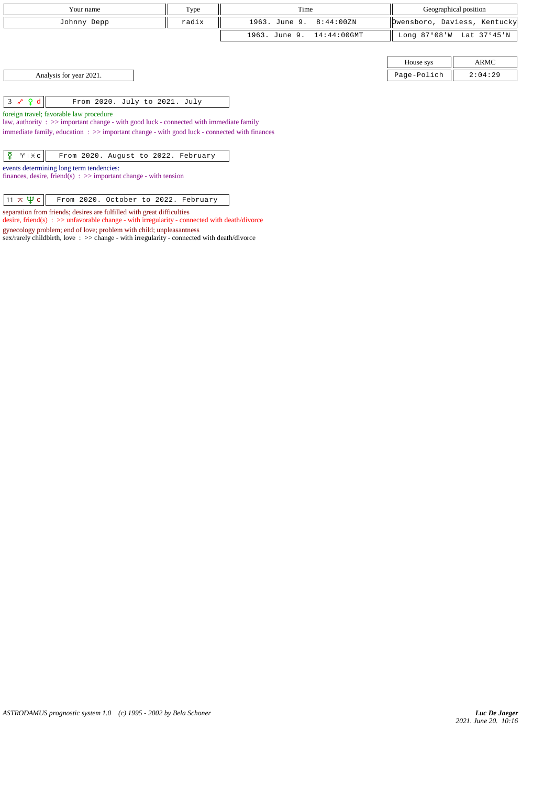| Your name                                                                                                                                                                                                                                                                             | Type  | Time                         | Geographical position |                              |  |  |
|---------------------------------------------------------------------------------------------------------------------------------------------------------------------------------------------------------------------------------------------------------------------------------------|-------|------------------------------|-----------------------|------------------------------|--|--|
|                                                                                                                                                                                                                                                                                       |       |                              |                       |                              |  |  |
| Johnny Depp                                                                                                                                                                                                                                                                           | radix | 1963. June 9.<br>8:44:00ZN   |                       | Dwensboro, Daviess, Kentucky |  |  |
|                                                                                                                                                                                                                                                                                       |       | 1963. June 9.<br>14:44:00GMT |                       | Long 87°08'W Lat 37°45'N     |  |  |
|                                                                                                                                                                                                                                                                                       |       |                              |                       |                              |  |  |
|                                                                                                                                                                                                                                                                                       |       |                              | House sys             | ARMC                         |  |  |
| Analysis for year 2021.                                                                                                                                                                                                                                                               |       |                              | Page-Polich           | 2:04:29                      |  |  |
| $3 \sim 9d$<br>From 2020. July to 2021. July<br>foreign travel; favorable law procedure<br>law, authority : $\gg$ important change - with good luck - connected with immediate family<br>immediate family, education : >> important change - with good luck - connected with finances |       |                              |                       |                              |  |  |
| ¥<br>$\gamma$   $\#$ c<br>From 2020. August to 2022. February<br>events determining long term tendencies:<br>finances, desire, friend(s) : $\gg$ important change - with tension<br>$11 \times \Psi c$<br>From 2020. October to 2022. February                                        |       |                              |                       |                              |  |  |

separation from friends; desires are fulfilled with great difficulties

gynecology problem; end of love; problem with child; unpleasantness

desire, friend(s) : >> unfavorable change - with irregularity - connected with death/divorce

sex/rarely childbirth, love :  $\gg$  change - with irregularity - connected with death/divorce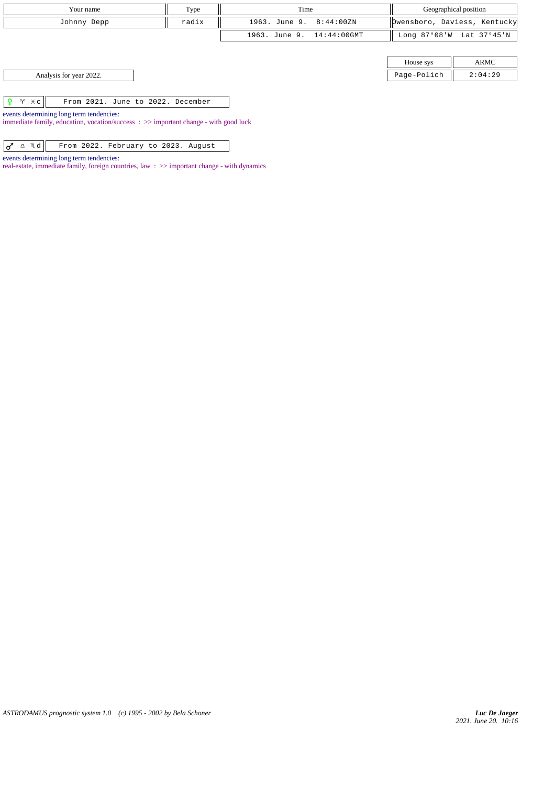| Your name               | Type  | Time                      | Geographical position |                              |  |
|-------------------------|-------|---------------------------|-----------------------|------------------------------|--|
| Johnny Depp             | radix | 1963. June 9. 8:44:00ZN   |                       | Dwensboro, Daviess, Kentucky |  |
|                         |       | 1963. June 9. 14:44:00GMT |                       | Long 87°08'W Lat 37°45'N     |  |
|                         |       |                           |                       |                              |  |
|                         |       |                           | House sys             | <b>ARMC</b>                  |  |
| Analysis for year 2022. |       |                           | Page-Polich           | 2:04:29                      |  |

 $\boxed{ \begin{array}{|c|c|c|} \hline \textbf{Q} & \textbf{W} & \textbf{H} & \textbf{c} \end{array} }$  From 2021. June to 2022. December

events determining long term tendencies:

immediate family, education, vocation/success : >> important change - with good luck

 $\sigma$   $\mathbb{R}$  |  $\mathbb{R}$  From 2022. February to 2023. August

events determining long term tendencies:

real-estate, immediate family, foreign countries, law : >> important change - with dynamics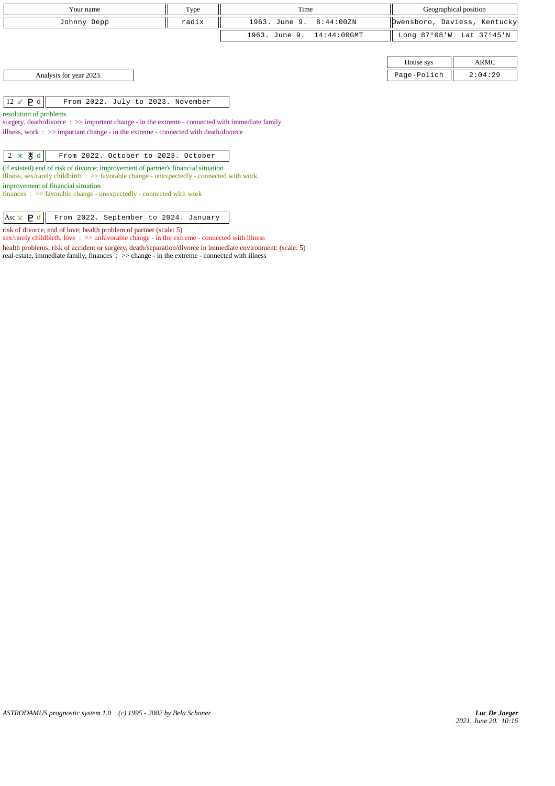|                         | Your name                                                                                                                                                                                      | Type  | Time                            |                | Geographical position        |  |  |
|-------------------------|------------------------------------------------------------------------------------------------------------------------------------------------------------------------------------------------|-------|---------------------------------|----------------|------------------------------|--|--|
|                         | Johnny Depp                                                                                                                                                                                    | radix | 1963. June 9.<br>8:44:00ZN      |                | Dwensboro, Daviess, Kentucky |  |  |
|                         |                                                                                                                                                                                                |       | 1963. June 9.<br>$14:44:00$ GMT | Long $87°08'W$ | Lat 37°45'N                  |  |  |
|                         |                                                                                                                                                                                                |       |                                 |                |                              |  |  |
|                         |                                                                                                                                                                                                |       |                                 | House sys      | ARMC                         |  |  |
|                         | Analysis for year 2023.                                                                                                                                                                        |       |                                 | Page-Polich    | 2:04:29                      |  |  |
|                         |                                                                                                                                                                                                |       |                                 |                |                              |  |  |
| 12 $\sigma$ P d         | From 2022. July to 2023. November                                                                                                                                                              |       |                                 |                |                              |  |  |
| resolution of problems  |                                                                                                                                                                                                |       |                                 |                |                              |  |  |
|                         | surgery, $death/div$ orce: $\gg$ important change - in the extreme - connected with immediate family<br>illness, work : $\gg$ important change - in the extreme - connected with death/divorce |       |                                 |                |                              |  |  |
|                         |                                                                                                                                                                                                |       |                                 |                |                              |  |  |
| $2 *  # d$              | From 2022. October to 2023. October                                                                                                                                                            |       |                                 |                |                              |  |  |
|                         | (if existed) end of risk of divorce; improvement of partner's financial situation<br>illness, sex/rarely childbirth : $\gg$ favorable change - unexpectedly - connected with work              |       |                                 |                |                              |  |  |
|                         |                                                                                                                                                                                                |       |                                 |                |                              |  |  |
|                         | improvement of financial situation<br>$finances : \gg$ favorable change - unexpectedly - connected with work                                                                                   |       |                                 |                |                              |  |  |
|                         |                                                                                                                                                                                                |       |                                 |                |                              |  |  |
| Asc $\times$ <b>P</b> d | From 2022. September to 2024. January                                                                                                                                                          |       |                                 |                |                              |  |  |

risk of divorce, end of love; health problem of partner (scale: 5)

sex/rarely childbirth, love : >> unfavorable change - in the extreme - connected with illness

real-estate, immediate family, finances : >> change - in the extreme - connected with illness

health problems; risk of accident or surgery, death/separation/divorce in immediate environment: (scale: 5)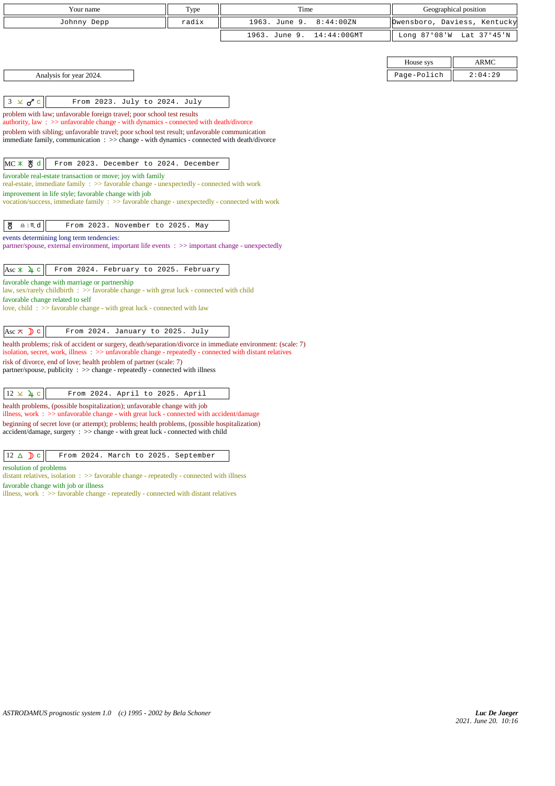| Your name                                                                                                                                                                                  | Type  | Time                         | Geographical position        |             |
|--------------------------------------------------------------------------------------------------------------------------------------------------------------------------------------------|-------|------------------------------|------------------------------|-------------|
| Johnny Depp                                                                                                                                                                                | radix | 1963. June 9.<br>8:44:00ZN   | Owensboro, Daviess, Kentucky |             |
|                                                                                                                                                                                            |       | 1963. June 9.<br>14:44:00GMT | Long 87°08'W                 | Lat 37°45'N |
|                                                                                                                                                                                            |       |                              |                              |             |
|                                                                                                                                                                                            |       |                              | House sys                    | <b>ARMC</b> |
| Analysis for year 2024.                                                                                                                                                                    |       |                              | Page-Polich                  | 2:04:29     |
|                                                                                                                                                                                            |       |                              |                              |             |
| $3 \times d$ c<br>From 2023. July to 2024. July                                                                                                                                            |       |                              |                              |             |
| problem with law; unfavorable foreign travel; poor school test results<br>authority, law: $\gg$ unfavorable change - with dynamics - connected with death/divorce                          |       |                              |                              |             |
| problem with sibling; unfavorable travel; poor school test result; unfavorable communication<br>immediate family, communication : >> change - with dynamics - connected with death/divorce |       |                              |                              |             |
|                                                                                                                                                                                            |       |                              |                              |             |
| MC * 5d<br>From 2023. December to 2024. December                                                                                                                                           |       |                              |                              |             |
| favorable real-estate transaction or move; joy with family<br>real-estate, immediate family : >> favorable change - unexpectedly - connected with work                                     |       |                              |                              |             |
| improvement in life style; favorable change with job                                                                                                                                       |       |                              |                              |             |
| vocation/success, immediate family: >> favorable change - unexpectedly - connected with work                                                                                               |       |                              |                              |             |
| ზ<br>$\underline{\mathbf{a}}\mid\texttt{M}\!\!\texttt{d}$<br>From 2023. November to 2025. May                                                                                              |       |                              |                              |             |
| events determining long term tendencies:                                                                                                                                                   |       |                              |                              |             |
| partner/spouse, external environment, important life events : >> important change - unexpectedly                                                                                           |       |                              |                              |             |
|                                                                                                                                                                                            |       |                              |                              |             |
| Asc $\angle$ 4 c<br>From 2024. February to 2025. February                                                                                                                                  |       |                              |                              |             |
| favorable change with marriage or partnership<br>law, sex/rarely childbirth : >> favorable change - with great luck - connected with child                                                 |       |                              |                              |             |
| favorable change related to self<br>love, child: $\gg$ favorable change - with great luck - connected with law                                                                             |       |                              |                              |             |
|                                                                                                                                                                                            |       |                              |                              |             |
| From 2024. January to 2025. July<br>Asc $\overline{\wedge}$ $\overline{\mathbf{)}}$ c                                                                                                      |       |                              |                              |             |
| health problems; risk of accident or surgery, death/separation/divorce in immediate environment: (scale: 7)                                                                                |       |                              |                              |             |
| isolation, secret, work, illness : >> unfavorable change - repeatedly - connected with distant relatives                                                                                   |       |                              |                              |             |
| risk of divorce, end of love; health problem of partner (scale: 7)<br>partner/spouse, publicity : >> change - repeatedly - connected with illness                                          |       |                              |                              |             |
|                                                                                                                                                                                            |       |                              |                              |             |
| $12 \times 4$ c<br>From 2024. April to 2025. April                                                                                                                                         |       |                              |                              |             |
| health problems, (possible hospitalization); unfavorable change with job<br>illness, work : >> unfavorable change - with great luck - connected with accident/damage                       |       |                              |                              |             |
| beginning of secret love (or attempt); problems; health problems, (possible hospitalization)<br>accident/damage, surgery : >> change - with great luck - connected with child              |       |                              |                              |             |
|                                                                                                                                                                                            |       |                              |                              |             |
| $12 \triangle$ D c<br>From 2024. March to 2025. September                                                                                                                                  |       |                              |                              |             |
| resolution of problems                                                                                                                                                                     |       |                              |                              |             |
| distant relatives isolation $\rightarrow \infty$ forwards abongs, remastedly, connected with illness                                                                                       |       |                              |                              |             |

 $tives, isolation$  :  $\gg$  favorable change - repeatedly - connected with illness favorable change with job or illness

illness, work : >> favorable change - repeatedly - connected with distant relatives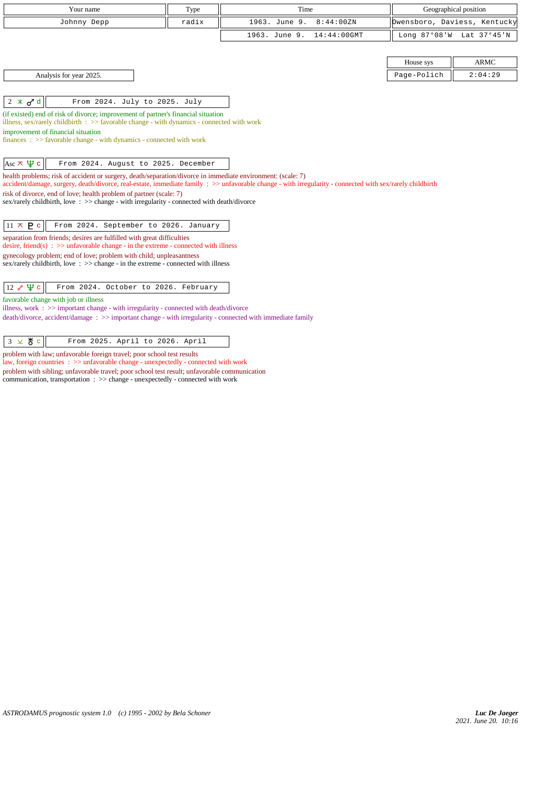| Your name                                                                                                                                                                                 | Type  | Time                                                                                                                                                      |             | Geographical position        |
|-------------------------------------------------------------------------------------------------------------------------------------------------------------------------------------------|-------|-----------------------------------------------------------------------------------------------------------------------------------------------------------|-------------|------------------------------|
| Johnny Depp                                                                                                                                                                               | radix | 1963. June 9.<br>8:44:00ZN                                                                                                                                |             | Owensboro, Daviess, Kentucky |
|                                                                                                                                                                                           |       | 1963. June 9.<br>$14:44:00$ GMT                                                                                                                           |             | Long 87°08'W Lat 37°45'N     |
|                                                                                                                                                                                           |       |                                                                                                                                                           |             |                              |
|                                                                                                                                                                                           |       |                                                                                                                                                           | House sys   | <b>ARMC</b>                  |
| Analysis for year 2025.                                                                                                                                                                   |       |                                                                                                                                                           | Page-Polich | 2:04:29                      |
|                                                                                                                                                                                           |       |                                                                                                                                                           |             |                              |
| $2 \times \sigma d$<br>From 2024. July to 2025. July                                                                                                                                      |       |                                                                                                                                                           |             |                              |
| (if existed) end of risk of divorce; improvement of partner's financial situation<br>illness, sex/rarely childbirth $\therefore$ > favorable change - with dynamics - connected with work |       |                                                                                                                                                           |             |                              |
| improvement of financial situation                                                                                                                                                        |       |                                                                                                                                                           |             |                              |
| finances : $\gg$ favorable change - with dynamics - connected with work                                                                                                                   |       |                                                                                                                                                           |             |                              |
|                                                                                                                                                                                           |       |                                                                                                                                                           |             |                              |
| Asc $\pi \Psi c$<br>From 2024. August to 2025. December                                                                                                                                   |       |                                                                                                                                                           |             |                              |
| health problems; risk of accident or surgery, death/separation/divorce in immediate environment: (scale: 7)                                                                               |       | accident/damage, surgery, death/divorce, real-estate, immediate family : >> unfavorable change - with irregularity - connected with sex/rarely childbirth |             |                              |
| risk of divorce, end of love; health problem of partner (scale: 7)                                                                                                                        |       |                                                                                                                                                           |             |                              |
| sex/rarely childbirth, love: $\gg$ change - with irregularity - connected with death/divorce                                                                                              |       |                                                                                                                                                           |             |                              |
| $11 \times P$ c<br>From 2024. September to 2026. January                                                                                                                                  |       |                                                                                                                                                           |             |                              |
| separation from friends; desires are fulfilled with great difficulties                                                                                                                    |       |                                                                                                                                                           |             |                              |
| desire, friend(s) : $\gg$ unfavorable change - in the extreme - connected with illness<br>gynecology problem; end of love; problem with child; unpleasantness                             |       |                                                                                                                                                           |             |                              |
| $sex/rarely childbirth, love : >> change - in the extreme - connected with illness$                                                                                                       |       |                                                                                                                                                           |             |                              |
|                                                                                                                                                                                           |       |                                                                                                                                                           |             |                              |
| $12 \times \Psi$ c<br>From 2024. October to 2026. February                                                                                                                                |       |                                                                                                                                                           |             |                              |
| favorable change with job or illness<br>illness, work : >> important change - with irregularity - connected with death/divorce                                                            |       |                                                                                                                                                           |             |                              |
| $death/divorce, accident/damage : \gg important change - with irregularity - connected with immediate family$                                                                             |       |                                                                                                                                                           |             |                              |
|                                                                                                                                                                                           |       |                                                                                                                                                           |             |                              |
| $3 \times 8$ c<br>From 2025. April to 2026. April                                                                                                                                         |       |                                                                                                                                                           |             |                              |
| problem with law; unfavorable foreign travel; poor school test results                                                                                                                    |       |                                                                                                                                                           |             |                              |

law, foreign countries : >> unfavorable change - unexpectedly - connected with work problem with sibling; unfavorable travel; poor school test result; unfavorable communication communication, transportation : >> change - unexpectedly - connected with work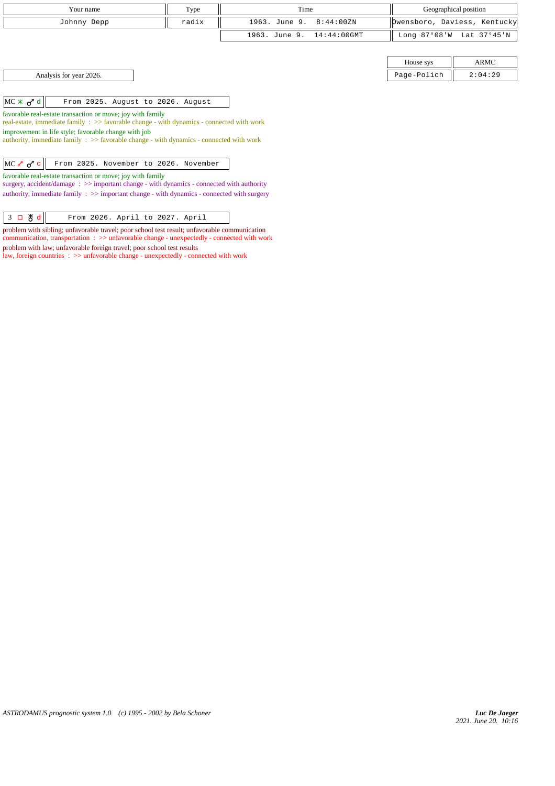| Your name                                                                                                                                                                                                                                                                                                                      | Type  | Time          |                | Geographical position |                              |
|--------------------------------------------------------------------------------------------------------------------------------------------------------------------------------------------------------------------------------------------------------------------------------------------------------------------------------|-------|---------------|----------------|-----------------------|------------------------------|
| Johnny Depp                                                                                                                                                                                                                                                                                                                    | radix | 1963. June 9. | 8:44:00ZN      |                       | Dwensboro, Daviess, Kentucky |
|                                                                                                                                                                                                                                                                                                                                |       | 1963. June 9. | $14:44:00$ GMT | Long $87°08'$ W       | Lat 37°45'N                  |
|                                                                                                                                                                                                                                                                                                                                |       |               |                |                       |                              |
|                                                                                                                                                                                                                                                                                                                                |       |               |                | House sys             | ARMC                         |
| Analysis for year 2026.                                                                                                                                                                                                                                                                                                        |       |               |                | Page-Polich           | 2:04:29                      |
|                                                                                                                                                                                                                                                                                                                                |       |               |                |                       |                              |
| $MC \times d d$<br>From 2025. August to 2026. August                                                                                                                                                                                                                                                                           |       |               |                |                       |                              |
| favorable real-estate transaction or move; joy with family<br>real-estate, immediate family $\therefore$ >> favorable change - with dynamics - connected with work<br>improvement in life style; favorable change with job<br>authority, immediate family $\Rightarrow$ Savorable change - with dynamics - connected with work |       |               |                |                       |                              |
|                                                                                                                                                                                                                                                                                                                                |       |               |                |                       |                              |
| $MC \sim \sigma$ c<br>From 2025. November to 2026. November                                                                                                                                                                                                                                                                    |       |               |                |                       |                              |
| favorable real-estate transaction or move; joy with family                                                                                                                                                                                                                                                                     |       |               |                |                       |                              |

surgery, accident/damage :  $\gg$  important change - with dynamics - connected with authority authority, immediate family : >> important change - with dynamics - connected with surgery

problem with sibling; unfavorable travel; poor school test result; unfavorable communication communication, transportation : >> unfavorable change - unexpectedly - connected with work problem with law; unfavorable foreign travel; poor school test results

law, foreign countries : >> unfavorable change - unexpectedly - connected with work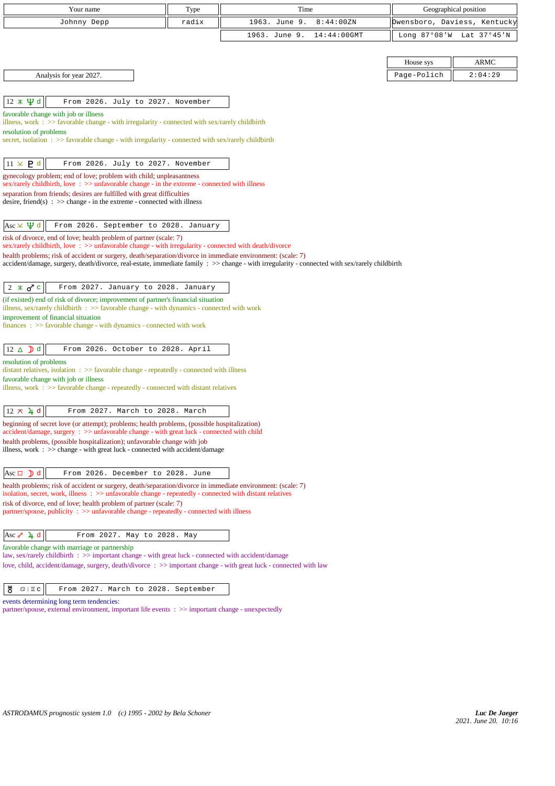| Your name                                                                                                                                                                                                               | Type  | Time                                                                                                                                          | Geographical position        |             |  |  |
|-------------------------------------------------------------------------------------------------------------------------------------------------------------------------------------------------------------------------|-------|-----------------------------------------------------------------------------------------------------------------------------------------------|------------------------------|-------------|--|--|
| Johnny Depp                                                                                                                                                                                                             | radix | 1963. June 9.<br>8:44:00ZN                                                                                                                    | Owensboro, Daviess, Kentucky |             |  |  |
|                                                                                                                                                                                                                         |       | 1963. June 9.<br>$14:44:00$ GMT                                                                                                               | Long $87°08'$ W              | Lat 37°45'N |  |  |
|                                                                                                                                                                                                                         |       |                                                                                                                                               |                              |             |  |  |
|                                                                                                                                                                                                                         |       |                                                                                                                                               | House sys                    | <b>ARMC</b> |  |  |
| Analysis for year 2027.                                                                                                                                                                                                 |       |                                                                                                                                               | Page-Polich                  | 2:04:29     |  |  |
|                                                                                                                                                                                                                         |       |                                                                                                                                               |                              |             |  |  |
| $12 \times \Psi d$<br>From 2026. July to 2027. November                                                                                                                                                                 |       |                                                                                                                                               |                              |             |  |  |
| favorable change with job or illness<br>illness, work : $\gg$ favorable change - with irregularity - connected with sex/rarely childbirth                                                                               |       |                                                                                                                                               |                              |             |  |  |
| resolution of problems<br>secret, isolation : >> favorable change - with irregularity - connected with sex/rarely childbirth                                                                                            |       |                                                                                                                                               |                              |             |  |  |
|                                                                                                                                                                                                                         |       |                                                                                                                                               |                              |             |  |  |
| $11 \times P d$<br>From 2026. July to 2027. November                                                                                                                                                                    |       |                                                                                                                                               |                              |             |  |  |
| gynecology problem; end of love; problem with child; unpleasantness<br>sex/rarely childbirth, love: >> unfavorable change - in the extreme - connected with illness                                                     |       |                                                                                                                                               |                              |             |  |  |
| separation from friends; desires are fulfilled with great difficulties                                                                                                                                                  |       |                                                                                                                                               |                              |             |  |  |
| desire, friend(s) : $\gg$ change - in the extreme - connected with illness                                                                                                                                              |       |                                                                                                                                               |                              |             |  |  |
| Asc $\times$ $\mathfrak{P}$ d<br>From 2026. September to 2028. January                                                                                                                                                  |       |                                                                                                                                               |                              |             |  |  |
| risk of divorce, end of love; health problem of partner (scale: 7)<br>sex/rarely childbirth, love $\Rightarrow$ >> unfavorable change - with irregularity - connected with death/divorce                                |       |                                                                                                                                               |                              |             |  |  |
| health problems; risk of accident or surgery, death/separation/divorce in immediate environment: (scale: 7)                                                                                                             |       | accident/damage, surgery, death/divorce, real-estate, immediate family : >> change - with irregularity - connected with sex/rarely childbirth |                              |             |  |  |
|                                                                                                                                                                                                                         |       |                                                                                                                                               |                              |             |  |  |
| From 2027. January to 2028. January<br>$2 \times \sigma$ c                                                                                                                                                              |       |                                                                                                                                               |                              |             |  |  |
| (if existed) end of risk of divorce; improvement of partner's financial situation<br>illness, sex/rarely childbirth $\Rightarrow$ Savorable change - with dynamics - connected with work                                |       |                                                                                                                                               |                              |             |  |  |
| improvement of financial situation                                                                                                                                                                                      |       |                                                                                                                                               |                              |             |  |  |
| finances: >> favorable change - with dynamics - connected with work                                                                                                                                                     |       |                                                                                                                                               |                              |             |  |  |
| $12 \triangle \text{D}$ d<br>From 2026. October to 2028. April                                                                                                                                                          |       |                                                                                                                                               |                              |             |  |  |
| resolution of problems<br>distant relatives, isolation $\Rightarrow$ >> favorable change - repeatedly - connected with illness                                                                                          |       |                                                                                                                                               |                              |             |  |  |
| favorable change with job or illness                                                                                                                                                                                    |       |                                                                                                                                               |                              |             |  |  |
| illness, work $\therefore$ >> favorable change - repeatedly - connected with distant relatives                                                                                                                          |       |                                                                                                                                               |                              |             |  |  |
| $12 \times 4$ d<br>From 2027. March to 2028. March                                                                                                                                                                      |       |                                                                                                                                               |                              |             |  |  |
| beginning of secret love (or attempt); problems; health problems, (possible hospitalization)                                                                                                                            |       |                                                                                                                                               |                              |             |  |  |
| $accident/damage$ , surgery : $\gg$ unfavorable change - with great luck - connected with child                                                                                                                         |       |                                                                                                                                               |                              |             |  |  |
| health problems, (possible hospitalization); unfavorable change with job<br>illness, work $\Rightarrow$ > change - with great luck - connected with accident/damage                                                     |       |                                                                                                                                               |                              |             |  |  |
|                                                                                                                                                                                                                         |       |                                                                                                                                               |                              |             |  |  |
| Asc $\Box$ ) d<br>From 2026. December to 2028. June                                                                                                                                                                     |       |                                                                                                                                               |                              |             |  |  |
| health problems; risk of accident or surgery, death/separation/divorce in immediate environment: (scale: 7)<br>isolation, secret, work, illness : >> unfavorable change - repeatedly - connected with distant relatives |       |                                                                                                                                               |                              |             |  |  |
| risk of divorce, end of love; health problem of partner (scale: 7)                                                                                                                                                      |       |                                                                                                                                               |                              |             |  |  |
| partner/spouse, publicity : >> unfavorable change - repeatedly - connected with illness                                                                                                                                 |       |                                                                                                                                               |                              |             |  |  |
| Asc $\lambda$ 4 d<br>From 2027. May to 2028. May                                                                                                                                                                        |       |                                                                                                                                               |                              |             |  |  |
| favorable change with marriage or partnership                                                                                                                                                                           |       |                                                                                                                                               |                              |             |  |  |
| law, sex/rarely childbirth : >> important change - with great luck - connected with accident/damage                                                                                                                     |       |                                                                                                                                               |                              |             |  |  |
| love, child, accident/damage, surgery, death/divorce: >> important change - with great luck - connected with law                                                                                                        |       |                                                                                                                                               |                              |             |  |  |
| From 2027. March to 2028. September<br>ö<br>$\mathfrak{D} \mid \Pi C$                                                                                                                                                   |       |                                                                                                                                               |                              |             |  |  |
|                                                                                                                                                                                                                         |       |                                                                                                                                               |                              |             |  |  |

events determining long term tendencies: partner/spouse, external environment, important life events :  $\gg$  important change - unexpectedly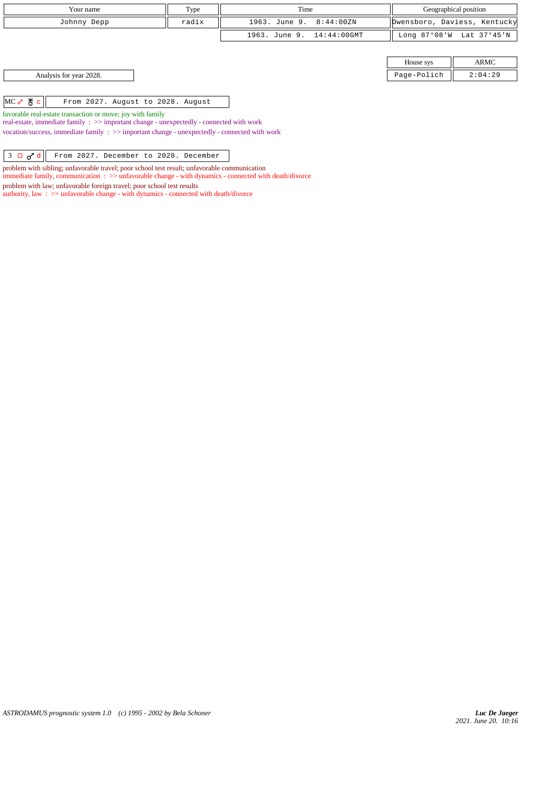| Your name             |                                   | Type  | Time                      | Geographical position |                              |
|-----------------------|-----------------------------------|-------|---------------------------|-----------------------|------------------------------|
| Johnny Depp           |                                   | radix | 1963. June 9. 8:44:00ZN   |                       | Dwensboro, Daviess, Kentucky |
|                       |                                   |       | 1963. June 9. 14:44:00GMT |                       | Long 87°08'W Lat 37°45'N     |
|                       |                                   |       |                           |                       |                              |
|                       |                                   |       |                           | House sys             | ARMC                         |
|                       | Analysis for year 2028.           |       |                           | Page-Polich           | 2:04:29                      |
|                       |                                   |       |                           |                       |                              |
| $MC \rightarrow \& c$ | From 2027. August to 2028. August |       |                           |                       |                              |

favorable real-estate transaction or move; joy with family

real-estate, immediate family : >> important change - unexpectedly - connected with work vocation/success, immediate family : >> important change - unexpectedly - connected with work

 $\begin{array}{|c|c|c|c|c|c|}\n3 & \text{I}\text{ }\mathbf{\sigma}^{\mathbf{7}}\text{ d} & \text{From 2027. December to 2028. December} \end{array}$ 

problem with sibling; unfavorable travel; poor school test result; unfavorable communication

immediate family, communication : >> unfavorable change - with dynamics - connected with death/divorce

problem with law; unfavorable foreign travel; poor school test results

authority, law :  $\gg$  unfavorable change - with dynamics - connected with death/divorce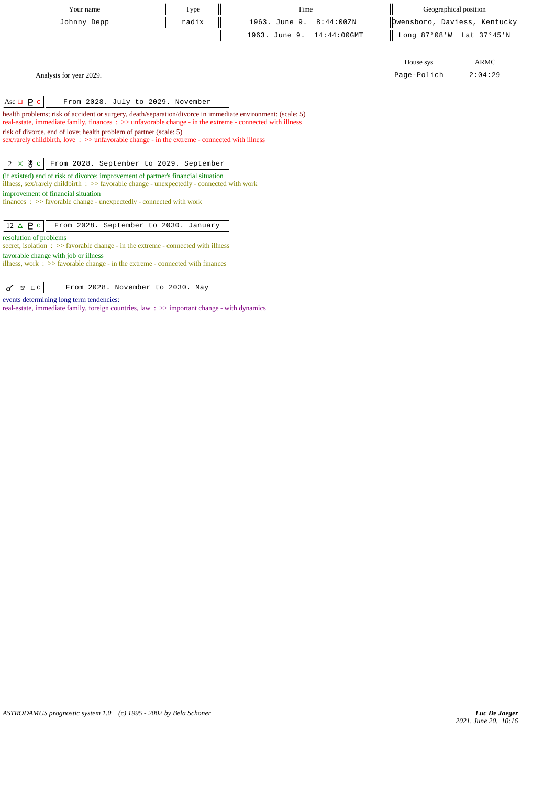| Your name   | Type  | Time                      | Geographical position        |  |
|-------------|-------|---------------------------|------------------------------|--|
| Johnny Depp | radix | 1963. June 9. 8:44:00ZN   | Dwensboro, Daviess, Kentucky |  |
|             |       | 1963. June 9. 14:44:00GMT | Long 87°08'W Lat 37°45'N     |  |

|  |  | Analysis for year 2029. |
|--|--|-------------------------|
|  |  |                         |

House sys  $\parallel$  ARMC Page-Polich  $\parallel$  2:04:29

Asc  $\Box$  **P** c  $\parallel$  From 2028. July to 2029. November

health problems; risk of accident or surgery, death/separation/divorce in immediate environment: (scale: 5) real-estate, immediate family, finances : >> unfavorable change - in the extreme - connected with illness risk of divorce, end of love; health problem of partner (scale: 5) sex/rarely childbirth, love : >> unfavorable change - in the extreme - connected with illness

 $2 \times 8 c$  From 2028. September to 2029. September

(if existed) end of risk of divorce; improvement of partner's financial situation illness, sex/rarely childbirth : >> favorable change - unexpectedly - connected with work improvement of financial situation finances : >> favorable change - unexpectedly - connected with work

 $\boxed{12 \Delta \mathbf{P} \cdot \boxed{\mathbf{r}}}$  From 2028. September to 2030. January

resolution of problems

secret, isolation : >> favorable change - in the extreme - connected with illness favorable change with job or illness

illness, work : >> favorable change - in the extreme - connected with finances

 $| \sigma$   $\infty$  | Ic | From 2028. November to 2030. May

events determining long term tendencies:

real-estate, immediate family, foreign countries, law : >> important change - with dynamics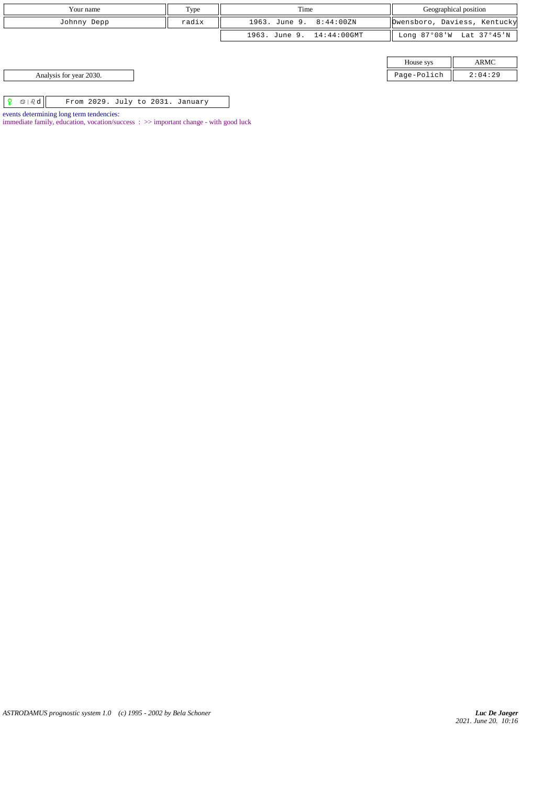| Your name<br>Type                                                      |  | Time                      | Geographical position |                              |
|------------------------------------------------------------------------|--|---------------------------|-----------------------|------------------------------|
| radix<br>Johnny Depp                                                   |  | 1963. June 9. 8:44:00ZN   |                       | Dwensboro, Daviess, Kentucky |
|                                                                        |  | 1963. June 9. 14:44:00GMT |                       | Long 87°08'W Lat 37°45'N     |
|                                                                        |  |                           |                       |                              |
|                                                                        |  |                           | House sys             | ARMC                         |
| Analysis for year 2030.                                                |  |                           | Page-Polich           | 2:04:29                      |
|                                                                        |  |                           |                       |                              |
| $\mathfrak{S} \mid \mathfrak{A}$ d<br>From 2029. July to 2031. January |  |                           |                       |                              |

events determining long term tendencies:

immediate family, education, vocation/success : >> important change - with good luck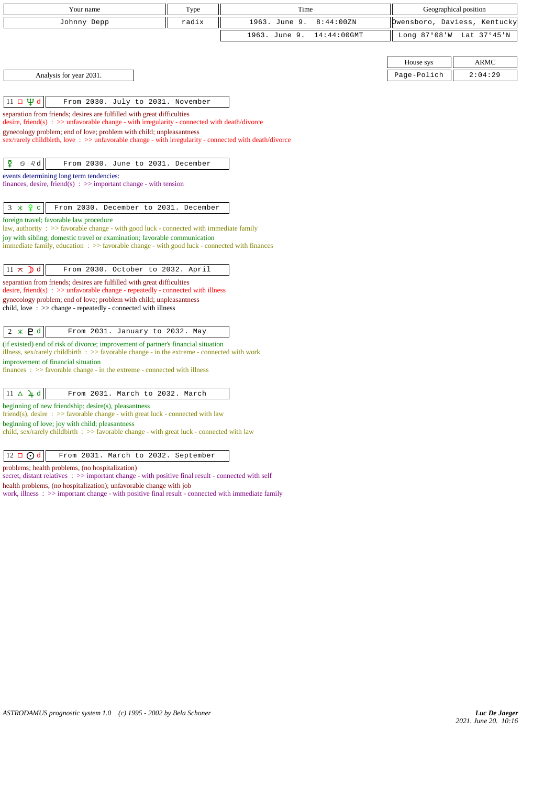| Type<br>Your name                                                                                                                                                                   |       | Time          |             | Geographical position        |             |
|-------------------------------------------------------------------------------------------------------------------------------------------------------------------------------------|-------|---------------|-------------|------------------------------|-------------|
| Johnny Depp                                                                                                                                                                         | radix | 1963. June 9. | 8:44:00ZN   | Owensboro, Daviess, Kentucky |             |
|                                                                                                                                                                                     |       | 1963. June 9. | 14:44:00GMT | Long 87°08'W                 | Lat 37°45'N |
|                                                                                                                                                                                     |       |               |             |                              |             |
|                                                                                                                                                                                     |       |               |             | House sys                    | <b>ARMC</b> |
| Analysis for year 2031.                                                                                                                                                             |       |               |             | Page-Polich                  | 2:04:29     |
|                                                                                                                                                                                     |       |               |             |                              |             |
| 11 п $\Psi$ d<br>From 2030. July to 2031. November                                                                                                                                  |       |               |             |                              |             |
| separation from friends; desires are fulfilled with great difficulties<br>desire, friend(s) : $\gg$ unfavorable change - with irregularity - connected with death/divorce           |       |               |             |                              |             |
| gynecology problem; end of love; problem with child; unpleasantness                                                                                                                 |       |               |             |                              |             |
| sex/rarely childbirth, love: >> unfavorable change - with irregularity - connected with death/divorce                                                                               |       |               |             |                              |             |
|                                                                                                                                                                                     |       |               |             |                              |             |
| ₽<br>$\mathfrak{D} \mid \partial_{\mathcal{C}} d$<br>From 2030. June to 2031. December                                                                                              |       |               |             |                              |             |
| events determining long term tendencies:<br>finances, desire, friend(s) : $\gg$ important change - with tension                                                                     |       |               |             |                              |             |
|                                                                                                                                                                                     |       |               |             |                              |             |
| $3 \times 9$ c<br>From 2030. December to 2031. December                                                                                                                             |       |               |             |                              |             |
| foreign travel; favorable law procedure                                                                                                                                             |       |               |             |                              |             |
| law, authority : $\gg$ favorable change - with good luck - connected with immediate family<br>joy with sibling; domestic travel or examination; favorable communication             |       |               |             |                              |             |
| immediate family, education : >> favorable change - with good luck - connected with finances                                                                                        |       |               |             |                              |             |
|                                                                                                                                                                                     |       |               |             |                              |             |
| $11 \times$ d<br>From 2030. October to 2032. April                                                                                                                                  |       |               |             |                              |             |
| separation from friends; desires are fulfilled with great difficulties<br>desire, friend(s) : $\gg$ unfavorable change - repeatedly - connected with illness                        |       |               |             |                              |             |
| gynecology problem; end of love; problem with child; unpleasantness                                                                                                                 |       |               |             |                              |             |
| child, love $\Rightarrow$ >> change - repeatedly - connected with illness                                                                                                           |       |               |             |                              |             |
|                                                                                                                                                                                     |       |               |             |                              |             |
| $2 * P d$<br>From 2031. January to 2032. May                                                                                                                                        |       |               |             |                              |             |
| (if existed) end of risk of divorce; improvement of partner's financial situation<br>illness, sex/rarely childbirth : $\gg$ favorable change - in the extreme - connected with work |       |               |             |                              |             |
| improvement of financial situation                                                                                                                                                  |       |               |             |                              |             |
| $finances : \gg$ favorable change - in the extreme - connected with illness                                                                                                         |       |               |             |                              |             |
| $11 \Delta \angle 4$ d<br>From 2031. March to 2032. March                                                                                                                           |       |               |             |                              |             |
| beginning of new friendship; desire(s), pleasantness                                                                                                                                |       |               |             |                              |             |
| friend(s), desire $\Rightarrow$ S favorable change - with great luck - connected with law                                                                                           |       |               |             |                              |             |
| beginning of love; joy with child; pleasantness<br>child, sex/rarely childbirth : >> favorable change - with great luck - connected with law                                        |       |               |             |                              |             |
|                                                                                                                                                                                     |       |               |             |                              |             |
| $12 \square$ O d<br>From 2031. March to 2032. September                                                                                                                             |       |               |             |                              |             |
| problems; health problems, (no hospitalization)                                                                                                                                     |       |               |             |                              |             |

secret, distant relatives :  $\gg$  important change - with positive final result - connected with self health problems, (no hospitalization); unfavorable change with job

work, illness :  $\gg$  important change - with positive final result - connected with immediate family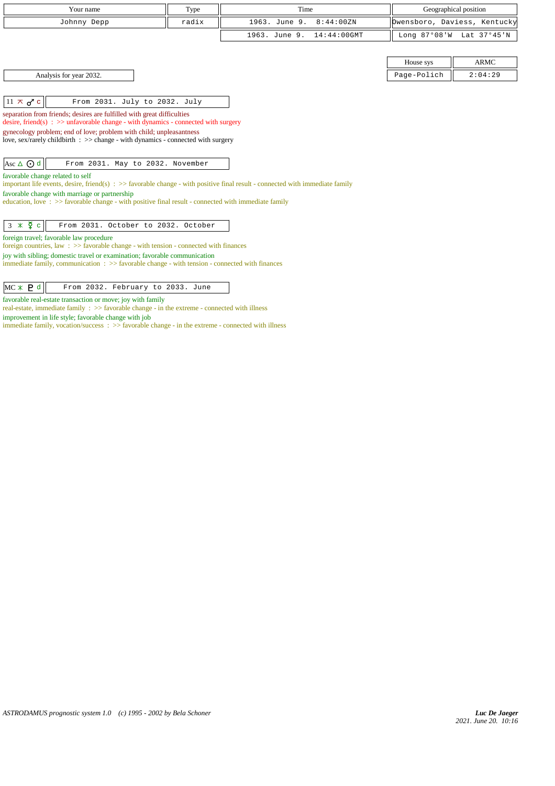| Your name                                                                                                                                                                                                                                                                                                                                                              | Type  | Time                            |             | Geographical position        |  |
|------------------------------------------------------------------------------------------------------------------------------------------------------------------------------------------------------------------------------------------------------------------------------------------------------------------------------------------------------------------------|-------|---------------------------------|-------------|------------------------------|--|
| Johnny Depp                                                                                                                                                                                                                                                                                                                                                            | radix | 1963. June 9.<br>8:44:00ZN      |             | Dwensboro, Daviess, Kentucky |  |
|                                                                                                                                                                                                                                                                                                                                                                        |       | $14:44:00$ GMT<br>1963. June 9. |             | Long 87°08'W Lat 37°45'N     |  |
|                                                                                                                                                                                                                                                                                                                                                                        |       |                                 |             |                              |  |
|                                                                                                                                                                                                                                                                                                                                                                        |       |                                 | House sys   | <b>ARMC</b>                  |  |
| Analysis for year 2032.                                                                                                                                                                                                                                                                                                                                                |       |                                 | Page-Polich | 2:04:29                      |  |
|                                                                                                                                                                                                                                                                                                                                                                        |       |                                 |             |                              |  |
| $11 \times d^c$<br>From 2031. July to 2032. July                                                                                                                                                                                                                                                                                                                       |       |                                 |             |                              |  |
| separation from friends; desires are fulfilled with great difficulties<br>desire, friend(s) : $\gg$ unfavorable change - with dynamics - connected with surgery<br>gynecology problem; end of love; problem with child; unpleasantness<br>love, sex/rarely childbirth : >> change - with dynamics - connected with surgery                                             |       |                                 |             |                              |  |
| Asc ∆ ⊙ d<br>From 2031. May to 2032. November                                                                                                                                                                                                                                                                                                                          |       |                                 |             |                              |  |
| favorable change related to self<br>important life events, desire, friend(s) $\Rightarrow$ > favorable change - with positive final result - connected with immediate family<br>favorable change with marriage or partnership<br>education, love: $\gg$ favorable change - with positive final result - connected with immediate family                                |       |                                 |             |                              |  |
| $3 \times \Phi$ c<br>From 2031. October to 2032. October                                                                                                                                                                                                                                                                                                               |       |                                 |             |                              |  |
| foreign travel; favorable law procedure<br>foreign countries, law $\Rightarrow$ Savorable change - with tension - connected with finances<br>joy with sibling; domestic travel or examination; favorable communication<br>immediate family, communication $\Rightarrow$ Savorable change - with tension - connected with finances<br>From 2032. February to 2033. June |       |                                 |             |                              |  |
| $MC * P d$                                                                                                                                                                                                                                                                                                                                                             |       |                                 |             |                              |  |

favorable real-estate transaction or move; joy with family

real-estate, immediate family :  $\gg$  favorable change - in the extreme - connected with illness

improvement in life style; favorable change with job

immediate family, vocation/success : >> favorable change - in the extreme - connected with illness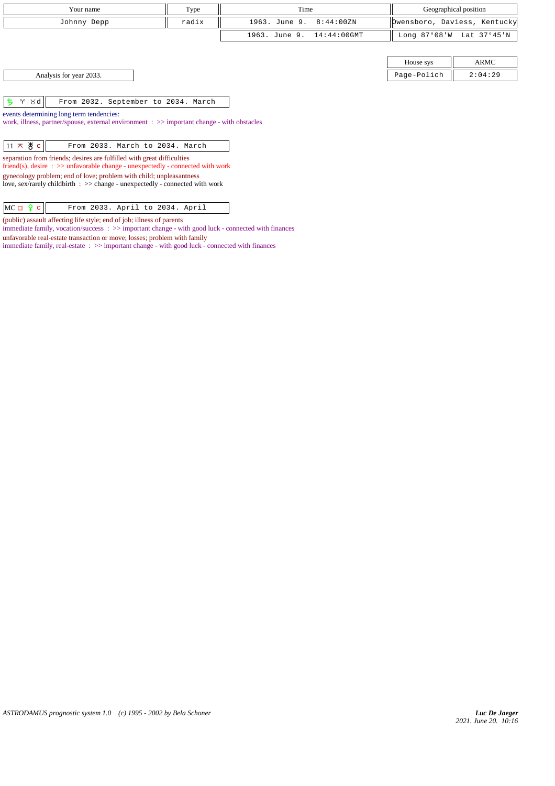|                   | Your name                                                                                                                                                            | Type  | Time                            |              | Geographical position        |  |
|-------------------|----------------------------------------------------------------------------------------------------------------------------------------------------------------------|-------|---------------------------------|--------------|------------------------------|--|
|                   | Johnny Depp                                                                                                                                                          | radix | 1963. June 9.<br>8:44:00ZN      |              | Dwensboro, Daviess, Kentucky |  |
|                   |                                                                                                                                                                      |       | 1963. June 9.<br>$14:44:00$ GMT | Long 87°08'W | Lat 37°45'N                  |  |
|                   |                                                                                                                                                                      |       |                                 |              |                              |  |
|                   |                                                                                                                                                                      |       |                                 | House sys    | ARMC                         |  |
|                   | Analysis for year 2033.                                                                                                                                              |       |                                 | Page-Polich  | 2:04:29                      |  |
| ち<br>$Y \times d$ | From 2032. September to 2034. March                                                                                                                                  |       |                                 |              |                              |  |
|                   | events determining long term tendencies:<br>work, illness, partner/spouse, external environment : >> important change - with obstacles                               |       |                                 |              |                              |  |
| $11 \times 8$ c   | From 2033. March to 2034. March                                                                                                                                      |       |                                 |              |                              |  |
|                   | separation from friends; desires are fulfilled with great difficulties<br>friend(s), desire $\Rightarrow$ >> unfavorable change - unexpectedly - connected with work |       |                                 |              |                              |  |
|                   | gynecology problem; end of love; problem with child; unpleasantness<br>love, sex/rarely childbirth $\Rightarrow$ change - unexpectedly - connected with work         |       |                                 |              |                              |  |
| $MC \Box 9 c$     | From 2033. April to 2034. April                                                                                                                                      |       |                                 |              |                              |  |

(public) assault affecting life style; end of job; illness of parents

unfavorable real-estate transaction or move; losses; problem with family

immediate family, vocation/success : >> important change - with good luck - connected with finances

immediate family, real-estate : >> important change - with good luck - connected with finances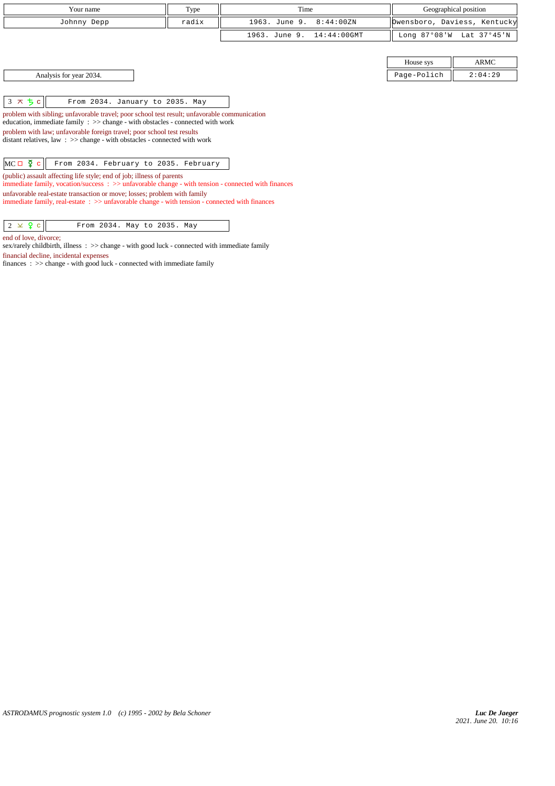| Type<br>Your name                                                                                                                                                                                                                                                                                                                                                                                                           |       | Time                            | Geographical position |                              |  |
|-----------------------------------------------------------------------------------------------------------------------------------------------------------------------------------------------------------------------------------------------------------------------------------------------------------------------------------------------------------------------------------------------------------------------------|-------|---------------------------------|-----------------------|------------------------------|--|
| Johnny Depp                                                                                                                                                                                                                                                                                                                                                                                                                 | radix | 1963. June 9.<br>8:44:00ZN      |                       | Dwensboro, Daviess, Kentucky |  |
|                                                                                                                                                                                                                                                                                                                                                                                                                             |       | 1963. June 9.<br>$14:44:00$ GMT | Long 87°08'W          | Lat 37°45'N                  |  |
|                                                                                                                                                                                                                                                                                                                                                                                                                             |       |                                 |                       |                              |  |
|                                                                                                                                                                                                                                                                                                                                                                                                                             |       |                                 | House sys             | ARMC                         |  |
| Analysis for year 2034.                                                                                                                                                                                                                                                                                                                                                                                                     |       |                                 | Page-Polich           | 2:04:29                      |  |
| $3 \times 5c$<br>From 2034. January to 2035. May<br>problem with sibling; unfavorable travel; poor school test result; unfavorable communication<br>education, immediate family $\Rightarrow$ > change - with obstacles - connected with work<br>problem with law; unfavorable foreign travel; poor school test results<br>distant relatives, law $\Rightarrow$ >> change - with obstacles - connected with work            |       |                                 |                       |                              |  |
| $MC \Box \Phi c$<br>From 2034. February to 2035. February<br>(public) assault affecting life style; end of job; illness of parents<br>immediate family, vocation/success: $\gg$ unfavorable change - with tension - connected with finances<br>unfavorable real-estate transaction or move; losses; problem with family<br>immediate family, real-estate: $\gg$ unfavorable change - with tension - connected with finances |       |                                 |                       |                              |  |

 $\begin{array}{|c|c|c|c|c|}\n\hline\n2 & \times & 2 & c \\
\hline\n\end{array}$  From 2034. May to 2035. May

end of love, divorce;

sex/rarely childbirth, illness : >> change - with good luck - connected with immediate family financial decline, incidental expenses

finances : >> change - with good luck - connected with immediate family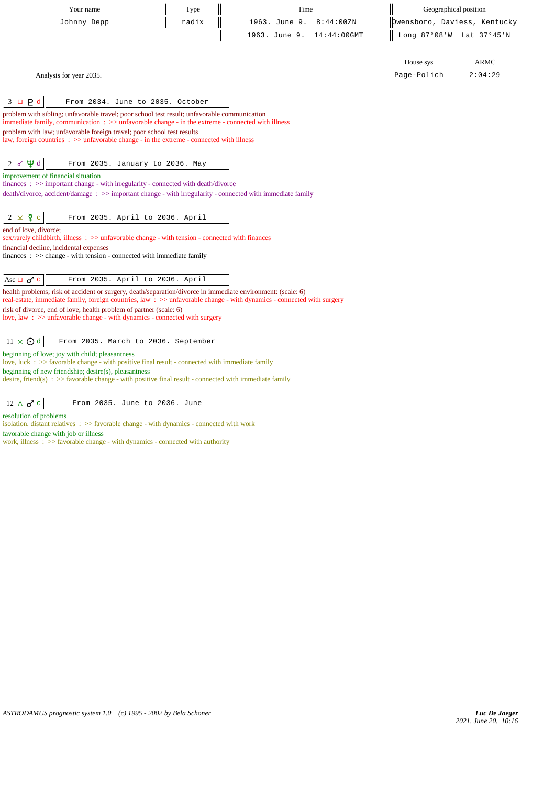| Your name                                                                                                                                                                                                                            | Type  | Time                            | Geographical position        |             |  |
|--------------------------------------------------------------------------------------------------------------------------------------------------------------------------------------------------------------------------------------|-------|---------------------------------|------------------------------|-------------|--|
| Johnny Depp                                                                                                                                                                                                                          | radix | 1963. June 9.<br>8:44:00ZN      | Owensboro, Daviess, Kentucky |             |  |
|                                                                                                                                                                                                                                      |       | 1963. June 9.<br>$14:44:00$ GMT | Long 87°08'W                 | Lat 37°45'N |  |
|                                                                                                                                                                                                                                      |       |                                 |                              |             |  |
|                                                                                                                                                                                                                                      |       |                                 | House sys                    | <b>ARMC</b> |  |
| Analysis for year 2035.                                                                                                                                                                                                              |       |                                 | Page-Polich                  | 2:04:29     |  |
|                                                                                                                                                                                                                                      |       |                                 |                              |             |  |
| $3 \Box P d$<br>From 2034. June to 2035. October                                                                                                                                                                                     |       |                                 |                              |             |  |
| problem with sibling; unfavorable travel; poor school test result; unfavorable communication<br>immediate family, communication $\Rightarrow$ > unfavorable change - in the extreme - connected with illness                         |       |                                 |                              |             |  |
| problem with law; unfavorable foreign travel; poor school test results                                                                                                                                                               |       |                                 |                              |             |  |
| law, foreign countries : >> unfavorable change - in the extreme - connected with illness                                                                                                                                             |       |                                 |                              |             |  |
|                                                                                                                                                                                                                                      |       |                                 |                              |             |  |
| $2 d \nleftrightarrow 2 d$<br>From 2035. January to 2036. May<br>improvement of financial situation                                                                                                                                  |       |                                 |                              |             |  |
| finances : >> important change - with irregularity - connected with death/divorce                                                                                                                                                    |       |                                 |                              |             |  |
| death/divorce, accident/damage: >> important change - with irregularity - connected with immediate family                                                                                                                            |       |                                 |                              |             |  |
|                                                                                                                                                                                                                                      |       |                                 |                              |             |  |
| $2 \times \xi$ c<br>From 2035. April to 2036. April                                                                                                                                                                                  |       |                                 |                              |             |  |
| end of love, divorce;<br>sex/rarely childbirth, illness : >> unfavorable change - with tension - connected with finances                                                                                                             |       |                                 |                              |             |  |
| financial decline, incidental expenses                                                                                                                                                                                               |       |                                 |                              |             |  |
| finances : $\gg$ change - with tension - connected with immediate family                                                                                                                                                             |       |                                 |                              |             |  |
| Asc $\Box$ $\sigma$ <sup>7</sup> c<br>From 2035. April to 2036. April                                                                                                                                                                |       |                                 |                              |             |  |
| health problems; risk of accident or surgery, death/separation/divorce in immediate environment: (scale: 6)<br>real-estate, immediate family, foreign countries, law: >> unfavorable change - with dynamics - connected with surgery |       |                                 |                              |             |  |
| risk of divorce, end of love; health problem of partner (scale: 6)                                                                                                                                                                   |       |                                 |                              |             |  |
| love, law: >> unfavorable change - with dynamics - connected with surgery                                                                                                                                                            |       |                                 |                              |             |  |
|                                                                                                                                                                                                                                      |       |                                 |                              |             |  |
| $11 \times Qd$<br>From 2035. March to 2036. September<br>beginning of love; joy with child; pleasantness                                                                                                                             |       |                                 |                              |             |  |
| love, luck : $\gg$ favorable change - with positive final result - connected with immediate family                                                                                                                                   |       |                                 |                              |             |  |
| beginning of new friendship; desire(s), pleasantness<br>desire, friend(s) : $\gg$ favorable change - with positive final result - connected with immediate family                                                                    |       |                                 |                              |             |  |
|                                                                                                                                                                                                                                      |       |                                 |                              |             |  |
| $12 \triangle \sigma$ <sup>c</sup><br>From 2035. June to 2036. June                                                                                                                                                                  |       |                                 |                              |             |  |
| resolution of problems                                                                                                                                                                                                               |       |                                 |                              |             |  |
| isolation, distant relatives $\Rightarrow$ > favorable change - with dynamics - connected with work<br>favorable change with job or illness                                                                                          |       |                                 |                              |             |  |
| work, illness $\Rightarrow$ Savorable change - with dynamics - connected with authority                                                                                                                                              |       |                                 |                              |             |  |
|                                                                                                                                                                                                                                      |       |                                 |                              |             |  |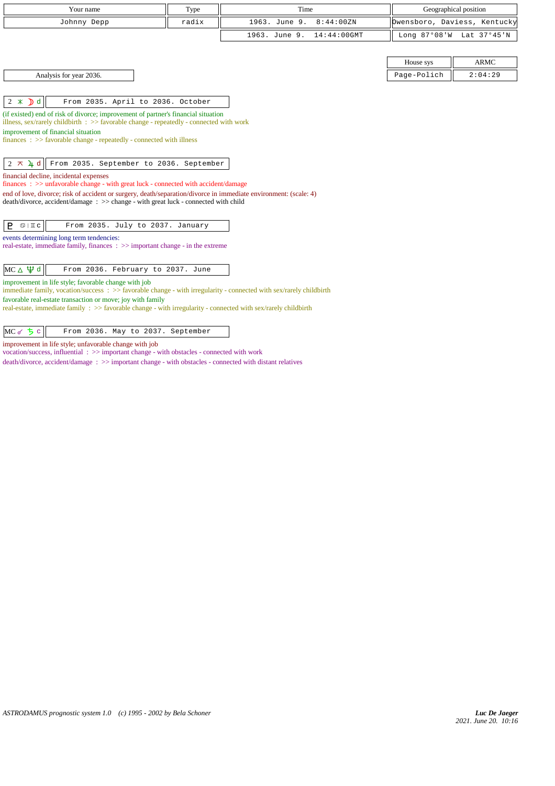| Your name                                                                                                                                                                                              | Type  | Time                            | Geographical position |                              |
|--------------------------------------------------------------------------------------------------------------------------------------------------------------------------------------------------------|-------|---------------------------------|-----------------------|------------------------------|
| Johnny Depp                                                                                                                                                                                            | radix | 8:44:00ZN<br>1963. June 9.      |                       | Owensboro, Daviess, Kentucky |
|                                                                                                                                                                                                        |       | $14:44:00$ GMT<br>1963. June 9. |                       | Long 87°08'W Lat 37°45'N     |
|                                                                                                                                                                                                        |       |                                 |                       |                              |
|                                                                                                                                                                                                        |       |                                 | House sys             | <b>ARMC</b>                  |
| Analysis for year 2036.                                                                                                                                                                                |       |                                 | Page-Polich           | 2:04:29                      |
|                                                                                                                                                                                                        |       |                                 |                       |                              |
| $2 \times D d$<br>From 2035. April to 2036. October                                                                                                                                                    |       |                                 |                       |                              |
| (if existed) end of risk of divorce; improvement of partner's financial situation<br>illness, sex/rarely childbirth $\Rightarrow$ Savorable change - repeatedly - connected with work                  |       |                                 |                       |                              |
| improvement of financial situation                                                                                                                                                                     |       |                                 |                       |                              |
| $finances : \gg$ favorable change - repeatedly - connected with illness                                                                                                                                |       |                                 |                       |                              |
|                                                                                                                                                                                                        |       |                                 |                       |                              |
| $2 \times 4d$<br>From 2035. September to 2036. September                                                                                                                                               |       |                                 |                       |                              |
| financial decline, incidental expenses<br>finances: >> unfavorable change - with great luck - connected with accident/damage                                                                           |       |                                 |                       |                              |
| end of love, divorce; risk of accident or surgery, death/separation/divorce in immediate environment: (scale: 4)<br>death/divorce, accident/damage: >> change - with great luck - connected with child |       |                                 |                       |                              |
|                                                                                                                                                                                                        |       |                                 |                       |                              |
| P.<br>From 2035. July to 2037. January<br>$\mathbb{S} \mid \mathbb{I}$ C                                                                                                                               |       |                                 |                       |                              |
| events determining long term tendencies:                                                                                                                                                               |       |                                 |                       |                              |
| real-estate, immediate family, finances : >> important change - in the extreme                                                                                                                         |       |                                 |                       |                              |
|                                                                                                                                                                                                        |       |                                 |                       |                              |
| $MC \triangle \Psi d$<br>From 2036. February to 2037. June                                                                                                                                             |       |                                 |                       |                              |
| improvement in life style; favorable change with job<br>immediate family, vocation/success : >> favorable change - with irregularity - connected with sex/rarely childbirth                            |       |                                 |                       |                              |
| favorable real-estate transaction or move; joy with family                                                                                                                                             |       |                                 |                       |                              |
| real-estate, immediate family : >> favorable change - with irregularity - connected with sex/rarely childbirth                                                                                         |       |                                 |                       |                              |
|                                                                                                                                                                                                        |       |                                 |                       |                              |

 $MC \, \sigma$   $\frac{1}{2} \, c$  From 2036. May to 2037. September

improvement in life style; unfavorable change with job

vocation/success, influential : >> important change - with obstacles - connected with work

death/divorce, accident/damage : >> important change - with obstacles - connected with distant relatives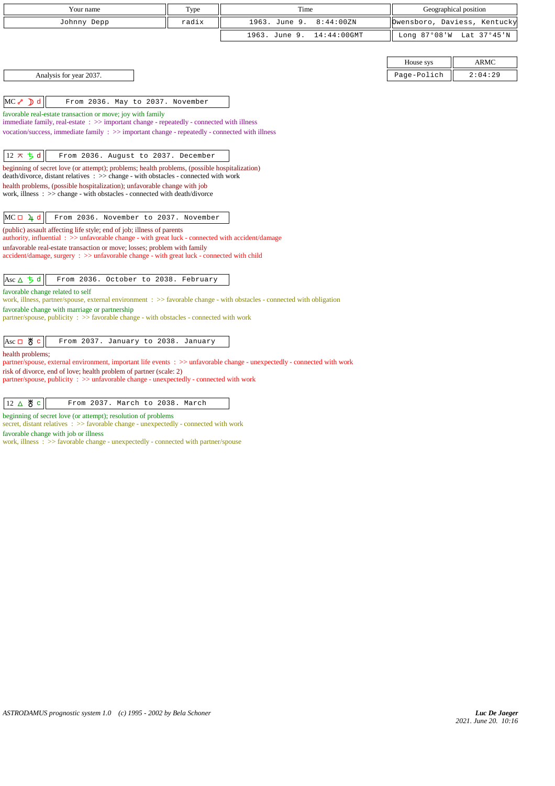| Your name                                                                                                                                                                                                          | Type  | Time                            |             | Geographical position        |
|--------------------------------------------------------------------------------------------------------------------------------------------------------------------------------------------------------------------|-------|---------------------------------|-------------|------------------------------|
| Johnny Depp                                                                                                                                                                                                        | radix | 1963. June 9.<br>8:44:00ZN      |             | Owensboro, Daviess, Kentucky |
|                                                                                                                                                                                                                    |       | 1963. June 9.<br>$14:44:00$ GMT |             | Long 87°08'W Lat 37°45'N     |
|                                                                                                                                                                                                                    |       |                                 |             |                              |
|                                                                                                                                                                                                                    |       |                                 | House sys   | <b>ARMC</b>                  |
| Analysis for year 2037.                                                                                                                                                                                            |       |                                 | Page-Polich | 2:04:29                      |
|                                                                                                                                                                                                                    |       |                                 |             |                              |
| $MC \rightarrow D d$<br>From 2036. May to 2037. November                                                                                                                                                           |       |                                 |             |                              |
| favorable real-estate transaction or move; joy with family                                                                                                                                                         |       |                                 |             |                              |
| immediate family, real-estate $\therefore$ $\gg$ important change - repeatedly - connected with illness<br>vocation/success, immediate family $\Rightarrow$ important change - repeatedly - connected with illness |       |                                 |             |                              |
|                                                                                                                                                                                                                    |       |                                 |             |                              |
| $12 \times 5d$<br>From 2036. August to 2037. December                                                                                                                                                              |       |                                 |             |                              |
| beginning of secret love (or attempt); problems; health problems, (possible hospitalization)                                                                                                                       |       |                                 |             |                              |
| death/divorce, distant relatives : >> change - with obstacles - connected with work                                                                                                                                |       |                                 |             |                              |
| health problems, (possible hospitalization); unfavorable change with job<br>work, illness: >> change - with obstacles - connected with death/divorce                                                               |       |                                 |             |                              |
|                                                                                                                                                                                                                    |       |                                 |             |                              |
| $MC \Box 4 d$<br>From 2036. November to 2037. November                                                                                                                                                             |       |                                 |             |                              |
| (public) assault affecting life style; end of job; illness of parents                                                                                                                                              |       |                                 |             |                              |
| authority, influential : >> unfavorable change - with great luck - connected with accident/damage                                                                                                                  |       |                                 |             |                              |
| unfavorable real-estate transaction or move; losses; problem with family<br>$accident/damage$ , surgery : $\gg$ unfavorable change - with great luck - connected with child                                        |       |                                 |             |                              |
|                                                                                                                                                                                                                    |       |                                 |             |                              |
| Asc $\Delta$ 5 d<br>From 2036. October to 2038. February                                                                                                                                                           |       |                                 |             |                              |
| favorable change related to self                                                                                                                                                                                   |       |                                 |             |                              |
| work, illness, partner/spouse, external environment : >> favorable change - with obstacles - connected with obligation<br>favorable change with marriage or partnership                                            |       |                                 |             |                              |
| partner/spouse, publicity : >> favorable change - with obstacles - connected with work                                                                                                                             |       |                                 |             |                              |
|                                                                                                                                                                                                                    |       |                                 |             |                              |
| $\text{Asc} \Box \text{ } \overset{\text{M}}{\bullet} \text{ } c$<br>From 2037. January to 2038. January                                                                                                           |       |                                 |             |                              |
| health problems;                                                                                                                                                                                                   |       |                                 |             |                              |
| partner/spouse, external environment, important life events : >> unfavorable change - unexpectedly - connected with work<br>risk of divorce, end of love; health problem of partner (scale: 2)                     |       |                                 |             |                              |
| partner/spouse, publicity : >> unfavorable change - unexpectedly - connected with work                                                                                                                             |       |                                 |             |                              |
|                                                                                                                                                                                                                    |       |                                 |             |                              |
| $12 \Delta \theta$ c<br>From 2037. March to 2038. March                                                                                                                                                            |       |                                 |             |                              |
| beginning of secret love (or attempt); resolution of problems                                                                                                                                                      |       |                                 |             |                              |

secret, distant relatives :  $\gg$  favorable change - unexpectedly - connected with work

favorable change with job or illness

work, illness : >> favorable change - unexpectedly - connected with partner/spouse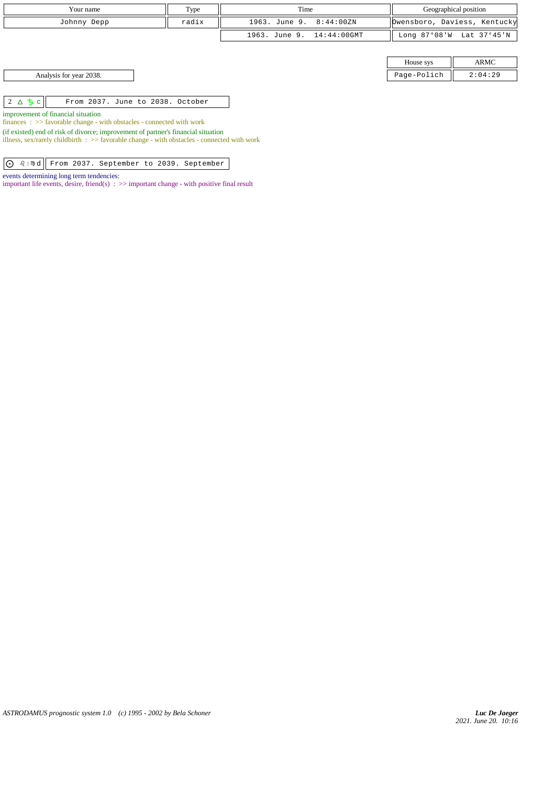| Your name                                         | Type  | Time                      |             | Geographical position        |
|---------------------------------------------------|-------|---------------------------|-------------|------------------------------|
| Johnny Depp                                       | radix | 1963. June 9. 8:44:00ZN   |             | Dwensboro, Daviess, Kentucky |
|                                                   |       | 1963. June 9. 14:44:00GMT |             | Long 87°08'W Lat 37°45'N     |
|                                                   |       |                           |             |                              |
|                                                   |       |                           | House sys   | ARMC                         |
| Analysis for year 2038.                           |       |                           | Page-Polich | 2:04:29                      |
|                                                   |       |                           |             |                              |
| $2\Delta$ 5 c<br>From 2037. June to 2038. October |       |                           |             |                              |

improvement of financial situation

finances : >> favorable change - with obstacles - connected with work

(if existed) end of risk of divorce; improvement of partner's financial situation

illness, sex/rarely childbirth : >> favorable change - with obstacles - connected with work

| d From 2037. September to 2039. September

events determining long term tendencies:

important life events, desire, friend(s)  $\Rightarrow$   $\Rightarrow$  important change - with positive final result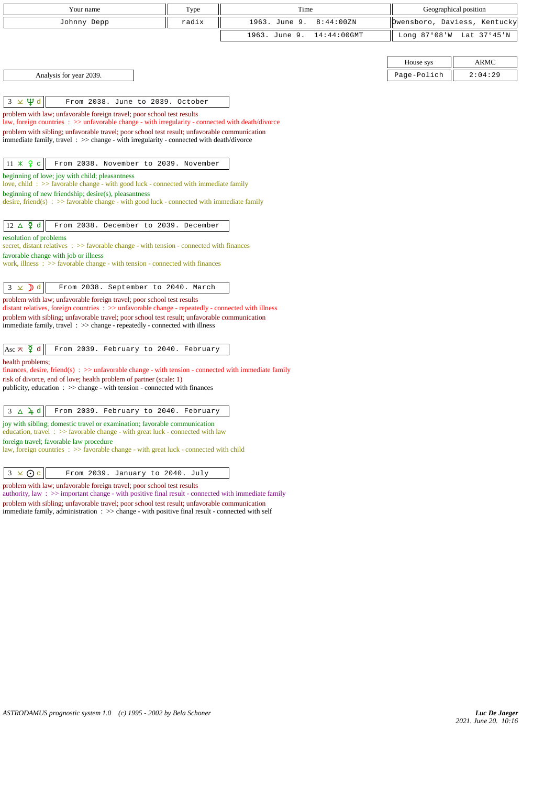| Your name                                                                                                                                                                               | Type                                  | Time                            | Geographical position |                              |
|-----------------------------------------------------------------------------------------------------------------------------------------------------------------------------------------|---------------------------------------|---------------------------------|-----------------------|------------------------------|
| Johnny Depp                                                                                                                                                                             | radix                                 | 1963. June 9.<br>8:44:00ZN      |                       | Owensboro, Daviess, Kentucky |
|                                                                                                                                                                                         |                                       | 1963. June 9.<br>$14:44:00$ GMT | Long 87°08'W          | Lat 37°45'N                  |
|                                                                                                                                                                                         |                                       |                                 |                       |                              |
|                                                                                                                                                                                         |                                       |                                 | House sys             | ARMC                         |
| Analysis for year 2039.                                                                                                                                                                 |                                       |                                 | Page-Polich           | 2:04:29                      |
|                                                                                                                                                                                         |                                       |                                 |                       |                              |
| $3 \times \Psi d$                                                                                                                                                                       | From 2038. June to 2039. October      |                                 |                       |                              |
| problem with law; unfavorable foreign travel; poor school test results                                                                                                                  |                                       |                                 |                       |                              |
| law, foreign countries : >> unfavorable change - with irregularity - connected with death/divorce                                                                                       |                                       |                                 |                       |                              |
| problem with sibling; unfavorable travel; poor school test result; unfavorable communication<br>immediate family, travel : >> change - with irregularity - connected with death/divorce |                                       |                                 |                       |                              |
|                                                                                                                                                                                         |                                       |                                 |                       |                              |
| $11 \times 9$ c                                                                                                                                                                         | From 2038. November to 2039. November |                                 |                       |                              |
| beginning of love; joy with child; pleasantness                                                                                                                                         |                                       |                                 |                       |                              |
| love, child: $\gg$ favorable change - with good luck - connected with immediate family<br>beginning of new friendship; desire(s), pleasantness                                          |                                       |                                 |                       |                              |
| desire, friend(s) : $\gg$ favorable change - with good luck - connected with immediate family                                                                                           |                                       |                                 |                       |                              |
|                                                                                                                                                                                         |                                       |                                 |                       |                              |
| $12 \Delta \n\mathfrak{P} d$                                                                                                                                                            | From 2038. December to 2039. December |                                 |                       |                              |
| resolution of problems                                                                                                                                                                  |                                       |                                 |                       |                              |
| secret, distant relatives $\therefore$ >> favorable change - with tension - connected with finances<br>favorable change with job or illness                                             |                                       |                                 |                       |                              |
| work, illness $\Rightarrow$ Savorable change - with tension - connected with finances                                                                                                   |                                       |                                 |                       |                              |
|                                                                                                                                                                                         |                                       |                                 |                       |                              |
| $\mathbf{D}$ d<br>$3 \times$                                                                                                                                                            | From 2038. September to 2040. March   |                                 |                       |                              |
| problem with law; unfavorable foreign travel; poor school test results<br>distant relatives, foreign countries : >> unfavorable change - repeatedly - connected with illness            |                                       |                                 |                       |                              |
| problem with sibling; unfavorable travel; poor school test result; unfavorable communication                                                                                            |                                       |                                 |                       |                              |
| immediate family, travel $\Rightarrow$ >> change - repeatedly - connected with illness                                                                                                  |                                       |                                 |                       |                              |
|                                                                                                                                                                                         |                                       |                                 |                       |                              |
| Asc $\pi$ $\zeta$ d                                                                                                                                                                     | From 2039. February to 2040. February |                                 |                       |                              |
| health problems;<br>finances, desire, friend(s) $\Rightarrow$ >> unfavorable change - with tension - connected with immediate family                                                    |                                       |                                 |                       |                              |
| risk of divorce, end of love; health problem of partner (scale: 1)                                                                                                                      |                                       |                                 |                       |                              |
| publicity, education $\Rightarrow$ > $\Rightarrow$ change - with tension - connected with finances                                                                                      |                                       |                                 |                       |                              |
|                                                                                                                                                                                         |                                       |                                 |                       |                              |
| $3 \Delta \mu d$                                                                                                                                                                        | From 2039. February to 2040. February |                                 |                       |                              |
| joy with sibling; domestic travel or examination; favorable communication<br>education, travel $\Rightarrow$ Savorable change - with great luck - connected with law                    |                                       |                                 |                       |                              |
| foreign travel; favorable law procedure                                                                                                                                                 |                                       |                                 |                       |                              |
| law, foreign countries : >> favorable change - with great luck - connected with child                                                                                                   |                                       |                                 |                       |                              |
|                                                                                                                                                                                         |                                       |                                 |                       |                              |
| $3 \times Qc$                                                                                                                                                                           | From 2039. January to 2040. July      |                                 |                       |                              |

problem with law; unfavorable foreign travel; poor school test results

authority, law : >> important change - with positive final result - connected with immediate family problem with sibling; unfavorable travel; poor school test result; unfavorable communication immediate family, administration : >> change - with positive final result - connected with self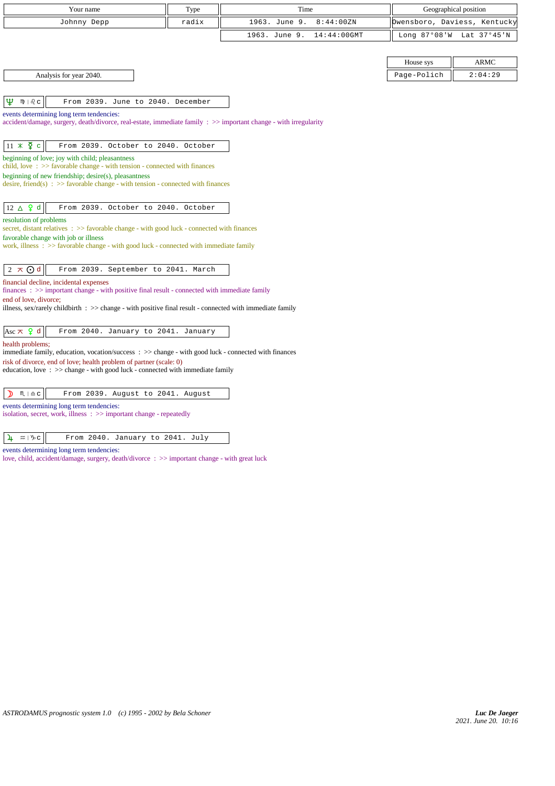| Your name                                                                                                                                                       | Type  | Time                         |             | Geographical position        |
|-----------------------------------------------------------------------------------------------------------------------------------------------------------------|-------|------------------------------|-------------|------------------------------|
| Johnny Depp                                                                                                                                                     | radix | 1963. June 9.<br>8:44:00ZN   |             | Owensboro, Daviess, Kentucky |
|                                                                                                                                                                 |       | 1963. June 9.<br>14:44:00GMT |             | Long 87°08'W Lat 37°45'N     |
|                                                                                                                                                                 |       |                              |             |                              |
|                                                                                                                                                                 |       |                              | House sys   | <b>ARMC</b>                  |
| Analysis for year 2040.                                                                                                                                         |       |                              | Page-Polich | 2:04:29                      |
|                                                                                                                                                                 |       |                              |             |                              |
| Ψ<br>$mp + 2c$<br>From 2039. June to 2040. December                                                                                                             |       |                              |             |                              |
| events determining long term tendencies:<br>accident/damage, surgery, death/divorce, real-estate, immediate family : $\gg$ important change - with irregularity |       |                              |             |                              |
|                                                                                                                                                                 |       |                              |             |                              |
| $11 \times \xi$ c<br>From 2039. October to 2040. October                                                                                                        |       |                              |             |                              |
| beginning of love; joy with child; pleasantness<br>child, love $\Rightarrow$ Savorable change - with tension - connected with finances                          |       |                              |             |                              |
| beginning of new friendship; desire(s), pleasantness                                                                                                            |       |                              |             |                              |
| desire, friend(s) : $\gg$ favorable change - with tension - connected with finances                                                                             |       |                              |             |                              |
| $12 \Delta$ $9d$<br>From 2039. October to 2040. October                                                                                                         |       |                              |             |                              |
| resolution of problems                                                                                                                                          |       |                              |             |                              |
| secret, distant relatives $\Rightarrow$ favorable change - with good luck - connected with finances<br>favorable change with job or illness                     |       |                              |             |                              |
| work, illness $\Rightarrow$ Savorable change - with good luck - connected with immediate family                                                                 |       |                              |             |                              |
|                                                                                                                                                                 |       |                              |             |                              |
| $2 \times Qd$<br>From 2039. September to 2041. March                                                                                                            |       |                              |             |                              |
| financial decline, incidental expenses<br>finances : >> important change - with positive final result - connected with immediate family                         |       |                              |             |                              |
| end of love, divorce;                                                                                                                                           |       |                              |             |                              |
| illness, sex/rarely childbirth : >> change - with positive final result - connected with immediate family                                                       |       |                              |             |                              |
| Asc $\pi$ $\varphi$ d<br>From 2040. January to 2041. January                                                                                                    |       |                              |             |                              |
| health problems;<br>immediate family, education, vocation/success: >> change - with good luck - connected with finances                                         |       |                              |             |                              |
| risk of divorce, end of love; health problem of partner (scale: 0)                                                                                              |       |                              |             |                              |
| education, love $\Rightarrow$ > change - with good luck - connected with immediate family                                                                       |       |                              |             |                              |
| D<br>$M \rvert \triangleq C$<br>From 2039. August to 2041. August                                                                                               |       |                              |             |                              |
| events determining long term tendencies:                                                                                                                        |       |                              |             |                              |
| isolation, secret, work, illness : >> important change - repeatedly                                                                                             |       |                              |             |                              |
|                                                                                                                                                                 |       |                              |             |                              |

| $\frac{1}{4}$ = $\sqrt{6}$ |  | From 2040. January to 2041. July |  |  |
|----------------------------|--|----------------------------------|--|--|

events determining long term tendencies:

love, child, accident/damage, surgery, death/divorce : >> important change - with great luck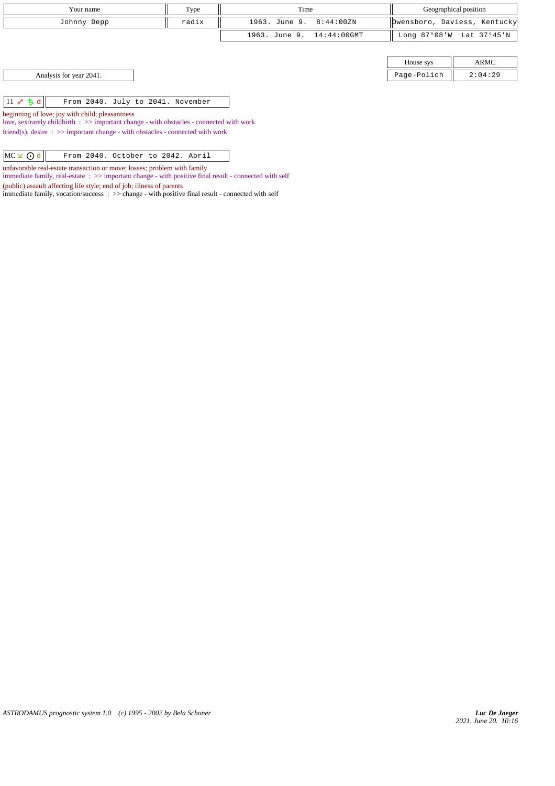| Type<br>Your name                                  |       | Time                      | Geographical position |                              |
|----------------------------------------------------|-------|---------------------------|-----------------------|------------------------------|
| Johnny Depp                                        | radix | 1963. June 9. 8:44:00ZN   |                       | Dwensboro, Daviess, Kentucky |
|                                                    |       | 1963. June 9. 14:44:00GMT |                       | Long 87°08'W Lat 37°45'N     |
|                                                    |       |                           |                       |                              |
|                                                    |       |                           | House sys             | ARMC                         |
| Analysis for year 2041.                            |       |                           | Page-Polich           | 2:04:29                      |
|                                                    |       |                           |                       |                              |
| 11 $\sim$ 5 d<br>From 2040. July to 2041. November |       |                           |                       |                              |

beginning of love; joy with child; pleasantness

love, sex/rarely childbirth : >> important change - with obstacles - connected with work

friend(s), desire : >> important change - with obstacles - connected with work

 $MC \times Qd$  From 2040. October to 2042. April

unfavorable real-estate transaction or move; losses; problem with family

immediate family, real-estate : >> important change - with positive final result - connected with self

(public) assault affecting life style; end of job; illness of parents

immediate family, vocation/success : >> change - with positive final result - connected with self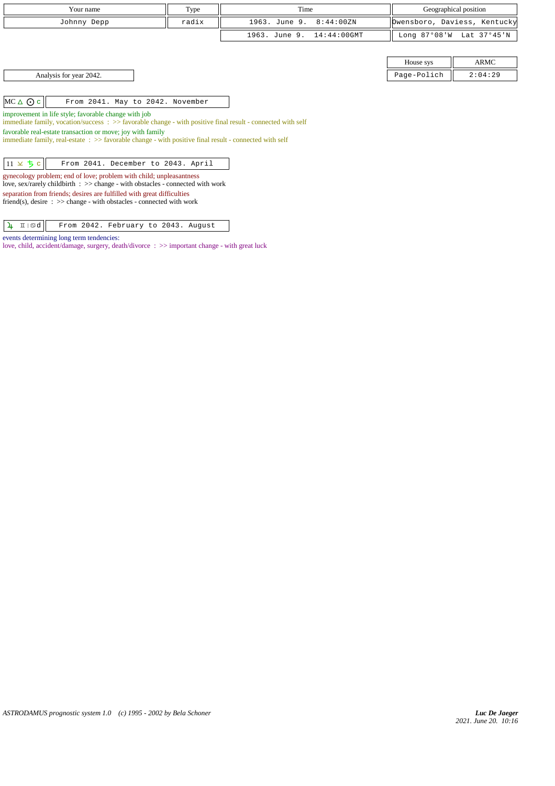|                    | Your name<br>Type                                                                                                                                                                                                                                                                                                   |       | Time                            | Geographical position |                              |
|--------------------|---------------------------------------------------------------------------------------------------------------------------------------------------------------------------------------------------------------------------------------------------------------------------------------------------------------------|-------|---------------------------------|-----------------------|------------------------------|
|                    | Johnny Depp                                                                                                                                                                                                                                                                                                         | radix | 1963. June 9.<br>8:44:00ZN      |                       | Owensboro, Daviess, Kentucky |
|                    |                                                                                                                                                                                                                                                                                                                     |       | 1963. June 9.<br>$14:44:00$ GMT |                       | Long 87°08'W Lat 37°45'N     |
|                    |                                                                                                                                                                                                                                                                                                                     |       |                                 |                       |                              |
|                    |                                                                                                                                                                                                                                                                                                                     |       |                                 | House sys             | ARMC                         |
|                    | Analysis for year 2042.                                                                                                                                                                                                                                                                                             |       |                                 | Page-Polich           | 2:04:29                      |
|                    |                                                                                                                                                                                                                                                                                                                     |       |                                 |                       |                              |
| $MC \triangle O$ c | From 2041. May to 2042. November                                                                                                                                                                                                                                                                                    |       |                                 |                       |                              |
|                    | improvement in life style; favorable change with job<br>immediate family, vocation/success $\Rightarrow$ favorable change - with positive final result - connected with self                                                                                                                                        |       |                                 |                       |                              |
|                    | favorable real-estate transaction or move; joy with family<br>immediate family, real-estate: >> favorable change - with positive final result - connected with self                                                                                                                                                 |       |                                 |                       |                              |
|                    |                                                                                                                                                                                                                                                                                                                     |       |                                 |                       |                              |
| $11 \times 5c$     | From 2041. December to 2043. April                                                                                                                                                                                                                                                                                  |       |                                 |                       |                              |
|                    | gynecology problem; end of love; problem with child; unpleasantness<br>love, sex/rarely childbirth : >> change - with obstacles - connected with work<br>separation from friends; desires are fulfilled with great difficulties<br>friend(s), desire $\Rightarrow$ >> change - with obstacles - connected with work |       |                                 |                       |                              |

 $\boxed{\frac{1}{4}$  II sd  $}$  From 2042. February to 2043. August

love, child, accident/damage, surgery, death/divorce : >> important change - with great luck

events determining long term tendencies: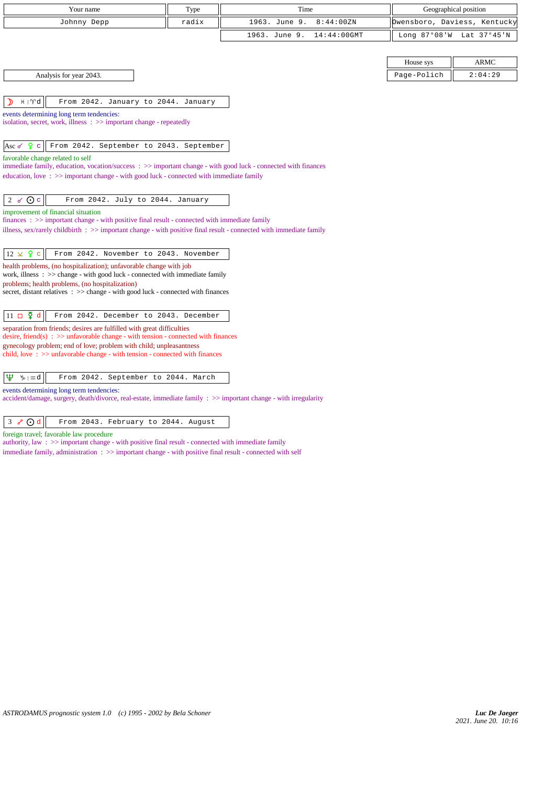| Your name                                                                                                                                                                                                      | Type  | Time                            | Geographical position |                              |
|----------------------------------------------------------------------------------------------------------------------------------------------------------------------------------------------------------------|-------|---------------------------------|-----------------------|------------------------------|
| Johnny Depp                                                                                                                                                                                                    | radix | 1963. June 9.<br>8:44:00ZN      |                       | Owensboro, Daviess, Kentucky |
|                                                                                                                                                                                                                |       | 1963. June 9.<br>$14:44:00$ GMT |                       | Long 87°08'W Lat 37°45'N     |
|                                                                                                                                                                                                                |       |                                 |                       |                              |
|                                                                                                                                                                                                                |       |                                 | House sys             | <b>ARMC</b>                  |
| Analysis for year 2043.                                                                                                                                                                                        |       |                                 | Page-Polich           | 2:04:29                      |
|                                                                                                                                                                                                                |       |                                 |                       |                              |
| $H \mid \mathcal{V}d$<br>From 2042. January to 2044. January                                                                                                                                                   |       |                                 |                       |                              |
| events determining long term tendencies:<br>isolation, secret, work, illness: >> important change - repeatedly                                                                                                 |       |                                 |                       |                              |
|                                                                                                                                                                                                                |       |                                 |                       |                              |
| Asc $\sigma$ $\frac{9}{5}$ c<br>From 2042. September to 2043. September                                                                                                                                        |       |                                 |                       |                              |
| favorable change related to self                                                                                                                                                                               |       |                                 |                       |                              |
| immediate family, education, vocation/success: $\gg$ important change - with good luck - connected with finances<br>education, love: $\gg$ important change - with good luck - connected with immediate family |       |                                 |                       |                              |
|                                                                                                                                                                                                                |       |                                 |                       |                              |
| 2 $\sigma$ $\odot$ c<br>From 2042. July to 2044. January                                                                                                                                                       |       |                                 |                       |                              |
| improvement of financial situation<br>finances $\Rightarrow$ important change - with positive final result - connected with immediate family                                                                   |       |                                 |                       |                              |
| illness, sex/rarely childbirth $\Rightarrow$ important change - with positive final result - connected with immediate family                                                                                   |       |                                 |                       |                              |
|                                                                                                                                                                                                                |       |                                 |                       |                              |
| $12 \times 9$ c<br>From 2042. November to 2043. November                                                                                                                                                       |       |                                 |                       |                              |
| health problems, (no hospitalization); unfavorable change with job<br>work, illness $\Rightarrow$ >> change - with good luck - connected with immediate family                                                 |       |                                 |                       |                              |
| problems; health problems, (no hospitalization)                                                                                                                                                                |       |                                 |                       |                              |
| secret, distant relatives : >> change - with good luck - connected with finances                                                                                                                               |       |                                 |                       |                              |
|                                                                                                                                                                                                                |       |                                 |                       |                              |
| $11 \square \Phi$ d<br>From 2042. December to 2043. December<br>separation from friends; desires are fulfilled with great difficulties                                                                         |       |                                 |                       |                              |
| desire, friend(s) : $\gg$ unfavorable change - with tension - connected with finances                                                                                                                          |       |                                 |                       |                              |
| gynecology problem; end of love; problem with child; unpleasantness<br>child, love $\Rightarrow$ >> unfavorable change - with tension - connected with finances                                                |       |                                 |                       |                              |
|                                                                                                                                                                                                                |       |                                 |                       |                              |
| Ψ<br>$\n  y$ and<br>From 2042. September to 2044. March                                                                                                                                                        |       |                                 |                       |                              |
| events determining long term tendencies:                                                                                                                                                                       |       |                                 |                       |                              |

accident/damage, surgery, death/divorce, real-estate, immediate family : >> important change - with irregularity

 $3 \times 0 d$  From 2043. February to 2044. August

foreign travel; favorable law procedure

authority, law : >> important change - with positive final result - connected with immediate family

immediate family, administration : >> important change - with positive final result - connected with self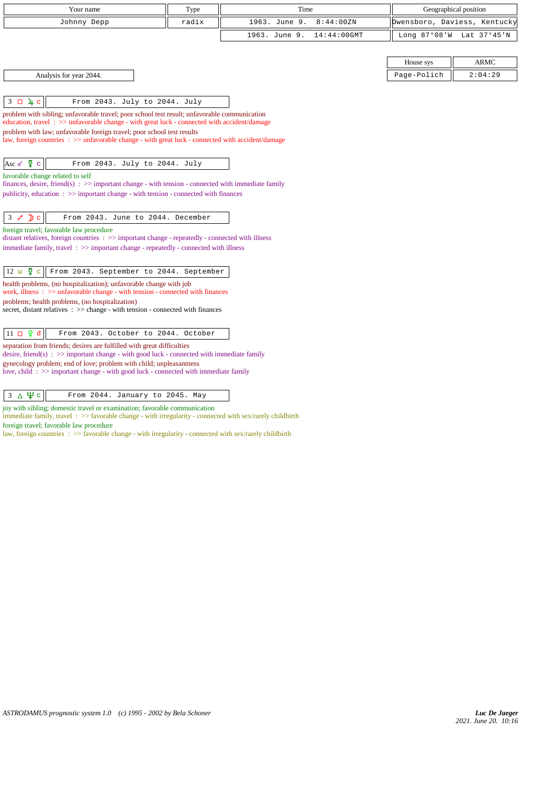| Your name                                                                                                                                                                                                                                                                                                                                                                                                                                                                                                                                   | Type  | Time                            | Geographical position        |             |
|---------------------------------------------------------------------------------------------------------------------------------------------------------------------------------------------------------------------------------------------------------------------------------------------------------------------------------------------------------------------------------------------------------------------------------------------------------------------------------------------------------------------------------------------|-------|---------------------------------|------------------------------|-------------|
| Johnny Depp                                                                                                                                                                                                                                                                                                                                                                                                                                                                                                                                 | radix | 1963. June 9.<br>8:44:00ZN      | Owensboro, Daviess, Kentucky |             |
|                                                                                                                                                                                                                                                                                                                                                                                                                                                                                                                                             |       | 1963. June 9.<br>$14:44:00$ GMT | Long 87°08'W                 | Lat 37°45'N |
|                                                                                                                                                                                                                                                                                                                                                                                                                                                                                                                                             |       |                                 | House sys                    | <b>ARMC</b> |
| Analysis for year 2044.                                                                                                                                                                                                                                                                                                                                                                                                                                                                                                                     |       |                                 | Page-Polich                  | 2:04:29     |
| $3 \square \sqrt{4} c$<br>From 2043. July to 2044. July<br>problem with sibling; unfavorable travel; poor school test result; unfavorable communication<br>education, travel: >> unfavorable change - with great luck - connected with accident/damage<br>problem with law; unfavorable foreign travel; poor school test results<br>law, foreign countries : >> unfavorable change - with great luck - connected with accident/damage<br>Asc $\check{\varphi}$ $\circ$<br>From 2043. July to 2044. July<br>favorable change related to self |       |                                 |                              |             |
| finances, desire, friend(s) : $\gg$ important change - with tension - connected with immediate family<br>publicity, education $\Rightarrow$ > important change - with tension - connected with finances                                                                                                                                                                                                                                                                                                                                     |       |                                 |                              |             |
| $3 \times D c$<br>From 2043. June to 2044. December<br>foreign travel; favorable law procedure<br>distant relatives, foreign countries $\Rightarrow$ important change - repeatedly - connected with illness<br>immediate family, travel: >> important change - repeatedly - connected with illness                                                                                                                                                                                                                                          |       |                                 |                              |             |
| $12 \times \Sigma$<br>From 2043. September to 2044. September<br>$\mathbf{C}$<br>health problems, (no hospitalization); unfavorable change with job<br>work, illness $\Rightarrow$ >> unfavorable change - with tension - connected with finances<br>problems; health problems, (no hospitalization)<br>secret, distant relatives : >> change - with tension - connected with finances                                                                                                                                                      |       |                                 |                              |             |
| $11 \Box 9 d$<br>From 2043. October to 2044. October<br>separation from friends; desires are fulfilled with great difficulties<br>desire, friend(s) : $\gg$ important change - with good luck - connected with immediate family<br>gynecology problem; end of love; problem with child; unpleasantness<br>love, child: >> important change - with good luck - connected with immediate family                                                                                                                                               |       |                                 |                              |             |

 $\boxed{3 \Delta \Psi c}$  From 2044. January to 2045. May

joy with sibling; domestic travel or examination; favorable communication

immediate family, travel :  $>$  favorable change - with irregularity - connected with sex/rarely childbirth foreign travel; favorable law procedure

law, foreign countries : >> favorable change - with irregularity - connected with sex/rarely childbirth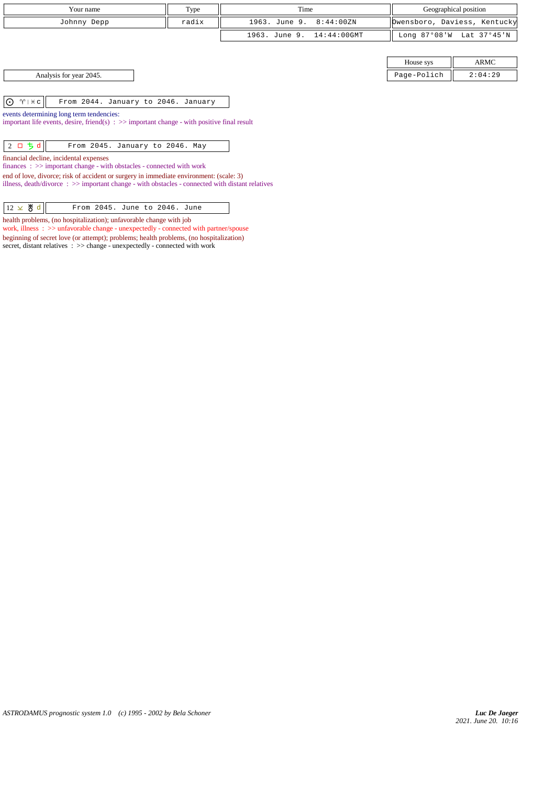| Your name                                                                                                                                                                                                                                                                                                                                                                                                                                                                                                                                                                                                 | Type  | Time                         | Geographical position |                              |  |  |
|-----------------------------------------------------------------------------------------------------------------------------------------------------------------------------------------------------------------------------------------------------------------------------------------------------------------------------------------------------------------------------------------------------------------------------------------------------------------------------------------------------------------------------------------------------------------------------------------------------------|-------|------------------------------|-----------------------|------------------------------|--|--|
| Johnny Depp                                                                                                                                                                                                                                                                                                                                                                                                                                                                                                                                                                                               | radix | 1963. June 9.<br>8:44:00ZN   |                       | Dwensboro, Daviess, Kentucky |  |  |
|                                                                                                                                                                                                                                                                                                                                                                                                                                                                                                                                                                                                           |       | 1963. June 9.<br>14:44:00GMT | Long $87°08'W$        | Lat 37°45'N                  |  |  |
|                                                                                                                                                                                                                                                                                                                                                                                                                                                                                                                                                                                                           |       |                              |                       |                              |  |  |
|                                                                                                                                                                                                                                                                                                                                                                                                                                                                                                                                                                                                           |       |                              | House sys             | ARMC                         |  |  |
| Analysis for year 2045.                                                                                                                                                                                                                                                                                                                                                                                                                                                                                                                                                                                   |       |                              | Page-Polich           | 2:04:29                      |  |  |
| $\odot$<br>$\gamma$   $\#$ c<br>From 2044. January to 2046. January<br>events determining long term tendencies:<br>important life events, desire, friend(s) $\Rightarrow$ important change - with positive final result<br>$2 \square 5d$<br>From 2045. January to 2046. May<br>financial decline, incidental expenses<br>$finances : \gg important change - with obstacles - connected with work$<br>end of love, divorce; risk of accident or surgery in immediate environment: (scale: 3)<br>illness, death/divorce $\Rightarrow$ important change - with obstacles - connected with distant relatives |       |                              |                       |                              |  |  |

 $\begin{array}{|c|c|c|c|c|}\n\hline\n 12 \times \mathcal{B} & d & \text{From 2045. June to 2046. June} \end{array}$ health problems, (no hospitalization); unfavorable change with job

work, illness : >> unfavorable change - unexpectedly - connected with partner/spouse beginning of secret love (or attempt); problems; health problems, (no hospitalization) secret, distant relatives :  $\gg$  change - unexpectedly - connected with work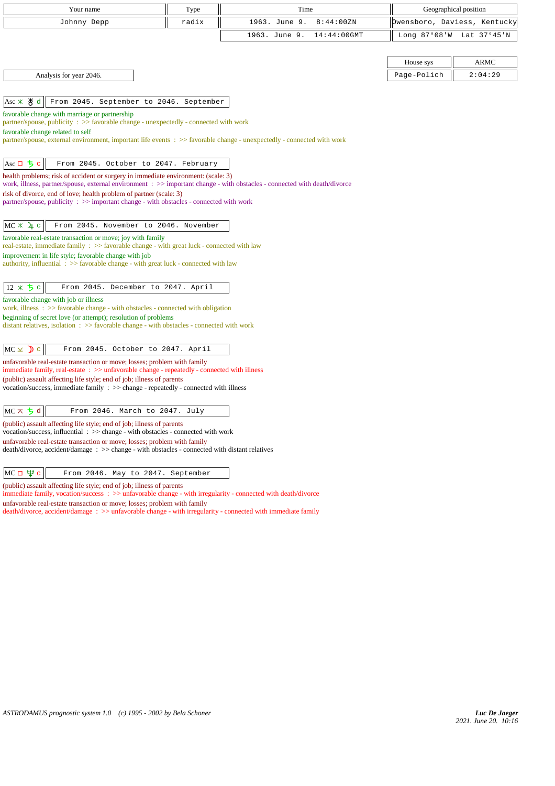| Your name                                                                                                                                                                            | Type  | Time                         | Geographical position |                              |
|--------------------------------------------------------------------------------------------------------------------------------------------------------------------------------------|-------|------------------------------|-----------------------|------------------------------|
| Johnny Depp                                                                                                                                                                          | radix | 1963. June 9.<br>8:44:00ZN   |                       | Owensboro, Daviess, Kentucky |
|                                                                                                                                                                                      |       | 14:44:00GMT<br>1963. June 9. | Long 87°08'W          | Lat 37°45'N                  |
|                                                                                                                                                                                      |       |                              |                       |                              |
|                                                                                                                                                                                      |       |                              | House sys             | <b>ARMC</b>                  |
| Analysis for year 2046.                                                                                                                                                              |       |                              | Page-Polich           | 2:04:29                      |
|                                                                                                                                                                                      |       |                              |                       |                              |
| , ਲ੍ਹ<br>From 2045. September to 2046. September<br>Asc $*$                                                                                                                          |       |                              |                       |                              |
| favorable change with marriage or partnership<br>partner/spouse, publicity: >> favorable change - unexpectedly - connected with work                                                 |       |                              |                       |                              |
| favorable change related to self                                                                                                                                                     |       |                              |                       |                              |
| partner/spouse, external environment, important life events : >> favorable change - unexpectedly - connected with work                                                               |       |                              |                       |                              |
|                                                                                                                                                                                      |       |                              |                       |                              |
| Ascロちc<br>From 2045. October to 2047. February<br>health problems; risk of accident or surgery in immediate environment: (scale: 3)                                                  |       |                              |                       |                              |
| work, illness, partner/spouse, external environment: >> important change - with obstacles - connected with death/divorce                                                             |       |                              |                       |                              |
| risk of divorce, end of love; health problem of partner (scale: 3)<br>partner/spouse, publicity: >> important change - with obstacles - connected with work                          |       |                              |                       |                              |
|                                                                                                                                                                                      |       |                              |                       |                              |
| $MC * 4 c$<br>From 2045. November to 2046. November                                                                                                                                  |       |                              |                       |                              |
| favorable real-estate transaction or move; joy with family                                                                                                                           |       |                              |                       |                              |
| real-estate, immediate family : >> favorable change - with great luck - connected with law                                                                                           |       |                              |                       |                              |
| improvement in life style; favorable change with job<br>authority, influential: >> favorable change - with great luck - connected with law                                           |       |                              |                       |                              |
|                                                                                                                                                                                      |       |                              |                       |                              |
| $12 * 5c$<br>From 2045. December to 2047. April                                                                                                                                      |       |                              |                       |                              |
| favorable change with job or illness<br>work, illness $\Rightarrow$ 5 avorable change - with obstacles - connected with obligation                                                   |       |                              |                       |                              |
| beginning of secret love (or attempt); resolution of problems                                                                                                                        |       |                              |                       |                              |
| distant relatives, isolation $\Rightarrow$ S favorable change - with obstacles - connected with work                                                                                 |       |                              |                       |                              |
| $MC \times D$ c<br>From 2045. October to 2047. April                                                                                                                                 |       |                              |                       |                              |
| unfavorable real-estate transaction or move; losses; problem with family                                                                                                             |       |                              |                       |                              |
| immediate family, real-estate $\Rightarrow$ >> unfavorable change - repeatedly - connected with illness                                                                              |       |                              |                       |                              |
| (public) assault affecting life style; end of job; illness of parents<br>vocation/success, immediate family $\Rightarrow$ $\Rightarrow$ change - repeatedly - connected with illness |       |                              |                       |                              |
|                                                                                                                                                                                      |       |                              |                       |                              |
| $MC \times 5d$<br>From 2046. March to 2047. July                                                                                                                                     |       |                              |                       |                              |
| (public) assault affecting life style; end of job; illness of parents<br>vocation/success, influential : >> change - with obstacles - connected with work                            |       |                              |                       |                              |
| unfavorable real-estate transaction or move; losses; problem with family                                                                                                             |       |                              |                       |                              |
| death/divorce, accident/damage : >> change - with obstacles - connected with distant relatives                                                                                       |       |                              |                       |                              |
| MC $\sqcup$ Фс<br>From 2046. May to 2047. September                                                                                                                                  |       |                              |                       |                              |
| (public) assault affecting life style; end of job; illness of parents                                                                                                                |       |                              |                       |                              |

immediate family, vocation/success : >> unfavorable change - with irregularity - connected with death/divorce unfavorable real-estate transaction or move; losses; problem with family death/divorce, accident/damage : >> unfavorable change - with irregularity - connected with immediate family

*ASTRODAMUS prognostic system 1.0 (c) 1995 - 2002 by Bela Schoner*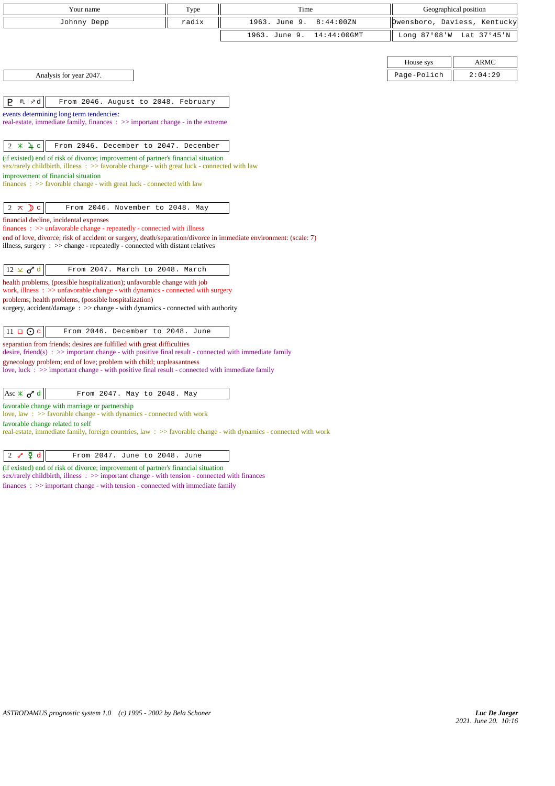| Your name                                                                                                                                                                                     | Type  | Time                            | Geographical position |                              |
|-----------------------------------------------------------------------------------------------------------------------------------------------------------------------------------------------|-------|---------------------------------|-----------------------|------------------------------|
| Johnny Depp                                                                                                                                                                                   | radix | 1963. June 9.<br>8:44:00ZN      |                       | Owensboro, Daviess, Kentucky |
|                                                                                                                                                                                               |       | 1963. June 9.<br>$14:44:00$ GMT | Long $87°08'W$        | Lat 37°45'N                  |
|                                                                                                                                                                                               |       |                                 |                       |                              |
|                                                                                                                                                                                               |       |                                 | House sys             | <b>ARMC</b>                  |
| Analysis for year 2047.                                                                                                                                                                       |       |                                 | Page-Polich           | 2:04:29                      |
|                                                                                                                                                                                               |       |                                 |                       |                              |
| P<br>$M \mid x d$<br>From 2046. August to 2048. February                                                                                                                                      |       |                                 |                       |                              |
| events determining long term tendencies:                                                                                                                                                      |       |                                 |                       |                              |
| real-estate, immediate family, finances : >> important change - in the extreme                                                                                                                |       |                                 |                       |                              |
| $2 *$<br>4c<br>From 2046. December to 2047. December                                                                                                                                          |       |                                 |                       |                              |
| (if existed) end of risk of divorce; improvement of partner's financial situation                                                                                                             |       |                                 |                       |                              |
| sex/rarely childbirth, illness: >> favorable change - with great luck - connected with law                                                                                                    |       |                                 |                       |                              |
| improvement of financial situation<br>$finances : \gg$ favorable change - with great luck - connected with law                                                                                |       |                                 |                       |                              |
|                                                                                                                                                                                               |       |                                 |                       |                              |
| $2 \pi$<br>From 2046. November to 2048. May<br>$\mathbf{D}$ c                                                                                                                                 |       |                                 |                       |                              |
| financial decline, incidental expenses                                                                                                                                                        |       |                                 |                       |                              |
| $finances : \gg$ unfavorable change - repeatedly - connected with illness<br>end of love, divorce; risk of accident or surgery, death/separation/divorce in immediate environment: (scale: 7) |       |                                 |                       |                              |
| illness, surgery : >> change - repeatedly - connected with distant relatives                                                                                                                  |       |                                 |                       |                              |
|                                                                                                                                                                                               |       |                                 |                       |                              |
| $12 \times d^d$<br>From 2047. March to 2048. March                                                                                                                                            |       |                                 |                       |                              |
| health problems, (possible hospitalization); unfavorable change with job<br>work, illness $\Rightarrow$ unfavorable change - with dynamics - connected with surgery                           |       |                                 |                       |                              |
| problems; health problems, (possible hospitalization)                                                                                                                                         |       |                                 |                       |                              |
| surgery, accident/damage $\therefore$ $\gg$ change - with dynamics - connected with authority                                                                                                 |       |                                 |                       |                              |
| $11 \square$ O c<br>From 2046. December to 2048. June                                                                                                                                         |       |                                 |                       |                              |
| separation from friends; desires are fulfilled with great difficulties                                                                                                                        |       |                                 |                       |                              |
| desire, friend(s) : $\gg$ important change - with positive final result - connected with immediate family                                                                                     |       |                                 |                       |                              |
| gynecology problem; end of love; problem with child; unpleasantness<br>love, luck $\Rightarrow$ important change - with positive final result - connected with immediate family               |       |                                 |                       |                              |
|                                                                                                                                                                                               |       |                                 |                       |                              |
| Asc $\mathbb{X}$ o <sup>r</sup> d<br>From 2047. May to 2048. May                                                                                                                              |       |                                 |                       |                              |
| favorable change with marriage or partnership                                                                                                                                                 |       |                                 |                       |                              |
| love, law : $\gg$ favorable change - with dynamics - connected with work<br>favorable change related to self                                                                                  |       |                                 |                       |                              |
| real-estate, immediate family, foreign countries, law : >> favorable change - with dynamics - connected with work                                                                             |       |                                 |                       |                              |
|                                                                                                                                                                                               |       |                                 |                       |                              |

## $\begin{array}{|c|c|c|c|c|}\n\hline\n2 & \mathcal{S} & \mathfrak{\Phi} & \mathfrak{\Phi} & \hline\n\end{array}$  From 2047. June to 2048. June

(if existed) end of risk of divorce; improvement of partner's financial situation sex/rarely childbirth, illness :  $\gg$  important change - with tension - connected with finances finances : >> important change - with tension - connected with immediate family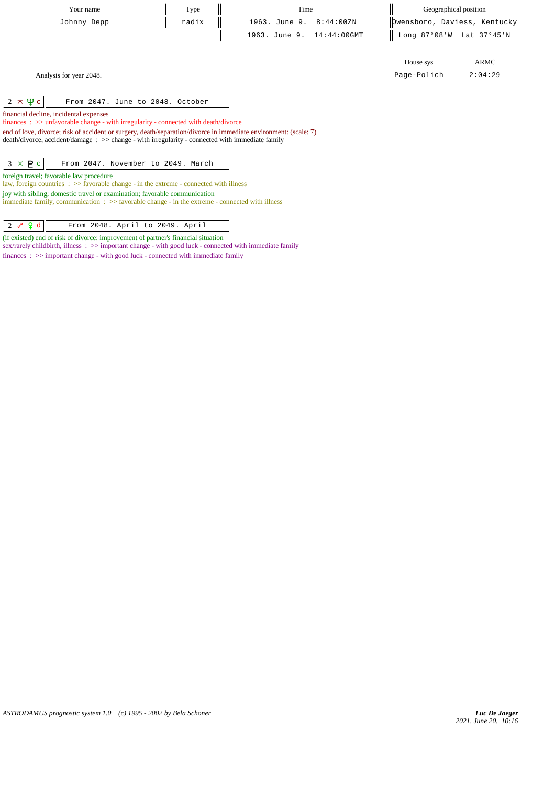| Your name                                                                                                                                                                                                                                                                                                                                                                                                         | Type  | Time                         |              | Geographical position        |  |  |
|-------------------------------------------------------------------------------------------------------------------------------------------------------------------------------------------------------------------------------------------------------------------------------------------------------------------------------------------------------------------------------------------------------------------|-------|------------------------------|--------------|------------------------------|--|--|
| Johnny Depp                                                                                                                                                                                                                                                                                                                                                                                                       | radix | 1963. June 9.<br>8:44:00ZN   |              | Dwensboro, Daviess, Kentucky |  |  |
|                                                                                                                                                                                                                                                                                                                                                                                                                   |       | 1963. June 9.<br>14:44:00GMT | Long 87°08'W | Lat 37°45'N                  |  |  |
|                                                                                                                                                                                                                                                                                                                                                                                                                   |       |                              | House sys    | ARMC                         |  |  |
| Analysis for year 2048.                                                                                                                                                                                                                                                                                                                                                                                           |       |                              | Page-Polich  | 2:04:29                      |  |  |
| $2 \times \Psi$ c<br>From 2047. June to 2048. October<br>financial decline, incidental expenses<br>$finances: >> unfavorable change - with irregularity - connected with death/divorce$<br>end of love, divorce; risk of accident or surgery, death/separation/divorce in immediate environment: (scale: 7)<br>$death/divorce, accident/damage : >> change - with irregularity - connected with immediate family$ |       |                              |              |                              |  |  |
| $3 * P c$<br>From 2047. November to 2049. March<br>foreign travel; favorable law procedure<br>law, foreign countries $\Rightarrow$ Savorable change - in the extreme - connected with illness<br>joy with sibling; domestic travel or examination; favorable communication<br>immediate family, communication $\Rightarrow$ 5 favorable change - in the extreme - connected with illness                          |       |                              |              |                              |  |  |

 $\begin{array}{|c|c|c|c|c|}\n\hline\n2 & \curvearrowleft & 2 & d & \hline\n\end{array}$  From 2048. April to 2049. April

(if existed) end of risk of divorce; improvement of partner's financial situation sex/rarely childbirth, illness : >> important change - with good luck - connected with immediate family finances : >> important change - with good luck - connected with immediate family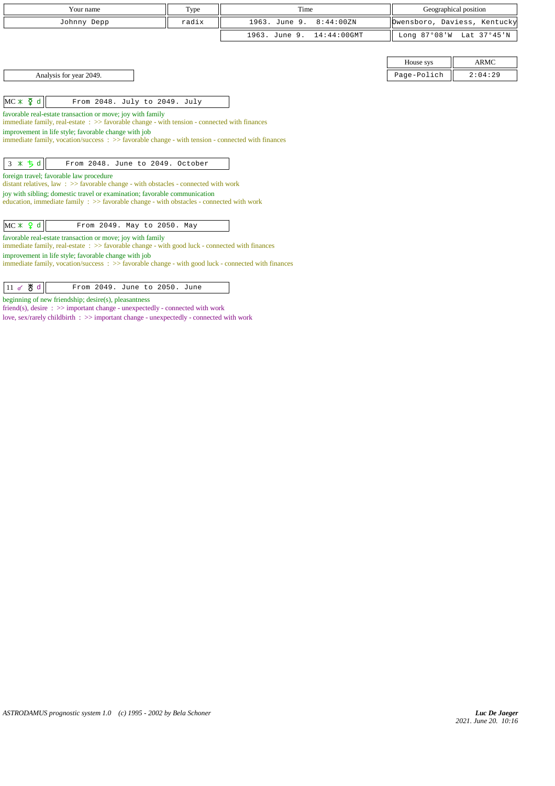| Your name                                                                                                                                                    | Type  | Time                            | Geographical position |                              |  |  |
|--------------------------------------------------------------------------------------------------------------------------------------------------------------|-------|---------------------------------|-----------------------|------------------------------|--|--|
| Johnny Depp                                                                                                                                                  | radix | 1963. June 9.<br>8:44:00ZN      |                       | Owensboro, Daviess, Kentucky |  |  |
|                                                                                                                                                              |       | 1963. June 9.<br>$14:44:00$ GMT |                       | Long 87°08'W Lat 37°45'N     |  |  |
|                                                                                                                                                              |       |                                 |                       |                              |  |  |
|                                                                                                                                                              |       |                                 | House sys             | <b>ARMC</b>                  |  |  |
| Analysis for year 2049.                                                                                                                                      |       |                                 | Page-Polich           | 2:04:29                      |  |  |
|                                                                                                                                                              |       |                                 |                       |                              |  |  |
| $MC \times \xi$ d<br>From 2048. July to 2049. July                                                                                                           |       |                                 |                       |                              |  |  |
| favorable real-estate transaction or move; joy with family<br>immediate family, real-estate: >> favorable change - with tension - connected with finances    |       |                                 |                       |                              |  |  |
| improvement in life style; favorable change with job                                                                                                         |       |                                 |                       |                              |  |  |
| immediate family, vocation/success: $\gg$ favorable change - with tension - connected with finances                                                          |       |                                 |                       |                              |  |  |
|                                                                                                                                                              |       |                                 |                       |                              |  |  |
| $3 * 5d$<br>From 2048. June to 2049. October                                                                                                                 |       |                                 |                       |                              |  |  |
| foreign travel; favorable law procedure<br>distant relatives, law: >> favorable change - with obstacles - connected with work                                |       |                                 |                       |                              |  |  |
| joy with sibling; domestic travel or examination; favorable communication                                                                                    |       |                                 |                       |                              |  |  |
| education, immediate family : >> favorable change - with obstacles - connected with work                                                                     |       |                                 |                       |                              |  |  |
|                                                                                                                                                              |       |                                 |                       |                              |  |  |
| $MC \times 9d$<br>From 2049. May to 2050. May                                                                                                                |       |                                 |                       |                              |  |  |
| favorable real-estate transaction or move; joy with family<br>immediate family, real-estate : >> favorable change - with good luck - connected with finances |       |                                 |                       |                              |  |  |
| improvement in life style; favorable change with job                                                                                                         |       |                                 |                       |                              |  |  |
| immediate family, vocation/success: >> favorable change - with good luck - connected with finances                                                           |       |                                 |                       |                              |  |  |
|                                                                                                                                                              |       |                                 |                       |                              |  |  |
| $11$ of $\frac{11}{9}$ d<br>From 2049. June to 2050. June                                                                                                    |       |                                 |                       |                              |  |  |

beginning of new friendship; desire(s), pleasantness

friend(s), desire :  $\gg$  important change - unexpectedly - connected with work love, sex/rarely childbirth : >> important change - unexpectedly - connected with work